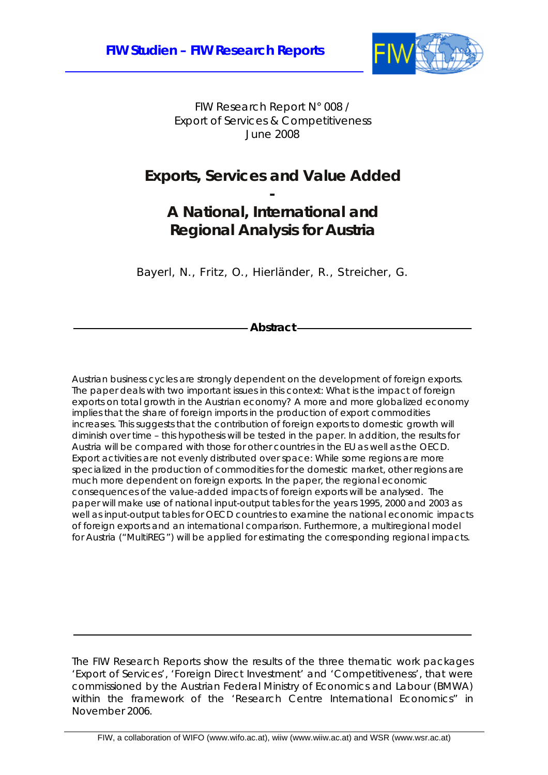

FIW Research Report N° 008 / Export of Services & Competitiveness June 2008

### **Exports, Services and Value Added**

**-** 

### **A National, International and Regional Analysis for Austria**

Bayerl, N., Fritz, O., Hierländer, R., Streicher, G.

**Abstract** 

Austrian business cycles are strongly dependent on the development of foreign exports. The paper deals with two important issues in this context: What is the impact of foreign exports on total growth in the Austrian economy? A more and more globalized economy implies that the share of foreign imports in the production of export commodities increases. This suggests that the contribution of foreign exports to domestic growth will diminish over time – this hypothesis will be tested in the paper. In addition, the results for Austria will be compared with those for other countries in the EU as well as the OECD. Export activities are not evenly distributed over space: While some regions are more specialized in the production of commodities for the domestic market, other regions are much more dependent on foreign exports. In the paper, the regional economic consequences of the value-added impacts of foreign exports will be analysed. The paper will make use of national input-output tables for the years 1995, 2000 and 2003 as well as input-output tables for OECD countries to examine the national economic impacts of foreign exports and an international comparison. Furthermore, a multiregional model for Austria ("MultiREG") will be applied for estimating the corresponding regional impacts.

The FIW Research Reports show the results of the three thematic work packages 'Export of Services', 'Foreign Direct Investment' and 'Competitiveness', that were commissioned by the Austrian Federal Ministry of Economics and Labour (BMWA) within the framework of the 'Research Centre International Economics" in November 2006.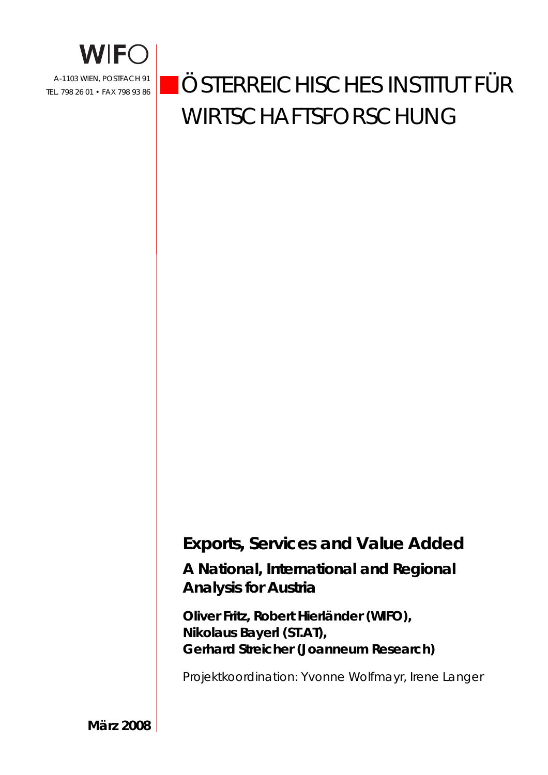

# ÖSTERREICHISCHES INSTITUT FÜR WIRTSCHAFTSFORSCHUNG

# **Exports, Services and Value Added**

**A National, International and Regional Analysis for Austria** 

**Oliver Fritz, Robert Hierländer (WIFO), Nikolaus Bayerl (ST.AT), Gerhard Streicher (Joanneum Research)** 

Projektkoordination: Yvonne Wolfmayr, Irene Langer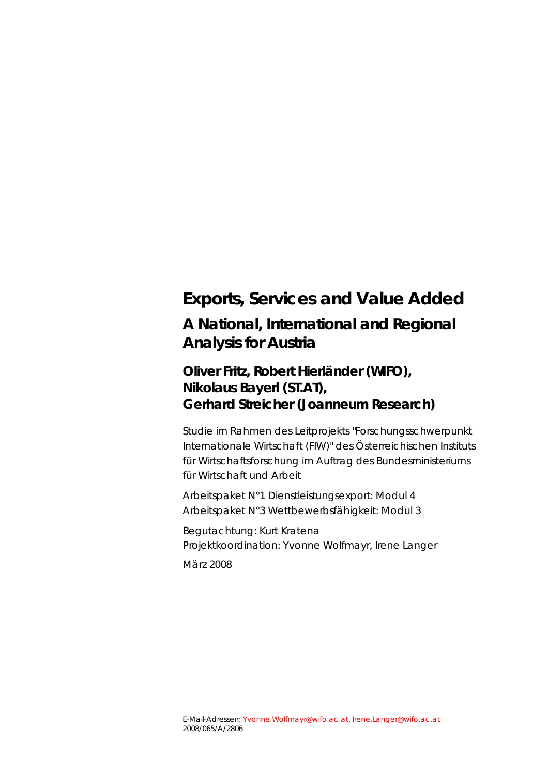# **Exports, Services and Value Added A National, International and Regional Analysis for Austria**

### **Oliver Fritz, Robert Hierländer (WIFO), Nikolaus Bayerl (ST.AT), Gerhard Streicher (Joanneum Research)**

Studie im Rahmen des Leitprojekts "Forschungsschwerpunkt Internationale Wirtschaft (FIW)" des Österreichischen Instituts für Wirtschaftsforschung im Auftrag des Bundesministeriums für Wirtschaft und Arbeit

Arbeitspaket N°1 Dienstleistungsexport: Modul 4 Arbeitspaket N°3 Wettbewerbsfähigkeit: Modul 3

Begutachtung: Kurt Kratena Projektkoordination: Yvonne Wolfmayr, Irene Langer März 2008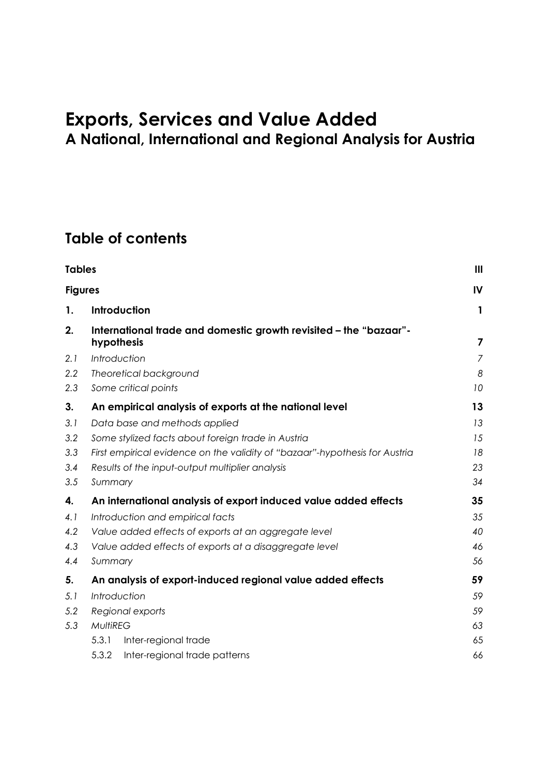# **Exports, Services and Value Added A National, International and Regional Analysis for Austria**

## **Table of contents**

| <b>Tables</b>  |                  |                                                                                 | Ш                       |
|----------------|------------------|---------------------------------------------------------------------------------|-------------------------|
| <b>Figures</b> |                  |                                                                                 | IV                      |
| 1.             |                  | <b>Introduction</b>                                                             | 1                       |
| 2.             |                  | International trade and domestic growth revisited - the "bazaar"-<br>hypothesis | $\overline{\mathbf{z}}$ |
| 2.1            |                  | Introduction                                                                    | $\overline{7}$          |
| 2.2            |                  | Theoretical background                                                          | 8                       |
| 2.3            |                  | Some critical points                                                            | 10                      |
| 3.             |                  | An empirical analysis of exports at the national level                          | 13                      |
| 3.1            |                  | Data base and methods applied                                                   | 13                      |
| 3.2            |                  | Some stylized facts about foreign trade in Austria                              | 15                      |
| 3.3            |                  | First empirical evidence on the validity of "bazaar"-hypothesis for Austria     | 18                      |
| 3.4            |                  | Results of the input-output multiplier analysis                                 | 23                      |
| 3.5            | Summary          |                                                                                 | 34                      |
| 4.             |                  | An international analysis of export induced value added effects                 | 35                      |
| 4.1            |                  | Introduction and empirical facts                                                | 35                      |
| 4.2            |                  | Value added effects of exports at an aggregate level                            | 40                      |
| 4.3            |                  | Value added effects of exports at a disaggregate level                          | 46                      |
| 4.4            | Summary          |                                                                                 | 56                      |
| 5.             |                  | An analysis of export-induced regional value added effects                      | 59                      |
| 5.1            |                  | Introduction                                                                    | 59                      |
| 5.2            | Regional exports |                                                                                 | 59                      |
| 5.3            | <b>MultiREG</b>  |                                                                                 | 63                      |
|                | 5.3.1            | Inter-regional trade                                                            | 65                      |
|                | 5.3.2            | Inter-regional trade patterns                                                   | 66                      |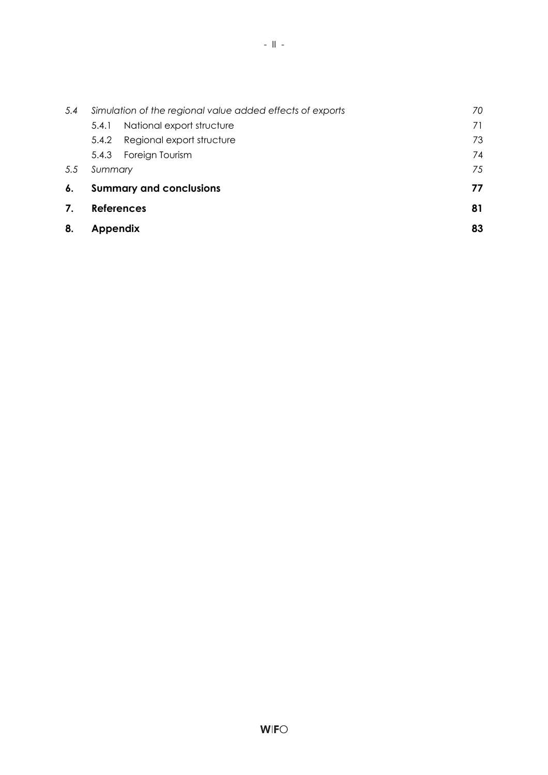| 8.  | <b>Appendix</b>                                           |                                 | 83 |
|-----|-----------------------------------------------------------|---------------------------------|----|
| 7.  |                                                           | <b>References</b>               | 81 |
| 6.  |                                                           | <b>Summary and conclusions</b>  | 77 |
| 5.5 | Summary                                                   |                                 | 75 |
|     |                                                           | 5.4.3 Foreign Tourism           | 74 |
|     |                                                           | 5.4.2 Regional export structure | 73 |
|     | 5.4.1                                                     | National export structure       | 71 |
| 5.4 | Simulation of the regional value added effects of exports |                                 | 70 |
|     |                                                           |                                 |    |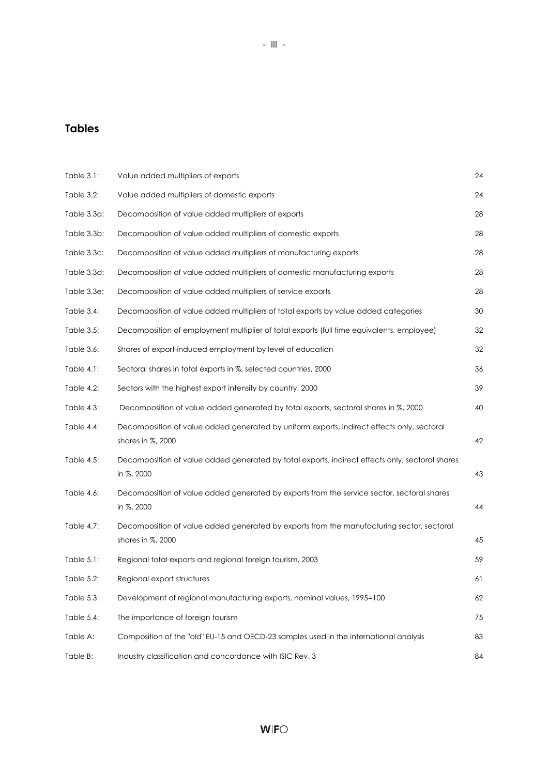### **Tables**

| Table 3.1:        | Value added multipliers of exports                                                                              | 24 |
|-------------------|-----------------------------------------------------------------------------------------------------------------|----|
| Table 3.2:        | Value added multipliers of domestic exports                                                                     | 24 |
| Table 3.3a:       | Decomposition of value added multipliers of exports                                                             | 28 |
| Table 3.3b:       | Decomposition of value added multipliers of domestic exports                                                    | 28 |
| Table 3.3c:       | Decomposition of value added multipliers of manufacturing exports                                               | 28 |
| Table 3.3d:       | Decomposition of value added multipliers of domestic manufacturing exports                                      | 28 |
| Table 3.3e:       | Decomposition of value added multipliers of service exports                                                     | 28 |
| Table 3.4:        | Decomposition of value added multipliers of total exports by value added categories                             | 30 |
| Table 3.5:        | Decomposition of employment multiplier of total exports (full time equivalents, employee)                       | 32 |
| Table 3.6:        | Shares of export-induced employment by level of education                                                       | 32 |
| Table 4.1:        | Sectoral shares in total exports in %, selected countries, 2000                                                 | 36 |
| Table 4.2:        | Sectors with the highest export intensity by country, 2000                                                      | 39 |
| Table 4.3:        | Decomposition of value added generated by total exports, sectoral shares in %, 2000                             | 40 |
| Table 4.4:        | Decomposition of value added generated by uniform exports, indirect effects only, sectoral<br>shares in %, 2000 | 42 |
| Table 4.5:        | Decomposition of value added generated by total exports, indirect effects only, sectoral shares<br>in %, 2000   | 43 |
| Table 4.6:        | Decomposition of value added generated by exports from the service sector, sectoral shares<br>in %, 2000        | 44 |
| Table 4.7:        | Decomposition of value added generated by exports from the manufacturing sector, sectoral<br>shares in %, 2000  | 45 |
| Table 5.1:        | Regional total exports and regional foreign tourism, 2003                                                       | 59 |
| <b>Table 5.2:</b> | Regional export structures                                                                                      | 61 |
| Table 5.3:        | Development of regional manufacturing exports, nominal values, 1995=100                                         | 62 |
| Table 5.4:        | The importance of foreign tourism                                                                               | 75 |
| Table A:          | Composition of the "old" EU-15 and OECD-23 samples used in the international analysis                           | 83 |
| Table B:          | Industry classification and concordance with ISIC Rev. 3                                                        | 84 |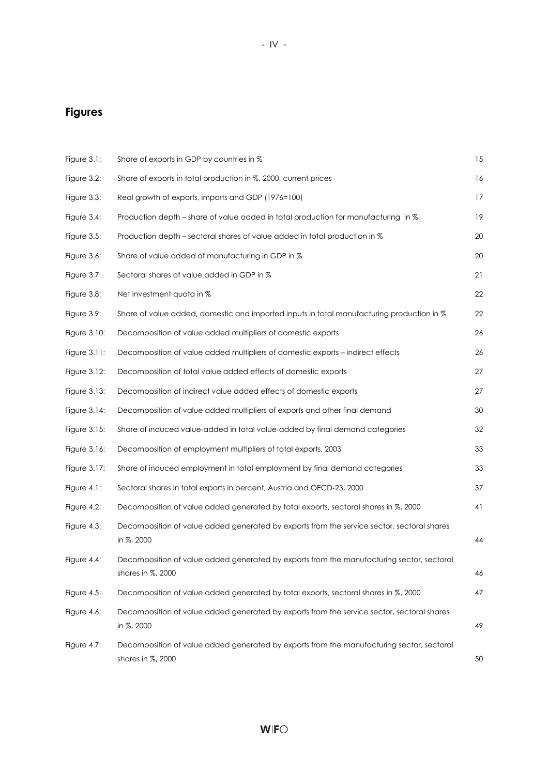### **Figures**

| Figure 3.1:     | Share of exports in GDP by countries in %                                                                      | 15 |
|-----------------|----------------------------------------------------------------------------------------------------------------|----|
| Figure 3.2:     | Share of exports in total production in %, 2000, current prices                                                | 16 |
| Figure 3.3:     | Real growth of exports, imports and GDP (1976=100)                                                             | 17 |
| Figure 3.4:     | Production depth – share of value added in total production for manufacturing in %                             | 19 |
| Figure 3.5:     | Production depth – sectoral shares of value added in total production in %                                     | 20 |
| Figure 3.6:     | Share of value added of manufacturing in GDP in %                                                              | 20 |
| Figure 3.7:     | Sectoral shares of value added in GDP in %                                                                     | 21 |
| Figure $3.8$ :  | Net investment quota in %                                                                                      | 22 |
| Figure 3.9:     | Share of value added, domestic and imported inputs in total manufacturing production in %                      | 22 |
| Figure 3.10:    | Decomposition of value added multipliers of domestic exports                                                   | 26 |
| Figure 3.11:    | Decomposition of value added multipliers of domestic exports – indirect effects                                | 26 |
| Figure 3.12:    | Decomposition of total value added effects of domestic exports                                                 | 27 |
| Figure 3.13:    | Decomposition of indirect value added effects of domestic exports                                              | 27 |
| Figure $3.14$ : | Decomposition of value added multipliers of exports and other final demand                                     | 30 |
| Figure 3.15:    | Share of induced value-added in total value-added by final demand categories                                   | 32 |
| Figure 3.16:    | Decomposition of employment multipliers of total exports, 2003                                                 | 33 |
| Figure 3.17:    | Share of induced employment in total employment by final demand categories                                     | 33 |
| Figure 4.1:     | Sectoral shares in total exports in percent, Austria and OECD-23, 2000                                         | 37 |
| Figure 4.2:     | Decomposition of value added generated by total exports, sectoral shares in %, 2000                            | 41 |
| Figure 4.3:     | Decomposition of value added generated by exports from the service sector, sectoral shares<br>in %, 2000       | 44 |
| Figure 4.4:     | Decomposition of value added generated by exports from the manufacturing sector, sectoral<br>shares in %, 2000 | 46 |
| Figure 4.5:     | Decomposition of value added generated by total exports, sectoral shares in %, 2000                            | 47 |
| Figure 4.6:     | Decomposition of value added generated by exports from the service sector, sectoral shares<br>in %, 2000       | 49 |
| Figure 4.7:     | Decomposition of value added generated by exports from the manufacturing sector, sectoral<br>shares in %, 2000 | 50 |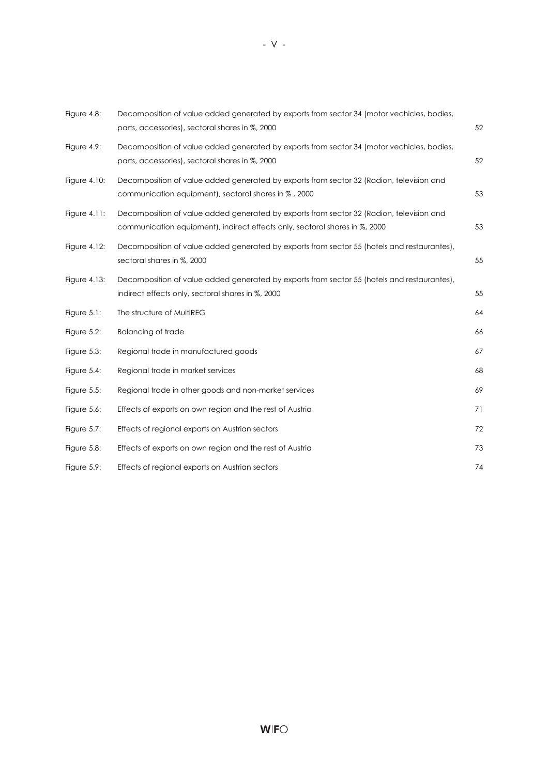| Figure 4.8:     | Decomposition of value added generated by exports from sector 34 (motor vechicles, bodies,<br>parts, accessories), sectoral shares in %, 2000                           | 52 |
|-----------------|-------------------------------------------------------------------------------------------------------------------------------------------------------------------------|----|
| Figure 4.9:     | Decomposition of value added generated by exports from sector 34 (motor vechicles, bodies,<br>parts, accessories), sectoral shares in %, 2000                           | 52 |
| Figure 4.10:    | Decomposition of value added generated by exports from sector 32 (Radion, television and<br>communication equipment), sectoral shares in %, 2000                        | 53 |
| Figure $4.11$ : | Decomposition of value added generated by exports from sector 32 (Radion, television and<br>communication equipment), indirect effects only, sectoral shares in %, 2000 | 53 |
| Figure 4.12:    | Decomposition of value added generated by exports from sector 55 (hotels and restaurantes),<br>sectoral shares in %, 2000                                               | 55 |
| Figure $4.13$ : | Decomposition of value added generated by exports from sector 55 (hotels and restaurantes),<br>indirect effects only, sectoral shares in %, 2000                        | 55 |
| Figure $5.1$ :  | The structure of MultiREG                                                                                                                                               | 64 |
| Figure $5.2$ :  | <b>Balancing of trade</b>                                                                                                                                               | 66 |
| Figure 5.3:     | Regional trade in manufactured goods                                                                                                                                    | 67 |
| Figure $5.4$ :  | Regional trade in market services                                                                                                                                       | 68 |
| Figure $5.5$ :  | Regional trade in other goods and non-market services                                                                                                                   | 69 |
| Figure 5.6:     | Effects of exports on own region and the rest of Austria                                                                                                                | 71 |
| Figure 5.7:     | Effects of regional exports on Austrian sectors                                                                                                                         | 72 |
| Figure $5.8$ :  | Effects of exports on own region and the rest of Austria                                                                                                                | 73 |
| Figure 5.9:     | Effects of regional exports on Austrian sectors                                                                                                                         | 74 |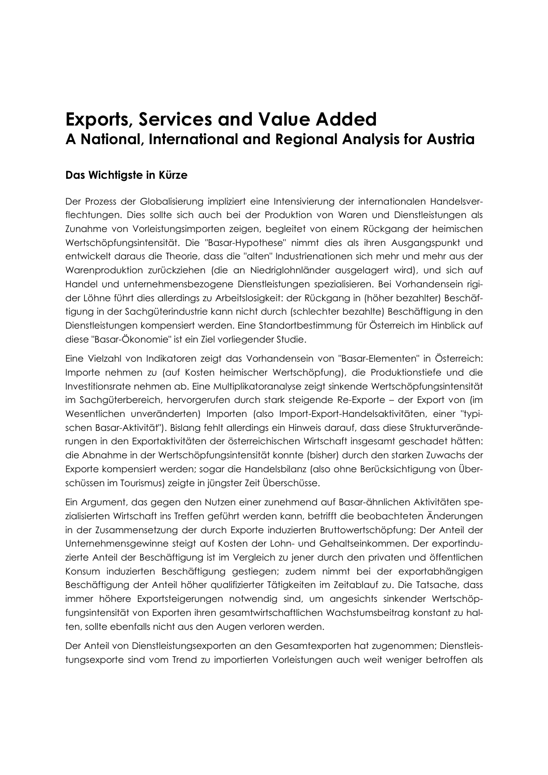## **Exports, Services and Value Added A National, International and Regional Analysis for Austria**

#### **Das Wichtigste in Kürze**

Der Prozess der Globalisierung impliziert eine Intensivierung der internationalen Handelsverflechtungen. Dies sollte sich auch bei der Produktion von Waren und Dienstleistungen als Zunahme von Vorleistungsimporten zeigen, begleitet von einem Rückgang der heimischen Wertschöpfungsintensität. Die "Basar-Hypothese" nimmt dies als ihren Ausgangspunkt und entwickelt daraus die Theorie, dass die "alten" Industrienationen sich mehr und mehr aus der Warenproduktion zurückziehen (die an Niedriglohnländer ausgelagert wird), und sich auf Handel und unternehmensbezogene Dienstleistungen spezialisieren. Bei Vorhandensein rigider Löhne führt dies allerdings zu Arbeitslosigkeit: der Rückgang in (höher bezahlter) Beschäftigung in der Sachgüterindustrie kann nicht durch (schlechter bezahlte) Beschäftigung in den Dienstleistungen kompensiert werden. Eine Standortbestimmung für Österreich im Hinblick auf diese "Basar-Ökonomie" ist ein Ziel vorliegender Studie.

Eine Vielzahl von Indikatoren zeigt das Vorhandensein von "Basar-Elementen" in Österreich: Importe nehmen zu (auf Kosten heimischer Wertschöpfung), die Produktionstiefe und die Investitionsrate nehmen ab. Eine Multiplikatoranalyse zeigt sinkende Wertschöpfungsintensität im Sachgüterbereich, hervorgerufen durch stark steigende Re-Exporte – der Export von (im Wesentlichen unveränderten) Importen (also Import-Export-Handelsaktivitäten, einer "typischen Basar-Aktivität"). Bislang fehlt allerdings ein Hinweis darauf, dass diese Strukturveränderungen in den Exportaktivitäten der österreichischen Wirtschaft insgesamt geschadet hätten: die Abnahme in der Wertschöpfungsintensität konnte (bisher) durch den starken Zuwachs der Exporte kompensiert werden; sogar die Handelsbilanz (also ohne Berücksichtigung von Überschüssen im Tourismus) zeigte in jüngster Zeit Überschüsse.

Ein Argument, das gegen den Nutzen einer zunehmend auf Basar-ähnlichen Aktivitäten spezialisierten Wirtschaft ins Treffen geführt werden kann, betrifft die beobachteten Änderungen in der Zusammensetzung der durch Exporte induzierten Bruttowertschöpfung: Der Anteil der Unternehmensgewinne steigt auf Kosten der Lohn- und Gehaltseinkommen. Der exportinduzierte Anteil der Beschäftigung ist im Vergleich zu jener durch den privaten und öffentlichen Konsum induzierten Beschäftigung gestiegen; zudem nimmt bei der exportabhängigen Beschäftigung der Anteil höher qualifizierter Tätigkeiten im Zeitablauf zu. Die Tatsache, dass immer höhere Exportsteigerungen notwendig sind, um angesichts sinkender Wertschöpfungsintensität von Exporten ihren gesamtwirtschaftlichen Wachstumsbeitrag konstant zu halten, sollte ebenfalls nicht aus den Augen verloren werden.

Der Anteil von Dienstleistungsexporten an den Gesamtexporten hat zugenommen; Dienstleistungsexporte sind vom Trend zu importierten Vorleistungen auch weit weniger betroffen als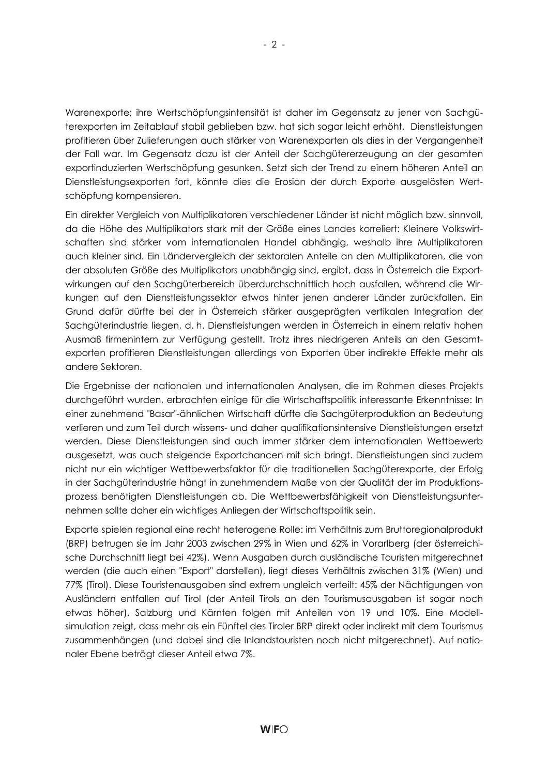Warenexporte; ihre Wertschöpfungsintensität ist daher im Gegensatz zu jener von Sachgüterexporten im Zeitablauf stabil geblieben bzw. hat sich sogar leicht erhöht. Dienstleistungen profitieren über Zulieferungen auch stärker von Warenexporten als dies in der Vergangenheit der Fall war. Im Gegensatz dazu ist der Anteil der Sachgütererzeugung an der gesamten exportinduzierten Wertschöpfung gesunken. Setzt sich der Trend zu einem höheren Anteil an Dienstleistungsexporten fort, könnte dies die Erosion der durch Exporte ausgelösten Wertschöpfung kompensieren.

Ein direkter Vergleich von Multiplikatoren verschiedener Länder ist nicht möglich bzw. sinnvoll, da die Höhe des Multiplikators stark mit der Größe eines Landes korreliert: Kleinere Volkswirtschaften sind stärker vom internationalen Handel abhängig, weshalb ihre Multiplikatoren auch kleiner sind. Ein Ländervergleich der sektoralen Anteile an den Multiplikatoren, die von der absoluten Größe des Multiplikators unabhängig sind, ergibt, dass in Österreich die Exportwirkungen auf den Sachgüterbereich überdurchschnittlich hoch ausfallen, während die Wirkungen auf den Dienstleistungssektor etwas hinter jenen anderer Länder zurückfallen. Ein Grund dafür dürfte bei der in Österreich stärker ausgeprägten vertikalen Integration der Sachgüterindustrie liegen, d. h. Dienstleistungen werden in Österreich in einem relativ hohen Ausmaß firmenintern zur Verfügung gestellt. Trotz ihres niedrigeren Anteils an den Gesamtexporten profitieren Dienstleistungen allerdings von Exporten über indirekte Effekte mehr als andere Sektoren.

Die Ergebnisse der nationalen und internationalen Analysen, die im Rahmen dieses Projekts durchgeführt wurden, erbrachten einige für die Wirtschaftspolitik interessante Erkenntnisse: In einer zunehmend "Basar"-ähnlichen Wirtschaft dürfte die Sachgüterproduktion an Bedeutung verlieren und zum Teil durch wissens- und daher qualifikationsintensive Dienstleistungen ersetzt werden. Diese Dienstleistungen sind auch immer stärker dem internationalen Wettbewerb ausgesetzt, was auch steigende Exportchancen mit sich bringt. Dienstleistungen sind zudem nicht nur ein wichtiger Wettbewerbsfaktor für die traditionellen Sachgüterexporte, der Erfolg in der Sachgüterindustrie hängt in zunehmendem Maße von der Qualität der im Produktionsprozess benötigten Dienstleistungen ab. Die Wettbewerbsfähigkeit von Dienstleistungsunternehmen sollte daher ein wichtiges Anliegen der Wirtschaftspolitik sein.

Exporte spielen regional eine recht heterogene Rolle: im Verhältnis zum Bruttoregionalprodukt (BRP) betrugen sie im Jahr 2003 zwischen 29% in Wien und 62% in Vorarlberg (der österreichische Durchschnitt liegt bei 42%). Wenn Ausgaben durch ausländische Touristen mitgerechnet werden (die auch einen "Export" darstellen), liegt dieses Verhältnis zwischen 31% (Wien) und 77% (Tirol). Diese Touristenausgaben sind extrem ungleich verteilt: 45% der Nächtigungen von Ausländern entfallen auf Tirol (der Anteil Tirols an den Tourismusausgaben ist sogar noch etwas höher), Salzburg und Kärnten folgen mit Anteilen von 19 und 10%. Eine Modellsimulation zeigt, dass mehr als ein Fünftel des Tiroler BRP direkt oder indirekt mit dem Tourismus zusammenhängen (und dabei sind die Inlandstouristen noch nicht mitgerechnet). Auf nationaler Ebene beträgt dieser Anteil etwa 7%.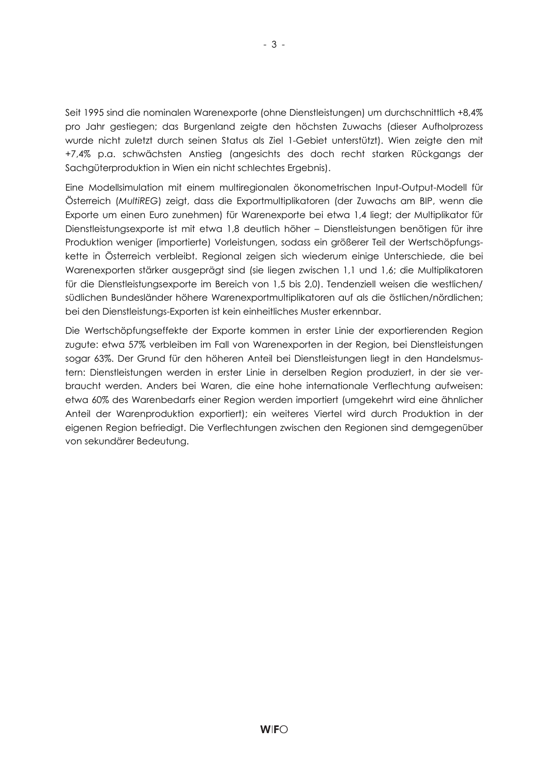Seit 1995 sind die nominalen Warenexporte (ohne Dienstleistungen) um durchschnittlich +8,4% pro Jahr gestiegen; das Burgenland zeigte den höchsten Zuwachs (dieser Aufholprozess wurde nicht zuletzt durch seinen Status als Ziel 1-Gebiet unterstützt). Wien zeigte den mit +7,4% p.a. schwächsten Anstieg (angesichts des doch recht starken Rückgangs der Sachgüterproduktion in Wien ein nicht schlechtes Ergebnis).

Eine Modellsimulation mit einem multiregionalen ökonometrischen Input-Output-Modell für Österreich (*MultiREG*) zeigt, dass die Exportmultiplikatoren (der Zuwachs am BIP, wenn die Exporte um einen Euro zunehmen) für Warenexporte bei etwa 1,4 liegt; der Multiplikator für Dienstleistungsexporte ist mit etwa 1,8 deutlich höher – Dienstleistungen benötigen für ihre Produktion weniger (importierte) Vorleistungen, sodass ein größerer Teil der Wertschöpfungskette in Österreich verbleibt. Regional zeigen sich wiederum einige Unterschiede, die bei Warenexporten stärker ausgeprägt sind (sie liegen zwischen 1,1 und 1,6; die Multiplikatoren für die Dienstleistungsexporte im Bereich von 1,5 bis 2,0). Tendenziell weisen die westlichen/ südlichen Bundesländer höhere Warenexportmultiplikatoren auf als die östlichen/nördlichen; bei den Dienstleistungs-Exporten ist kein einheitliches Muster erkennbar.

Die Wertschöpfungseffekte der Exporte kommen in erster Linie der exportierenden Region zugute: etwa 57% verbleiben im Fall von Warenexporten in der Region, bei Dienstleistungen sogar 63%. Der Grund für den höheren Anteil bei Dienstleistungen liegt in den Handelsmustern: Dienstleistungen werden in erster Linie in derselben Region produziert, in der sie verbraucht werden. Anders bei Waren, die eine hohe internationale Verflechtung aufweisen: etwa 60% des Warenbedarfs einer Region werden importiert (umgekehrt wird eine ähnlicher Anteil der Warenproduktion exportiert); ein weiteres Viertel wird durch Produktion in der eigenen Region befriedigt. Die Verflechtungen zwischen den Regionen sind demgegenüber von sekundärer Bedeutung.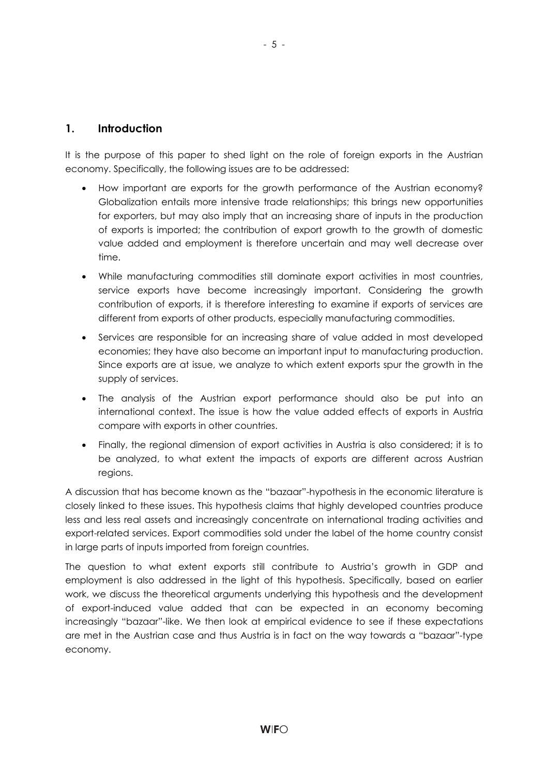#### **1. Introduction**

It is the purpose of this paper to shed light on the role of foreign exports in the Austrian economy. Specifically, the following issues are to be addressed:

- How important are exports for the growth performance of the Austrian economy? Globalization entails more intensive trade relationships; this brings new opportunities for exporters, but may also imply that an increasing share of inputs in the production of exports is imported; the contribution of export growth to the growth of domestic value added and employment is therefore uncertain and may well decrease over time.
- While manufacturing commodities still dominate export activities in most countries, service exports have become increasingly important. Considering the growth contribution of exports, it is therefore interesting to examine if exports of services are different from exports of other products, especially manufacturing commodities.
- Services are responsible for an increasing share of value added in most developed economies; they have also become an important input to manufacturing production. Since exports are at issue, we analyze to which extent exports spur the growth in the supply of services.
- The analysis of the Austrian export performance should also be put into an international context. The issue is how the value added effects of exports in Austria compare with exports in other countries.
- Finally, the regional dimension of export activities in Austria is also considered; it is to be analyzed, to what extent the impacts of exports are different across Austrian regions.

A discussion that has become known as the "bazaar"-hypothesis in the economic literature is closely linked to these issues. This hypothesis claims that highly developed countries produce less and less real assets and increasingly concentrate on international trading activities and export-related services. Export commodities sold under the label of the home country consist in large parts of inputs imported from foreign countries.

The question to what extent exports still contribute to Austria's growth in GDP and employment is also addressed in the light of this hypothesis. Specifically, based on earlier work, we discuss the theoretical arguments underlying this hypothesis and the development of export-induced value added that can be expected in an economy becoming increasingly "bazaar"-like. We then look at empirical evidence to see if these expectations are met in the Austrian case and thus Austria is in fact on the way towards a "bazaar"-type economy.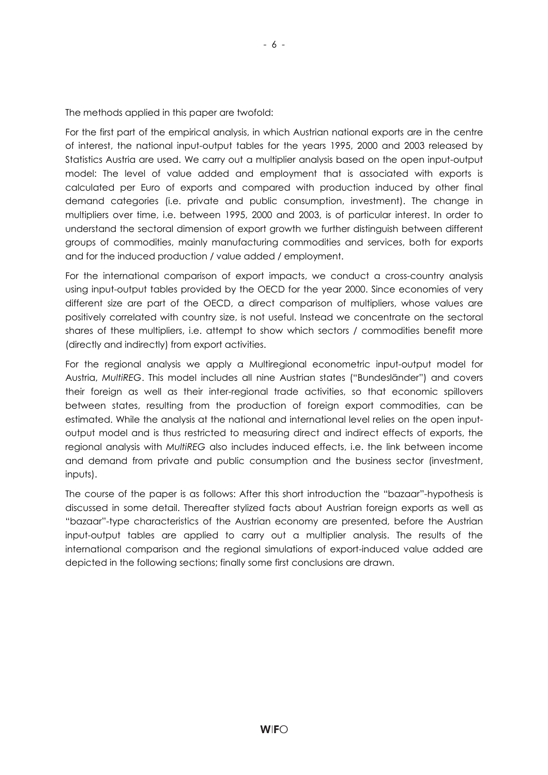The methods applied in this paper are twofold:

For the first part of the empirical analysis, in which Austrian national exports are in the centre of interest, the national input-output tables for the years 1995, 2000 and 2003 released by Statistics Austria are used. We carry out a multiplier analysis based on the open input-output model: The level of value added and employment that is associated with exports is calculated per Euro of exports and compared with production induced by other final demand categories (i.e. private and public consumption, investment). The change in multipliers over time, i.e. between 1995, 2000 and 2003, is of particular interest. In order to understand the sectoral dimension of export growth we further distinguish between different groups of commodities, mainly manufacturing commodities and services, both for exports and for the induced production / value added / employment.

For the international comparison of export impacts, we conduct a cross-country analysis using input-output tables provided by the OECD for the year 2000. Since economies of very different size are part of the OECD, a direct comparison of multipliers, whose values are positively correlated with country size, is not useful. Instead we concentrate on the sectoral shares of these multipliers, i.e. attempt to show which sectors / commodities benefit more (directly and indirectly) from export activities.

For the regional analysis we apply a Multiregional econometric input-output model for Austria, *MultiREG*. This model includes all nine Austrian states ("Bundesländer") and covers their foreign as well as their inter-regional trade activities, so that economic spillovers between states, resulting from the production of foreign export commodities, can be estimated. While the analysis at the national and international level relies on the open inputoutput model and is thus restricted to measuring direct and indirect effects of exports, the regional analysis with *MultiREG* also includes induced effects, i.e. the link between income and demand from private and public consumption and the business sector (investment, inputs).

The course of the paper is as follows: After this short introduction the "bazaar"-hypothesis is discussed in some detail. Thereafter stylized facts about Austrian foreign exports as well as "bazaar"-type characteristics of the Austrian economy are presented, before the Austrian input-output tables are applied to carry out a multiplier analysis. The results of the international comparison and the regional simulations of export-induced value added are depicted in the following sections; finally some first conclusions are drawn.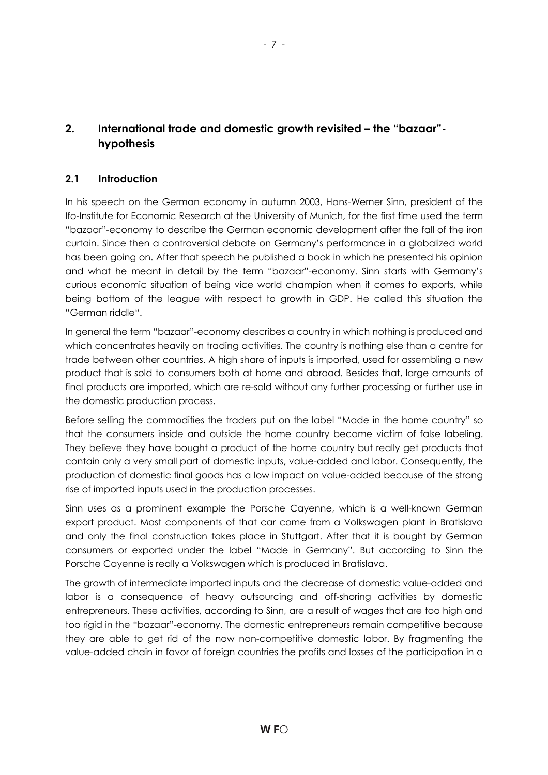### **2. International trade and domestic growth revisited – the "bazaar" hypothesis**

#### **2.1 Introduction**

In his speech on the German economy in autumn 2003, Hans-Werner Sinn, president of the Ifo-Institute for Economic Research at the University of Munich, for the first time used the term "bazaar"-economy to describe the German economic development after the fall of the iron curtain. Since then a controversial debate on Germany's performance in a globalized world has been going on. After that speech he published a book in which he presented his opinion and what he meant in detail by the term "bazaar"-economy. Sinn starts with Germany's curious economic situation of being vice world champion when it comes to exports, while being bottom of the league with respect to growth in GDP. He called this situation the "German riddle".

In general the term "bazaar"-economy describes a country in which nothing is produced and which concentrates heavily on trading activities. The country is nothing else than a centre for trade between other countries. A high share of inputs is imported, used for assembling a new product that is sold to consumers both at home and abroad. Besides that, large amounts of final products are imported, which are re-sold without any further processing or further use in the domestic production process.

Before selling the commodities the traders put on the label "Made in the home country" so that the consumers inside and outside the home country become victim of false labeling. They believe they have bought a product of the home country but really get products that contain only a very small part of domestic inputs, value-added and labor. Consequently, the production of domestic final goods has a low impact on value-added because of the strong rise of imported inputs used in the production processes.

Sinn uses as a prominent example the Porsche Cayenne, which is a well-known German export product. Most components of that car come from a Volkswagen plant in Bratislava and only the final construction takes place in Stuttgart. After that it is bought by German consumers or exported under the label "Made in Germany". But according to Sinn the Porsche Cayenne is really a Volkswagen which is produced in Bratislava.

The growth of intermediate imported inputs and the decrease of domestic value-added and labor is a consequence of heavy outsourcing and off-shoring activities by domestic entrepreneurs. These activities, according to Sinn, are a result of wages that are too high and too rigid in the "bazaar"-economy. The domestic entrepreneurs remain competitive because they are able to get rid of the now non-competitive domestic labor. By fragmenting the value-added chain in favor of foreign countries the profits and losses of the participation in a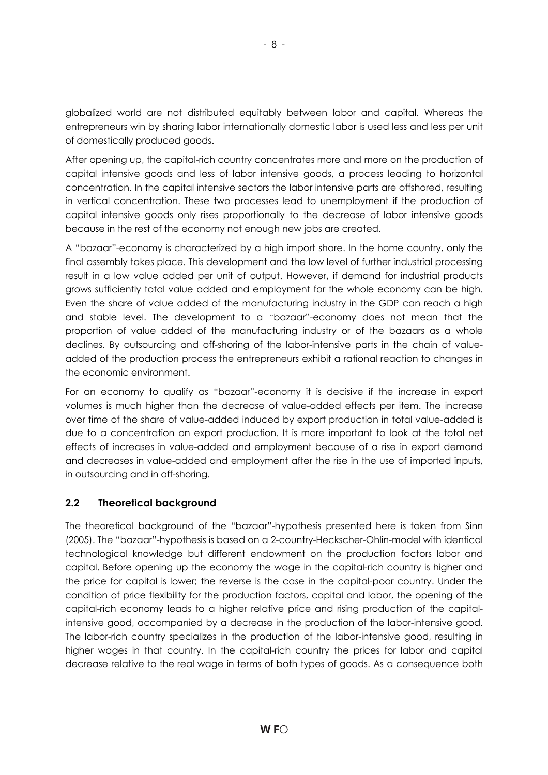globalized world are not distributed equitably between labor and capital. Whereas the entrepreneurs win by sharing labor internationally domestic labor is used less and less per unit of domestically produced goods.

After opening up, the capital-rich country concentrates more and more on the production of capital intensive goods and less of labor intensive goods, a process leading to horizontal concentration. In the capital intensive sectors the labor intensive parts are offshored, resulting in vertical concentration. These two processes lead to unemployment if the production of capital intensive goods only rises proportionally to the decrease of labor intensive goods because in the rest of the economy not enough new jobs are created.

A "bazaar"-economy is characterized by a high import share. In the home country, only the final assembly takes place. This development and the low level of further industrial processing result in a low value added per unit of output. However, if demand for industrial products grows sufficiently total value added and employment for the whole economy can be high. Even the share of value added of the manufacturing industry in the GDP can reach a high and stable level. The development to a "bazaar"-economy does not mean that the proportion of value added of the manufacturing industry or of the bazaars as a whole declines. By outsourcing and off-shoring of the labor-intensive parts in the chain of valueadded of the production process the entrepreneurs exhibit a rational reaction to changes in the economic environment.

For an economy to qualify as "bazaar"-economy it is decisive if the increase in export volumes is much higher than the decrease of value-added effects per item. The increase over time of the share of value-added induced by export production in total value-added is due to a concentration on export production. It is more important to look at the total net effects of increases in value-added and employment because of a rise in export demand and decreases in value-added and employment after the rise in the use of imported inputs, in outsourcing and in off-shoring.

#### **2.2 Theoretical background**

The theoretical background of the "bazaar"-hypothesis presented here is taken from Sinn (2005). The "bazaar"-hypothesis is based on a 2-country-Heckscher-Ohlin-model with identical technological knowledge but different endowment on the production factors labor and capital. Before opening up the economy the wage in the capital-rich country is higher and the price for capital is lower; the reverse is the case in the capital-poor country. Under the condition of price flexibility for the production factors, capital and labor, the opening of the capital-rich economy leads to a higher relative price and rising production of the capitalintensive good, accompanied by a decrease in the production of the labor-intensive good. The labor-rich country specializes in the production of the labor-intensive good, resulting in higher wages in that country. In the capital-rich country the prices for labor and capital decrease relative to the real wage in terms of both types of goods. As a consequence both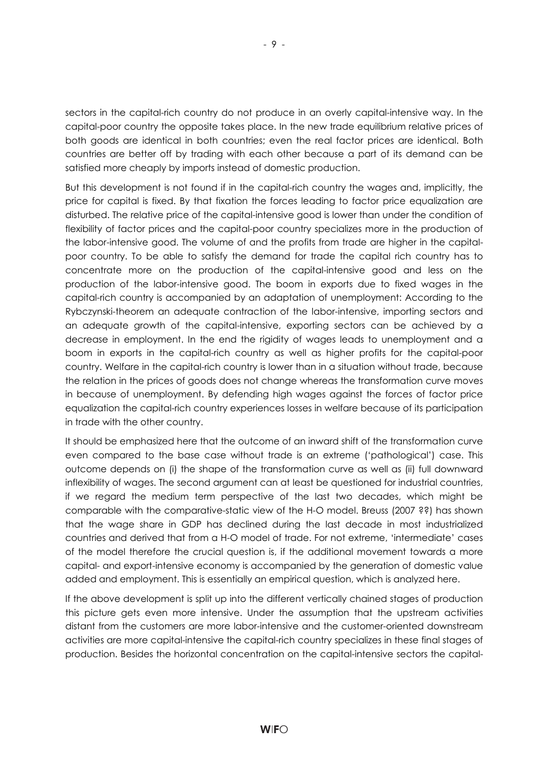sectors in the capital-rich country do not produce in an overly capital-intensive way. In the capital-poor country the opposite takes place. In the new trade equilibrium relative prices of both goods are identical in both countries; even the real factor prices are identical. Both countries are better off by trading with each other because a part of its demand can be satisfied more cheaply by imports instead of domestic production.

But this development is not found if in the capital-rich country the wages and, implicitly, the price for capital is fixed. By that fixation the forces leading to factor price equalization are disturbed. The relative price of the capital-intensive good is lower than under the condition of flexibility of factor prices and the capital-poor country specializes more in the production of the labor-intensive good. The volume of and the profits from trade are higher in the capitalpoor country. To be able to satisfy the demand for trade the capital rich country has to concentrate more on the production of the capital-intensive good and less on the production of the labor-intensive good. The boom in exports due to fixed wages in the capital-rich country is accompanied by an adaptation of unemployment: According to the Rybczynski-theorem an adequate contraction of the labor-intensive, importing sectors and an adequate growth of the capital-intensive, exporting sectors can be achieved by a decrease in employment. In the end the rigidity of wages leads to unemployment and a boom in exports in the capital-rich country as well as higher profits for the capital-poor country. Welfare in the capital-rich country is lower than in a situation without trade, because the relation in the prices of goods does not change whereas the transformation curve moves in because of unemployment. By defending high wages against the forces of factor price equalization the capital-rich country experiences losses in welfare because of its participation in trade with the other country.

It should be emphasized here that the outcome of an inward shift of the transformation curve even compared to the base case without trade is an extreme ('pathological') case. This outcome depends on (i) the shape of the transformation curve as well as (ii) full downward inflexibility of wages. The second argument can at least be questioned for industrial countries, if we regard the medium term perspective of the last two decades, which might be comparable with the comparative-static view of the H-O model. Breuss (2007 ??) has shown that the wage share in GDP has declined during the last decade in most industrialized countries and derived that from a H-O model of trade. For not extreme, 'intermediate' cases of the model therefore the crucial question is, if the additional movement towards a more capital- and export-intensive economy is accompanied by the generation of domestic value added and employment. This is essentially an empirical question, which is analyzed here.

If the above development is split up into the different vertically chained stages of production this picture gets even more intensive. Under the assumption that the upstream activities distant from the customers are more labor-intensive and the customer-oriented downstream activities are more capital-intensive the capital-rich country specializes in these final stages of production. Besides the horizontal concentration on the capital-intensive sectors the capital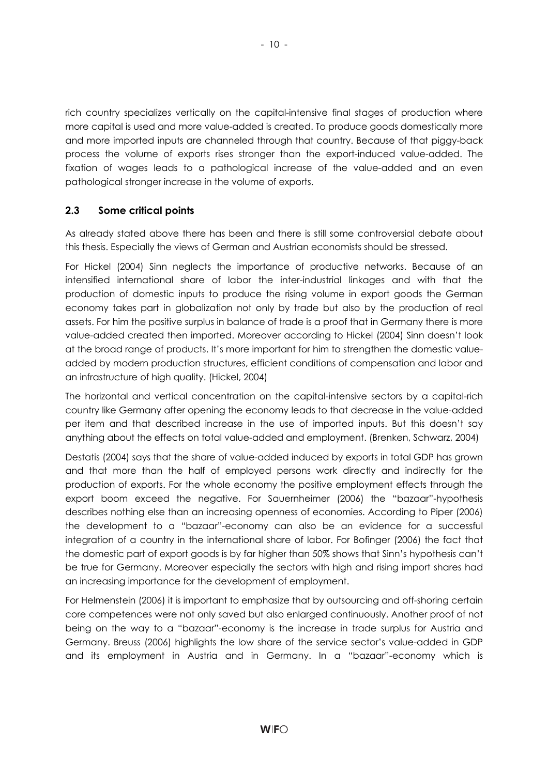rich country specializes vertically on the capital-intensive final stages of production where more capital is used and more value-added is created. To produce goods domestically more and more imported inputs are channeled through that country. Because of that piggy-back process the volume of exports rises stronger than the export-induced value-added. The fixation of wages leads to a pathological increase of the value-added and an even pathological stronger increase in the volume of exports.

#### **2.3 Some critical points**

As already stated above there has been and there is still some controversial debate about this thesis. Especially the views of German and Austrian economists should be stressed.

For Hickel (2004) Sinn neglects the importance of productive networks. Because of an intensified international share of labor the inter-industrial linkages and with that the production of domestic inputs to produce the rising volume in export goods the German economy takes part in globalization not only by trade but also by the production of real assets. For him the positive surplus in balance of trade is a proof that in Germany there is more value-added created then imported. Moreover according to Hickel (2004) Sinn doesn't look at the broad range of products. It's more important for him to strengthen the domestic valueadded by modern production structures, efficient conditions of compensation and labor and an infrastructure of high quality. (Hickel, 2004)

The horizontal and vertical concentration on the capital-intensive sectors by a capital-rich country like Germany after opening the economy leads to that decrease in the value-added per item and that described increase in the use of imported inputs. But this doesn't say anything about the effects on total value-added and employment. (Brenken, Schwarz, 2004)

Destatis (2004) says that the share of value-added induced by exports in total GDP has grown and that more than the half of employed persons work directly and indirectly for the production of exports. For the whole economy the positive employment effects through the export boom exceed the negative. For Sauernheimer (2006) the "bazaar"-hypothesis describes nothing else than an increasing openness of economies. According to Piper (2006) the development to a "bazaar"-economy can also be an evidence for a successful integration of a country in the international share of labor. For Bofinger (2006) the fact that the domestic part of export goods is by far higher than 50% shows that Sinn's hypothesis can't be true for Germany. Moreover especially the sectors with high and rising import shares had an increasing importance for the development of employment.

For Helmenstein (2006) it is important to emphasize that by outsourcing and off-shoring certain core competences were not only saved but also enlarged continuously. Another proof of not being on the way to a "bazaar"-economy is the increase in trade surplus for Austria and Germany. Breuss (2006) highlights the low share of the service sector's value-added in GDP and its employment in Austria and in Germany. In a "bazaar"-economy which is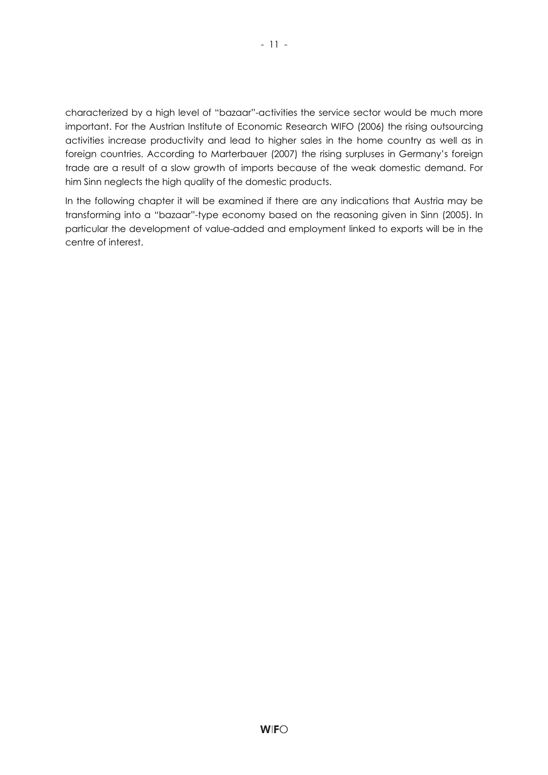characterized by a high level of "bazaar"-activities the service sector would be much more important. For the Austrian Institute of Economic Research WIFO (2006) the rising outsourcing activities increase productivity and lead to higher sales in the home country as well as in foreign countries. According to Marterbauer (2007) the rising surpluses in Germany's foreign trade are a result of a slow growth of imports because of the weak domestic demand. For him Sinn neglects the high quality of the domestic products.

In the following chapter it will be examined if there are any indications that Austria may be transforming into a "bazaar"-type economy based on the reasoning given in Sinn (2005). In particular the development of value-added and employment linked to exports will be in the centre of interest.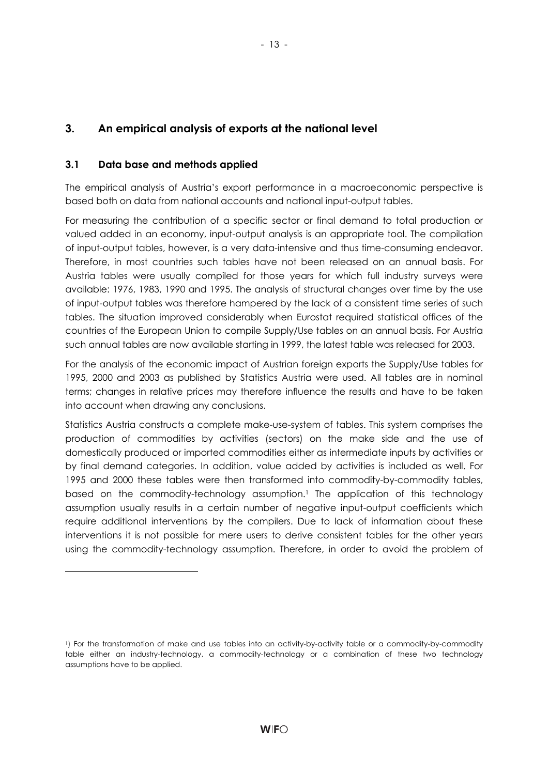### **3. An empirical analysis of exports at the national level**

#### **3.1 Data base and methods applied**

l

The empirical analysis of Austria's export performance in a macroeconomic perspective is based both on data from national accounts and national input-output tables.

For measuring the contribution of a specific sector or final demand to total production or valued added in an economy, input-output analysis is an appropriate tool. The compilation of input-output tables, however, is a very data-intensive and thus time-consuming endeavor. Therefore, in most countries such tables have not been released on an annual basis. For Austria tables were usually compiled for those years for which full industry surveys were available: 1976, 1983, 1990 and 1995. The analysis of structural changes over time by the use of input-output tables was therefore hampered by the lack of a consistent time series of such tables. The situation improved considerably when Eurostat required statistical offices of the countries of the European Union to compile Supply/Use tables on an annual basis. For Austria such annual tables are now available starting in 1999, the latest table was released for 2003.

For the analysis of the economic impact of Austrian foreign exports the Supply/Use tables for 1995, 2000 and 2003 as published by Statistics Austria were used. All tables are in nominal terms; changes in relative prices may therefore influence the results and have to be taken into account when drawing any conclusions.

Statistics Austria constructs a complete make-use-system of tables. This system comprises the production of commodities by activities (sectors) on the make side and the use of domestically produced or imported commodities either as intermediate inputs by activities or by final demand categories. In addition, value added by activities is included as well. For 1995 and 2000 these tables were then transformed into commodity-by-commodity tables, based on the commodity-technology assumption.<sup>1</sup> The application of this technology assumption usually results in a certain number of negative input-output coefficients which require additional interventions by the compilers. Due to lack of information about these interventions it is not possible for mere users to derive consistent tables for the other years using the commodity-technology assumption. Therefore, in order to avoid the problem of

<sup>1)</sup> For the transformation of make and use tables into an activity-by-activity table or a commodity-by-commodity table either an industry-technology, a commodity-technology or a combination of these two technology assumptions have to be applied.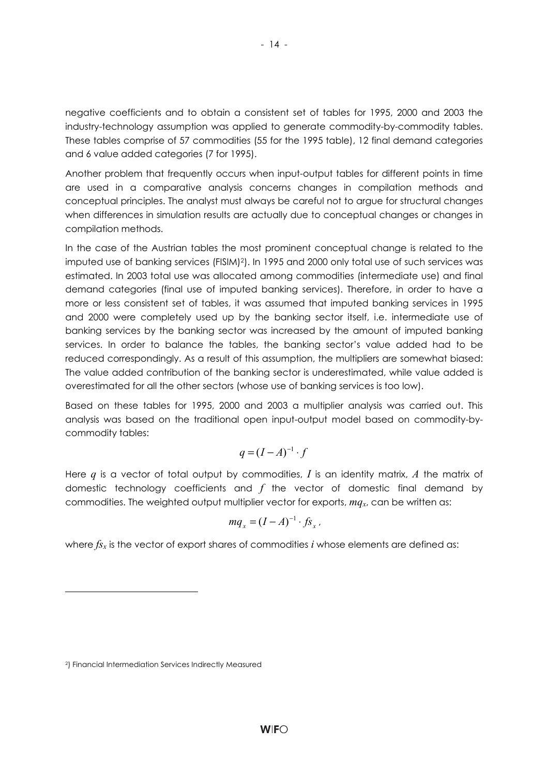negative coefficients and to obtain a consistent set of tables for 1995, 2000 and 2003 the industry-technology assumption was applied to generate commodity-by-commodity tables. These tables comprise of 57 commodities (55 for the 1995 table), 12 final demand categories and 6 value added categories (7 for 1995).

Another problem that frequently occurs when input-output tables for different points in time are used in a comparative analysis concerns changes in compilation methods and conceptual principles. The analyst must always be careful not to argue for structural changes when differences in simulation results are actually due to conceptual changes or changes in compilation methods.

In the case of the Austrian tables the most prominent conceptual change is related to the imputed use of banking services (FISIM)2). In 1995 and 2000 only total use of such services was estimated. In 2003 total use was allocated among commodities (intermediate use) and final demand categories (final use of imputed banking services). Therefore, in order to have a more or less consistent set of tables, it was assumed that imputed banking services in 1995 and 2000 were completely used up by the banking sector itself, i.e. intermediate use of banking services by the banking sector was increased by the amount of imputed banking services. In order to balance the tables, the banking sector's value added had to be reduced correspondingly. As a result of this assumption, the multipliers are somewhat biased: The value added contribution of the banking sector is underestimated, while value added is overestimated for all the other sectors (whose use of banking services is too low).

Based on these tables for 1995, 2000 and 2003 a multiplier analysis was carried out. This analysis was based on the traditional open input-output model based on commodity-bycommodity tables:

$$
q = (I - A)^{-1} \cdot f
$$

Here *q* is a vector of total output by commodities, *I* is an identity matrix, *A* the matrix of domestic technology coefficients and *f* the vector of domestic final demand by commodities. The weighted output multiplier vector for exports, *mqx*, can be written as:

$$
mq_x = (I - A)^{-1} \cdot f s_x \,.
$$

where  $f_{x}$  is the vector of export shares of commodities *i* whose elements are defined as:

l

<sup>2)</sup> Financial Intermediation Services Indirectly Measured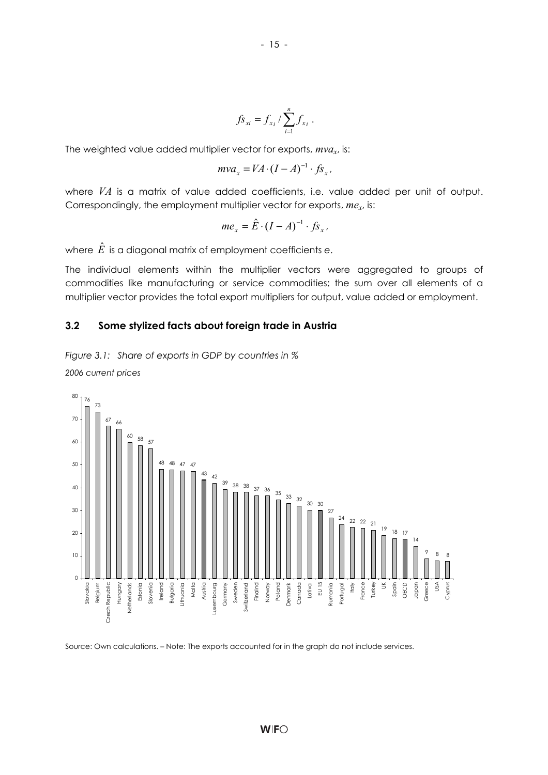$$
-15 -
$$

$$
f_{S_{xi}} = f_{x_i} / \sum_{i=1}^{n} f_{x_i}.
$$

The weighted value added multiplier vector for exports, *mvax*, is:

$$
mva_x = VA \cdot (I - A)^{-1} \cdot fs_x.
$$

where *VA* is a matrix of value added coefficients, i.e. value added per unit of output. Correspondingly, the employment multiplier vector for exports, *mex*, is:

$$
me_x = \hat{E} \cdot (I - A)^{-1} \cdot f s_x.
$$

where *E*ˆ is a diagonal matrix of employment coefficients *e*.

The individual elements within the multiplier vectors were aggregated to groups of commodities like manufacturing or service commodities; the sum over all elements of a multiplier vector provides the total export multipliers for output, value added or employment.

#### **3.2 Some stylized facts about foreign trade in Austria**

*Figure 3.1: Share of exports in GDP by countries in % 2006 current prices* 



Source: Own calculations. – Note: The exports accounted for in the graph do not include services.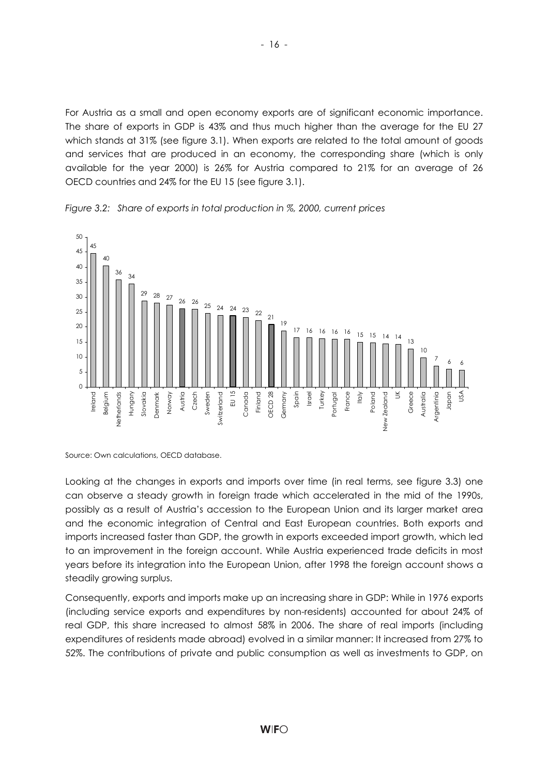For Austria as a small and open economy exports are of significant economic importance. The share of exports in GDP is 43% and thus much higher than the average for the EU 27 which stands at 31% (see figure 3.1). When exports are related to the total amount of goods and services that are produced in an economy, the corresponding share (which is only available for the year 2000) is 26% for Austria compared to 21% for an average of 26 OECD countries and 24% for the EU 15 (see figure 3.1).



*Figure 3.2: Share of exports in total production in %, 2000, current prices* 

Looking at the changes in exports and imports over time (in real terms, see figure 3.3) one can observe a steady growth in foreign trade which accelerated in the mid of the 1990s, possibly as a result of Austria's accession to the European Union and its larger market area and the economic integration of Central and East European countries. Both exports and imports increased faster than GDP, the growth in exports exceeded import growth, which led to an improvement in the foreign account. While Austria experienced trade deficits in most years before its integration into the European Union, after 1998 the foreign account shows a steadily growing surplus.

Consequently, exports and imports make up an increasing share in GDP: While in 1976 exports (including service exports and expenditures by non-residents) accounted for about 24% of real GDP, this share increased to almost 58% in 2006. The share of real imports (including expenditures of residents made abroad) evolved in a similar manner: It increased from 27% to 52%. The contributions of private and public consumption as well as investments to GDP, on

Source: Own calculations, OECD database.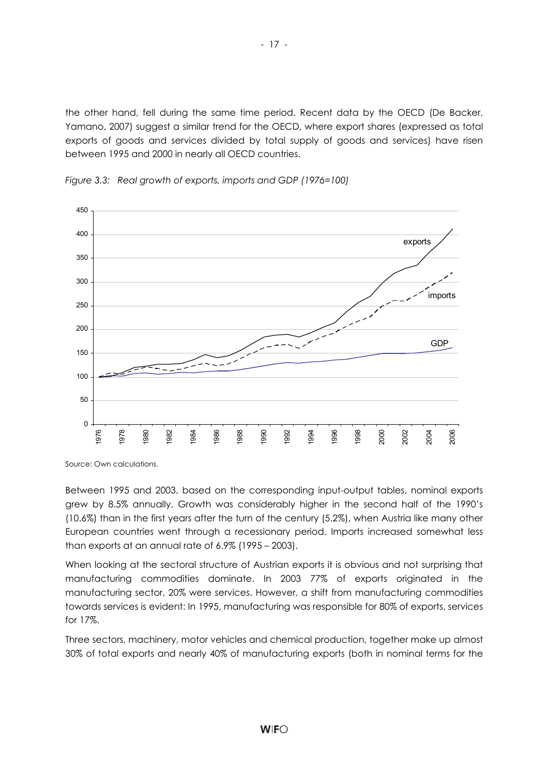the other hand, fell during the same time period. Recent data by the OECD (De Backer, Yamano, 2007) suggest a similar trend for the OECD, where export shares (expressed as total exports of goods and services divided by total supply of goods and services) have risen between 1995 and 2000 in nearly all OECD countries.



*Figure 3.3: Real growth of exports, imports and GDP (1976=100)* 

Source: Own calculations.

Between 1995 and 2003, based on the corresponding input-output tables, nominal exports grew by 8.5% annually. Growth was considerably higher in the second half of the 1990's (10.6%) than in the first years after the turn of the century (5.2%), when Austria like many other European countries went through a recessionary period. Imports increased somewhat less than exports at an annual rate of 6.9% (1995 – 2003).

When looking at the sectoral structure of Austrian exports it is obvious and not surprising that manufacturing commodities dominate. In 2003 77% of exports originated in the manufacturing sector, 20% were services. However, a shift from manufacturing commodities towards services is evident: In 1995, manufacturing was responsible for 80% of exports, services for 17%.

Three sectors, machinery, motor vehicles and chemical production, together make up almost 30% of total exports and nearly 40% of manufacturing exports (both in nominal terms for the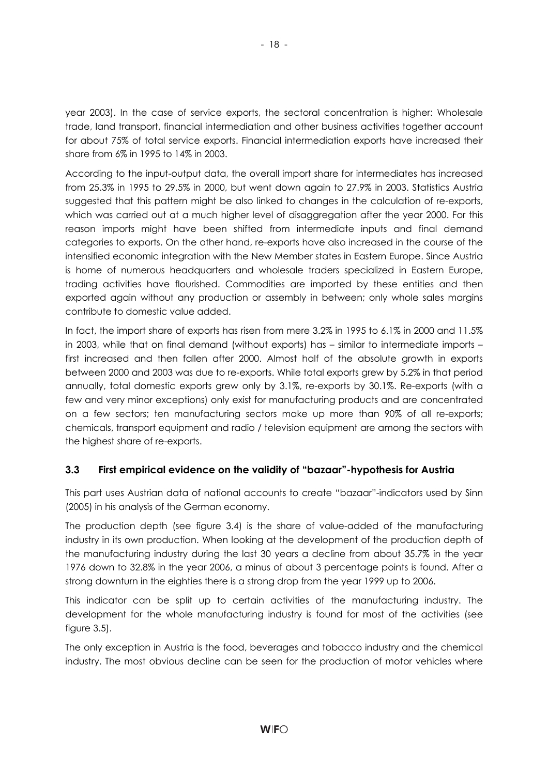year 2003). In the case of service exports, the sectoral concentration is higher: Wholesale trade, land transport, financial intermediation and other business activities together account for about 75% of total service exports. Financial intermediation exports have increased their share from 6% in 1995 to 14% in 2003.

According to the input-output data, the overall import share for intermediates has increased from 25.3% in 1995 to 29.5% in 2000, but went down again to 27.9% in 2003. Statistics Austria suggested that this pattern might be also linked to changes in the calculation of re-exports, which was carried out at a much higher level of disaggregation after the year 2000. For this reason imports might have been shifted from intermediate inputs and final demand categories to exports. On the other hand, re-exports have also increased in the course of the intensified economic integration with the New Member states in Eastern Europe. Since Austria is home of numerous headquarters and wholesale traders specialized in Eastern Europe, trading activities have flourished. Commodities are imported by these entities and then exported again without any production or assembly in between; only whole sales margins contribute to domestic value added.

In fact, the import share of exports has risen from mere 3.2% in 1995 to 6.1% in 2000 and 11.5% in 2003, while that on final demand (without exports) has – similar to intermediate imports – first increased and then fallen after 2000. Almost half of the absolute growth in exports between 2000 and 2003 was due to re-exports. While total exports grew by 5.2% in that period annually, total domestic exports grew only by 3.1%, re-exports by 30.1%. Re-exports (with a few and very minor exceptions) only exist for manufacturing products and are concentrated on a few sectors; ten manufacturing sectors make up more than 90% of all re-exports; chemicals, transport equipment and radio / television equipment are among the sectors with the highest share of re-exports.

#### **3.3 First empirical evidence on the validity of "bazaar"-hypothesis for Austria**

This part uses Austrian data of national accounts to create "bazaar"-indicators used by Sinn (2005) in his analysis of the German economy.

The production depth (see figure 3.4) is the share of value-added of the manufacturing industry in its own production. When looking at the development of the production depth of the manufacturing industry during the last 30 years a decline from about 35.7% in the year 1976 down to 32.8% in the year 2006, a minus of about 3 percentage points is found. After a strong downturn in the eighties there is a strong drop from the year 1999 up to 2006.

This indicator can be split up to certain activities of the manufacturing industry. The development for the whole manufacturing industry is found for most of the activities (see figure 3.5).

The only exception in Austria is the food, beverages and tobacco industry and the chemical industry. The most obvious decline can be seen for the production of motor vehicles where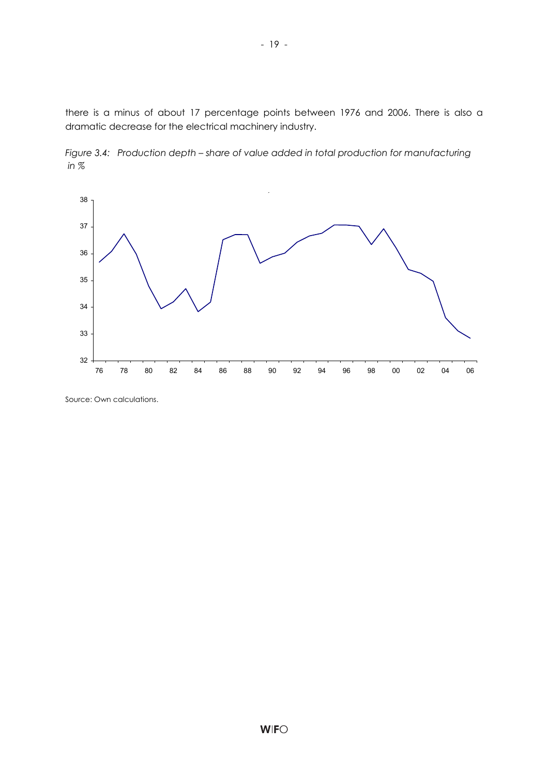there is a minus of about 17 percentage points between 1976 and 2006. There is also a dramatic decrease for the electrical machinery industry.





Source: Own calculations.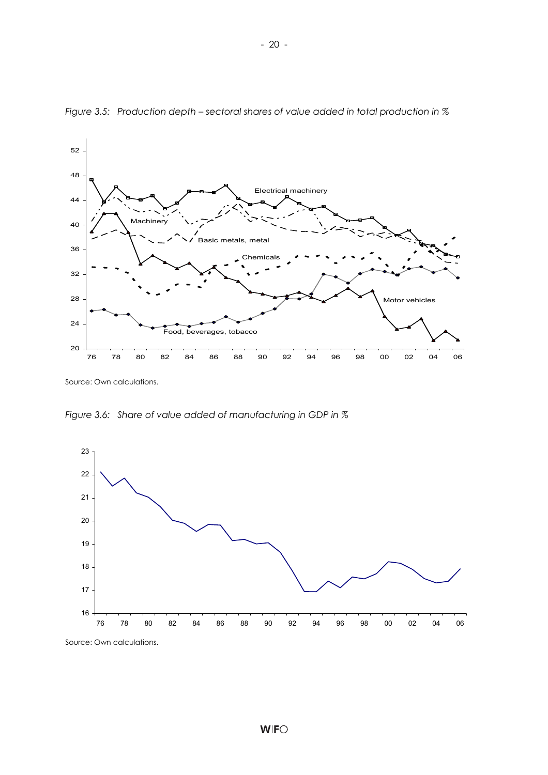

*Figure 3.5: Production depth – sectoral shares of value added in total production in %* 

*Figure 3.6: Share of value added of manufacturing in GDP in %* 

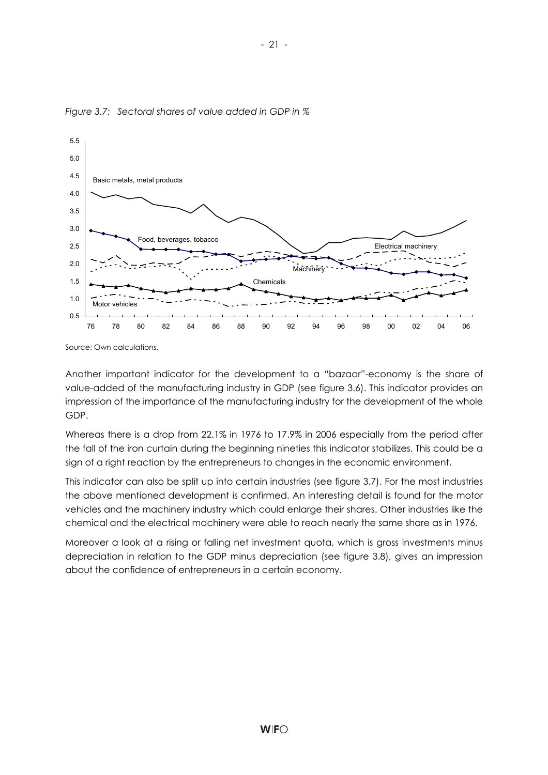

*Figure 3.7: Sectoral shares of value added in GDP in %* 

Another important indicator for the development to a "bazaar"-economy is the share of value-added of the manufacturing industry in GDP (see figure 3.6). This indicator provides an impression of the importance of the manufacturing industry for the development of the whole GDP.

Whereas there is a drop from 22.1% in 1976 to 17.9% in 2006 especially from the period after the fall of the iron curtain during the beginning nineties this indicator stabilizes. This could be a sign of a right reaction by the entrepreneurs to changes in the economic environment.

This indicator can also be split up into certain industries (see figure 3.7). For the most industries the above mentioned development is confirmed. An interesting detail is found for the motor vehicles and the machinery industry which could enlarge their shares. Other industries like the chemical and the electrical machinery were able to reach nearly the same share as in 1976.

Moreover a look at a rising or falling net investment quota, which is gross investments minus depreciation in relation to the GDP minus depreciation (see figure 3.8), gives an impression about the confidence of entrepreneurs in a certain economy.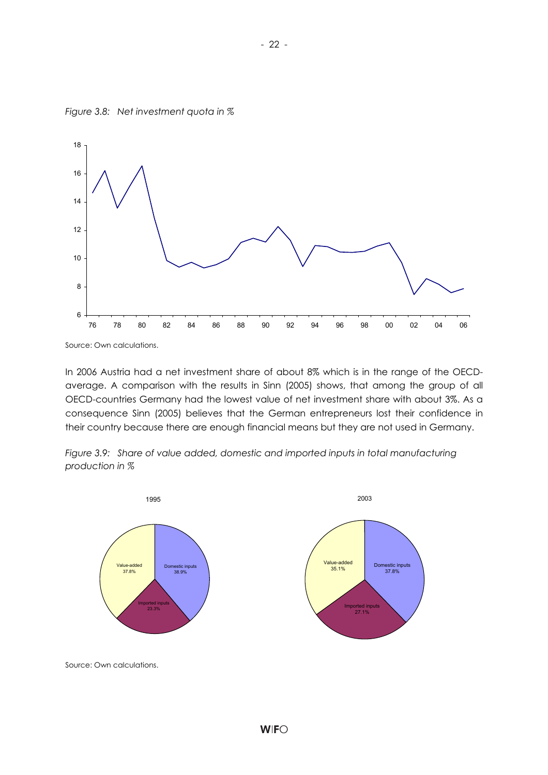

*Figure 3.8: Net investment quota in %* 

In 2006 Austria had a net investment share of about 8% which is in the range of the OECDaverage. A comparison with the results in Sinn (2005) shows, that among the group of all OECD-countries Germany had the lowest value of net investment share with about 3%. As a consequence Sinn (2005) believes that the German entrepreneurs lost their confidence in their country because there are enough financial means but they are not used in Germany.





Source: Own calculations.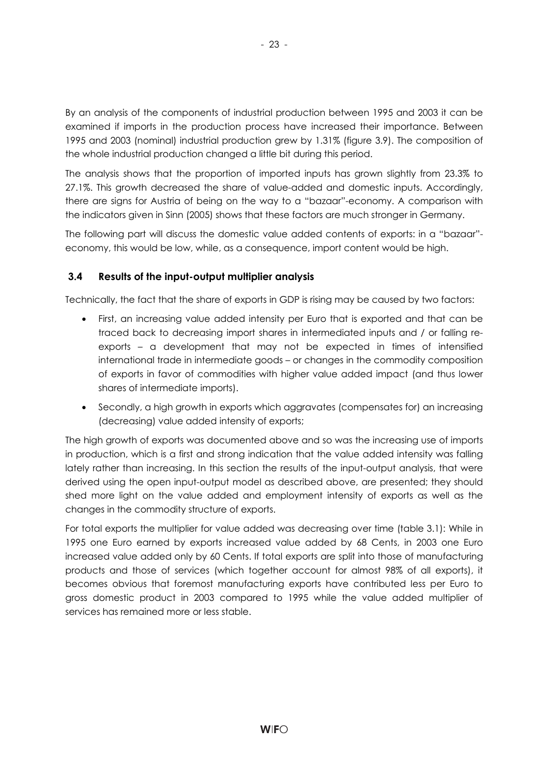By an analysis of the components of industrial production between 1995 and 2003 it can be examined if imports in the production process have increased their importance. Between 1995 and 2003 (nominal) industrial production grew by 1.31% (figure 3.9). The composition of the whole industrial production changed a little bit during this period.

The analysis shows that the proportion of imported inputs has grown slightly from 23.3% to 27.1%. This growth decreased the share of value-added and domestic inputs. Accordingly, there are signs for Austria of being on the way to a "bazaar"-economy. A comparison with the indicators given in Sinn (2005) shows that these factors are much stronger in Germany.

The following part will discuss the domestic value added contents of exports: in a "bazaar" economy, this would be low, while, as a consequence, import content would be high.

#### **3.4 Results of the input-output multiplier analysis**

Technically, the fact that the share of exports in GDP is rising may be caused by two factors:

- First, an increasing value added intensity per Euro that is exported and that can be traced back to decreasing import shares in intermediated inputs and / or falling reexports – a development that may not be expected in times of intensified international trade in intermediate goods – or changes in the commodity composition of exports in favor of commodities with higher value added impact (and thus lower shares of intermediate imports).
- Secondly, a high growth in exports which aggravates (compensates for) an increasing (decreasing) value added intensity of exports;

The high growth of exports was documented above and so was the increasing use of imports in production, which is a first and strong indication that the value added intensity was falling lately rather than increasing. In this section the results of the input-output analysis, that were derived using the open input-output model as described above, are presented; they should shed more light on the value added and employment intensity of exports as well as the changes in the commodity structure of exports.

For total exports the multiplier for value added was decreasing over time (table 3.1): While in 1995 one Euro earned by exports increased value added by 68 Cents, in 2003 one Euro increased value added only by 60 Cents. If total exports are split into those of manufacturing products and those of services (which together account for almost 98% of all exports), it becomes obvious that foremost manufacturing exports have contributed less per Euro to gross domestic product in 2003 compared to 1995 while the value added multiplier of services has remained more or less stable.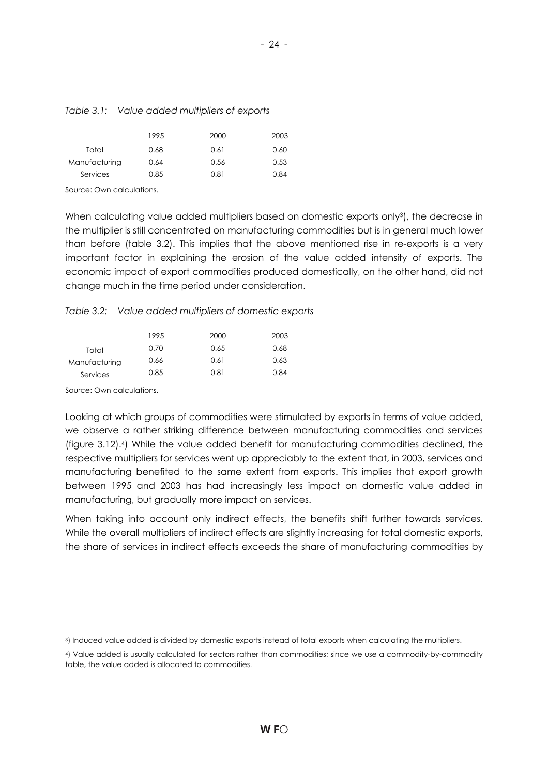|               | 1995 | 2000 | 2003 |
|---------------|------|------|------|
| Total         | 0.68 | 0.61 | 0.60 |
| Manufacturing | 0.64 | 0.56 | 0.53 |
| Services      | 0.85 | 0.81 | 0.84 |
|               |      |      |      |

#### *Table 3.1: Value added multipliers of exports*

Source: Own calculations.

When calculating value added multipliers based on domestic exports only<sup>3</sup>), the decrease in the multiplier is still concentrated on manufacturing commodities but is in general much lower than before (table 3.2). This implies that the above mentioned rise in re-exports is a very important factor in explaining the erosion of the value added intensity of exports. The economic impact of export commodities produced domestically, on the other hand, did not change much in the time period under consideration.

*Table 3.2: Value added multipliers of domestic exports* 

|               | 1995 | 2000 | 2003 |
|---------------|------|------|------|
| Total         | 0.70 | 0.65 | 0.68 |
| Manufacturing | 0.66 | 0.61 | 0.63 |
| Services      | 0.85 | 0.81 | 0.84 |

Source: Own calculations.

l

Looking at which groups of commodities were stimulated by exports in terms of value added, we observe a rather striking difference between manufacturing commodities and services (figure 3.12).4) While the value added benefit for manufacturing commodities declined, the respective multipliers for services went up appreciably to the extent that, in 2003, services and manufacturing benefited to the same extent from exports. This implies that export growth between 1995 and 2003 has had increasingly less impact on domestic value added in manufacturing, but gradually more impact on services.

When taking into account only indirect effects, the benefits shift further towards services. While the overall multipliers of indirect effects are slightly increasing for total domestic exports, the share of services in indirect effects exceeds the share of manufacturing commodities by

<sup>3)</sup> Induced value added is divided by domestic exports instead of total exports when calculating the multipliers.

<sup>4)</sup> Value added is usually calculated for sectors rather than commodities; since we use a commodity-by-commodity table, the value added is allocated to commodities.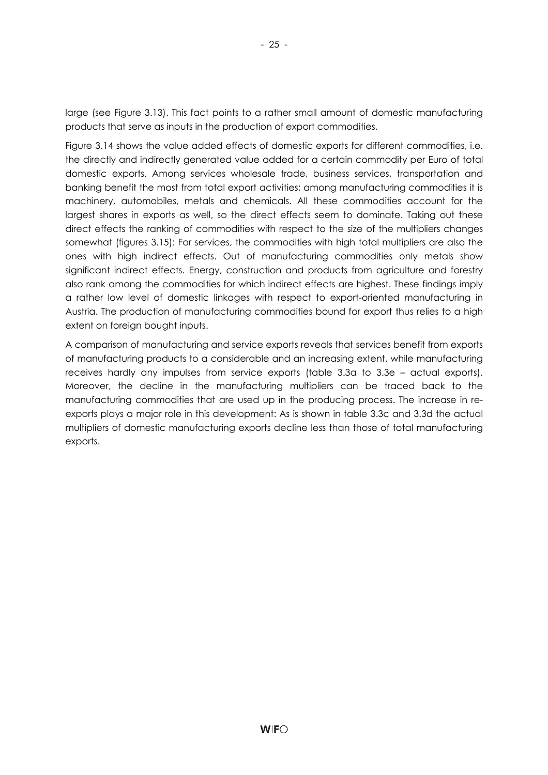large (see Figure 3.13). This fact points to a rather small amount of domestic manufacturing products that serve as inputs in the production of export commodities.

Figure 3.14 shows the value added effects of domestic exports for different commodities, i.e. the directly and indirectly generated value added for a certain commodity per Euro of total domestic exports. Among services wholesale trade, business services, transportation and banking benefit the most from total export activities; among manufacturing commodities it is machinery, automobiles, metals and chemicals. All these commodities account for the largest shares in exports as well, so the direct effects seem to dominate. Taking out these direct effects the ranking of commodities with respect to the size of the multipliers changes somewhat (figures 3.15): For services, the commodities with high total multipliers are also the ones with high indirect effects. Out of manufacturing commodities only metals show significant indirect effects. Energy, construction and products from agriculture and forestry also rank among the commodities for which indirect effects are highest. These findings imply a rather low level of domestic linkages with respect to export-oriented manufacturing in Austria. The production of manufacturing commodities bound for export thus relies to a high extent on foreign bought inputs.

A comparison of manufacturing and service exports reveals that services benefit from exports of manufacturing products to a considerable and an increasing extent, while manufacturing receives hardly any impulses from service exports (table 3.3a to 3.3e – actual exports). Moreover, the decline in the manufacturing multipliers can be traced back to the manufacturing commodities that are used up in the producing process. The increase in reexports plays a major role in this development: As is shown in table 3.3c and 3.3d the actual multipliers of domestic manufacturing exports decline less than those of total manufacturing exports.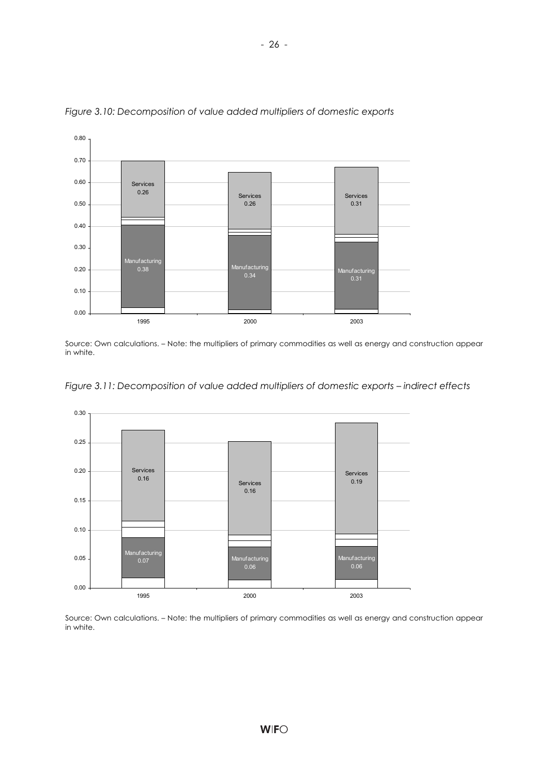

*Figure 3.10: Decomposition of value added multipliers of domestic exports* 

Source: Own calculations. – Note: the multipliers of primary commodities as well as energy and construction appear in white.





Source: Own calculations. – Note: the multipliers of primary commodities as well as energy and construction appear in white.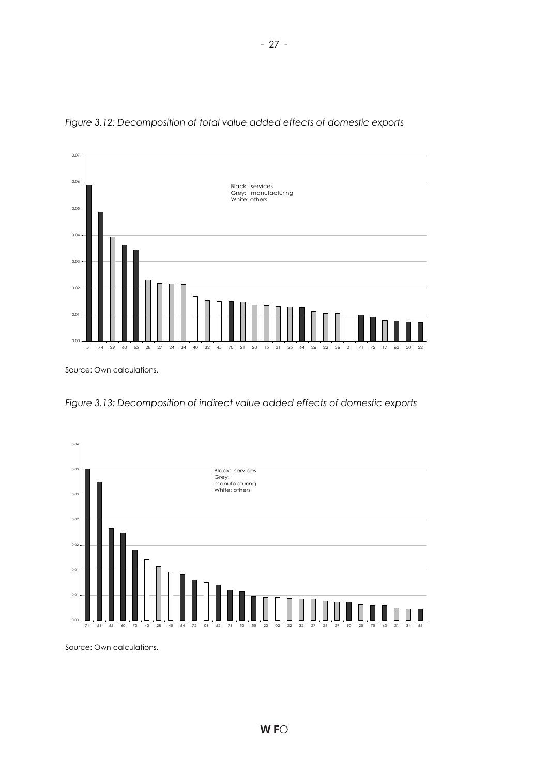

*Figure 3.12: Decomposition of total value added effects of domestic exports* 

*Figure 3.13: Decomposition of indirect value added effects of domestic exports* 



Source: Own calculations.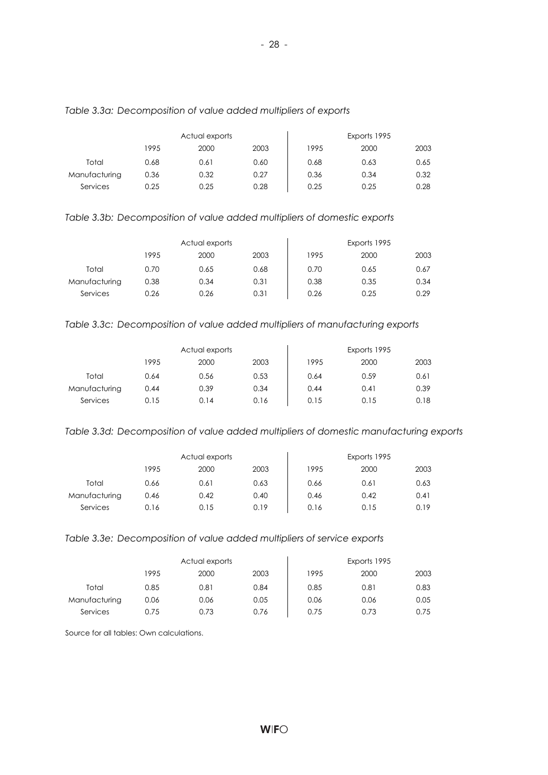|               |      | Actual exports |      |      | Exports 1995 |      |
|---------------|------|----------------|------|------|--------------|------|
|               | 1995 | 2000           | 2003 | 1995 | 2000         | 2003 |
| Total         | 0.68 | 0.61           | 0.60 | 0.68 | 0.63         | 0.65 |
| Manufacturing | 0.36 | 0.32           | 0.27 | 0.36 | 0.34         | 0.32 |
| Services      | 0.25 | 0.25           | 0.28 | 0.25 | 0.25         | 0.28 |

#### *Table 3.3a: Decomposition of value added multipliers of exports*

*Table 3.3b: Decomposition of value added multipliers of domestic exports* 

|               |      | Actual exports |      |      | Exports 1995 |      |
|---------------|------|----------------|------|------|--------------|------|
|               | 1995 | 2000           | 2003 | 1995 | 2000         | 2003 |
| Total         | 0.70 | 0.65           | 0.68 | 0.70 | 0.65         | 0.67 |
| Manufacturing | 0.38 | 0.34           | 0.31 | 0.38 | 0.35         | 0.34 |
| Services      | 0.26 | 0.26           | 0.31 | 0.26 | 0.25         | 0.29 |

#### *Table 3.3c: Decomposition of value added multipliers of manufacturing exports*

|               |      | Actual exports |      |      | Exports 1995 |      |
|---------------|------|----------------|------|------|--------------|------|
|               | 1995 | 2000           | 2003 | 1995 | 2000         | 2003 |
| Total         | 0.64 | 0.56           | 0.53 | 0.64 | 0.59         | 0.61 |
| Manufacturing | 0.44 | 0.39           | 0.34 | 0.44 | 0.41         | 0.39 |
| Services      | 0.15 | 0.14           | 0.16 | 0.15 | 0.15         | 0.18 |

#### *Table 3.3d: Decomposition of value added multipliers of domestic manufacturing exports*

|               |      | Actual exports |      |      | Exports 1995 |      |
|---------------|------|----------------|------|------|--------------|------|
|               | 1995 | 2000           | 2003 | 1995 | 2000         | 2003 |
| Total         | 0.66 | 0.61           | 0.63 | 0.66 | 0.61         | 0.63 |
| Manufacturing | 0.46 | 0.42           | 0.40 | 0.46 | 0.42         | 0.41 |
| Services      | 0.16 | 0.15           | 0.19 | 0.16 | 0.15         | 0.19 |

#### *Table 3.3e: Decomposition of value added multipliers of service exports*

|               |      | Actual exports |      |      | Exports 1995 |      |
|---------------|------|----------------|------|------|--------------|------|
|               | 1995 | 2000           | 2003 | 1995 | 2000         | 2003 |
| Total         | 0.85 | 0.81           | 0.84 | 0.85 | 0.81         | 0.83 |
| Manufacturing | 0.06 | 0.06           | 0.05 | 0.06 | 0.06         | 0.05 |
| Services      | 0.75 | 0.73           | 0.76 | 0.75 | 0.73         | 0.75 |

Source for all tables: Own calculations.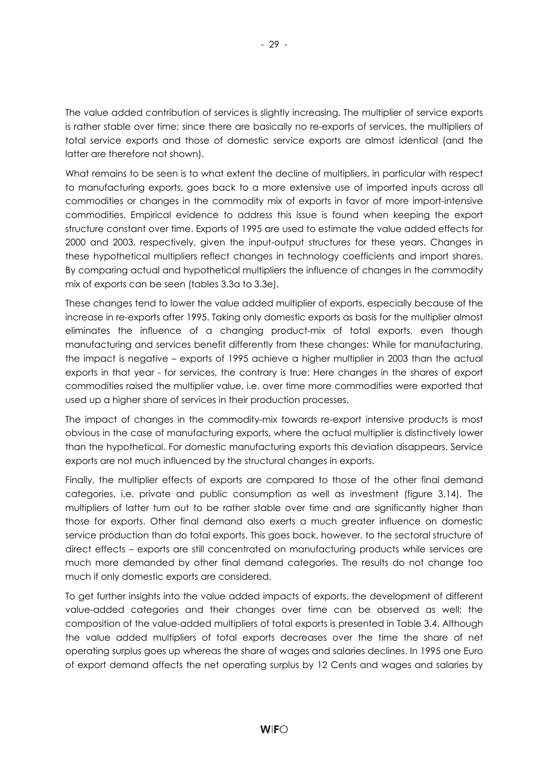The value added contribution of services is slightly increasing. The multiplier of service exports is rather stable over time; since there are basically no re-exports of services, the multipliers of total service exports and those of domestic service exports are almost identical (and the latter are therefore not shown).

What remains to be seen is to what extent the decline of multipliers, in particular with respect to manufacturing exports, goes back to a more extensive use of imported inputs across all commodities or changes in the commodity mix of exports in favor of more import-intensive commodities. Empirical evidence to address this issue is found when keeping the export structure constant over time. Exports of 1995 are used to estimate the value added effects for 2000 and 2003, respectively, given the input-output structures for these years. Changes in these hypothetical multipliers reflect changes in technology coefficients and import shares. By comparing actual and hypothetical multipliers the influence of changes in the commodity mix of exports can be seen (tables 3.3a to 3.3e).

These changes tend to lower the value added multiplier of exports, especially because of the increase in re-exports after 1995. Taking only domestic exports as basis for the multiplier almost eliminates the influence of a changing product-mix of total exports, even though manufacturing and services benefit differently from these changes: While for manufacturing, the impact is negative – exports of 1995 achieve a higher multiplier in 2003 than the actual exports in that year - for services, the contrary is true: Here changes in the shares of export commodities raised the multiplier value, i.e. over time more commodities were exported that used up a higher share of services in their production processes.

The impact of changes in the commodity-mix towards re-export intensive products is most obvious in the case of manufacturing exports, where the actual multiplier is distinctively lower than the hypothetical. For domestic manufacturing exports this deviation disappears. Service exports are not much influenced by the structural changes in exports.

Finally, the multiplier effects of exports are compared to those of the other final demand categories, i.e. private and public consumption as well as investment (figure 3.14). The multipliers of latter turn out to be rather stable over time and are significantly higher than those for exports. Other final demand also exerts a much greater influence on domestic service production than do total exports. This goes back, however, to the sectoral structure of direct effects – exports are still concentrated on manufacturing products while services are much more demanded by other final demand categories. The results do not change too much if only domestic exports are considered.

To get further insights into the value added impacts of exports, the development of different value-added categories and their changes over time can be observed as well; the composition of the value-added multipliers of total exports is presented in Table 3.4. Although the value added multipliers of total exports decreases over the time the share of net operating surplus goes up whereas the share of wages and salaries declines. In 1995 one Euro of export demand affects the net operating surplus by 12 Cents and wages and salaries by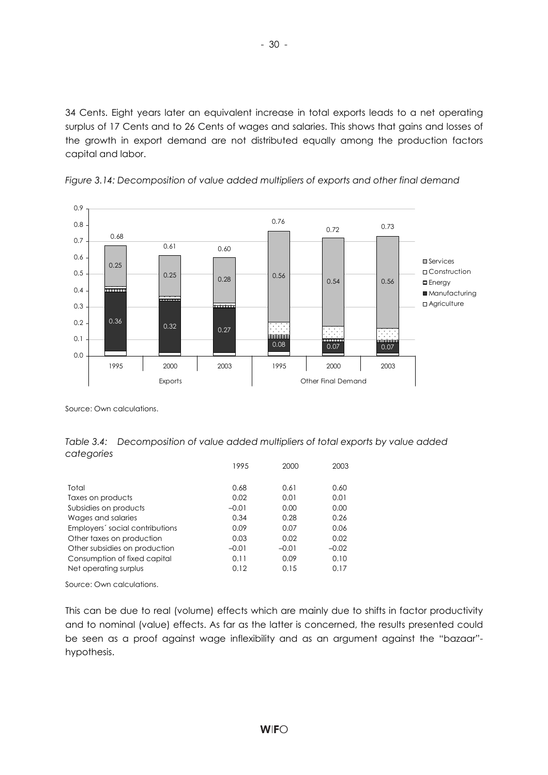34 Cents. Eight years later an equivalent increase in total exports leads to a net operating surplus of 17 Cents and to 26 Cents of wages and salaries. This shows that gains and losses of the growth in export demand are not distributed equally among the production factors capital and labor.





Source: Own calculations.

*Table 3.4: Decomposition of value added multipliers of total exports by value added categories* 

|                                                              | 1995         | 2000         | 2003         |
|--------------------------------------------------------------|--------------|--------------|--------------|
| Total                                                        | 0.68         | 0.61         | 0.60         |
| Taxes on products                                            | 0.02         | 0.01         | 0.01         |
| Subsidies on products                                        | $-0.01$      | 0.00         | 0.00         |
| Wages and salaries                                           | 0.34         | 0.28         | 0.26         |
| Employers' social contributions<br>Other taxes on production | 0.09<br>0.03 | 0.07<br>0.02 | 0.06<br>0.02 |
| Other subsidies on production                                | $-0.01$      | $-0.01$      | $-0.02$      |
| Consumption of fixed capital                                 | 0.11         | 0.09         | 0.10         |
| Net operating surplus                                        | 0.12         | 0.15         | 0.17         |

Source: Own calculations.

This can be due to real (volume) effects which are mainly due to shifts in factor productivity and to nominal (value) effects. As far as the latter is concerned, the results presented could be seen as a proof against wage inflexibility and as an argument against the "bazaar" hypothesis.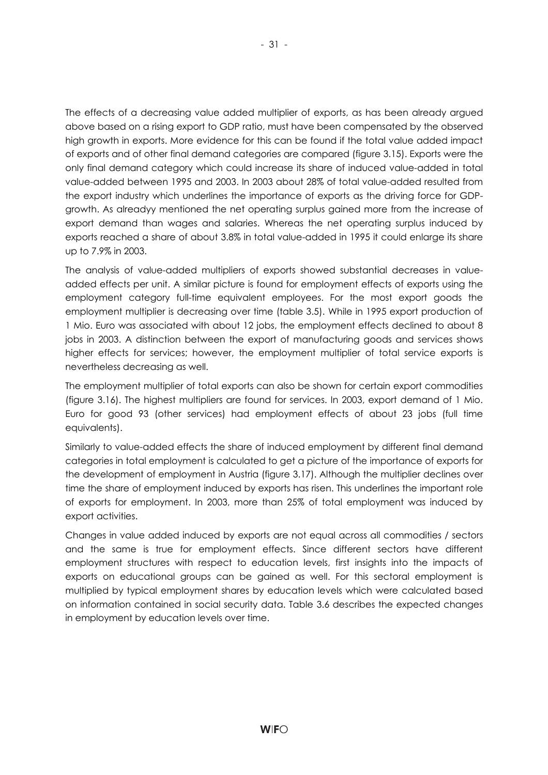The effects of a decreasing value added multiplier of exports, as has been already argued above based on a rising export to GDP ratio, must have been compensated by the observed high growth in exports. More evidence for this can be found if the total value added impact of exports and of other final demand categories are compared (figure 3.15). Exports were the only final demand category which could increase its share of induced value-added in total value-added between 1995 and 2003. In 2003 about 28% of total value-added resulted from the export industry which underlines the importance of exports as the driving force for GDPgrowth. As alreadyy mentioned the net operating surplus gained more from the increase of export demand than wages and salaries. Whereas the net operating surplus induced by exports reached a share of about 3.8% in total value-added in 1995 it could enlarge its share up to 7.9% in 2003.

The analysis of value-added multipliers of exports showed substantial decreases in valueadded effects per unit. A similar picture is found for employment effects of exports using the employment category full-time equivalent employees. For the most export goods the employment multiplier is decreasing over time (table 3.5). While in 1995 export production of 1 Mio. Euro was associated with about 12 jobs, the employment effects declined to about 8 jobs in 2003. A distinction between the export of manufacturing goods and services shows higher effects for services; however, the employment multiplier of total service exports is nevertheless decreasing as well.

The employment multiplier of total exports can also be shown for certain export commodities (figure 3.16). The highest multipliers are found for services. In 2003, export demand of 1 Mio. Euro for good 93 (other services) had employment effects of about 23 jobs (full time equivalents).

Similarly to value-added effects the share of induced employment by different final demand categories in total employment is calculated to get a picture of the importance of exports for the development of employment in Austria (figure 3.17). Although the multiplier declines over time the share of employment induced by exports has risen. This underlines the important role of exports for employment. In 2003, more than 25% of total employment was induced by export activities.

Changes in value added induced by exports are not equal across all commodities / sectors and the same is true for employment effects. Since different sectors have different employment structures with respect to education levels, first insights into the impacts of exports on educational groups can be gained as well. For this sectoral employment is multiplied by typical employment shares by education levels which were calculated based on information contained in social security data. Table 3.6 describes the expected changes in employment by education levels over time.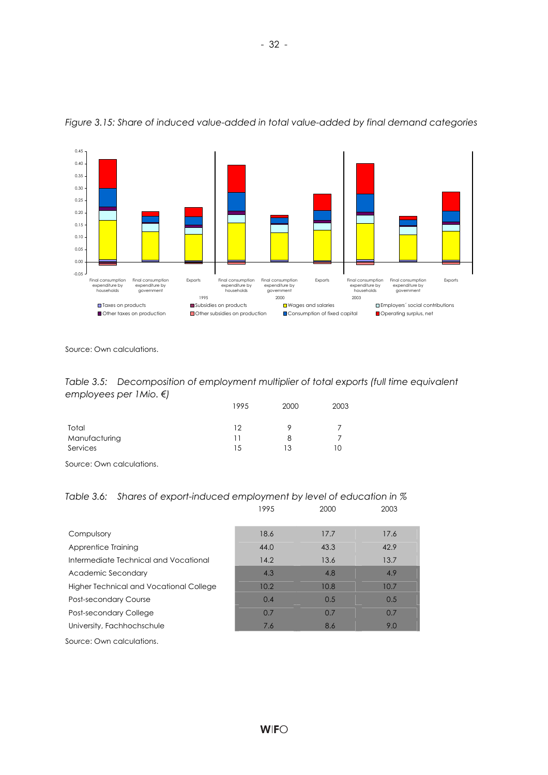

*Figure 3.15: Share of induced value-added in total value-added by final demand categories* 

Source: Own calculations.

| Table 3.5: Decomposition of employment multiplier of total exports (full time equivalent |  |
|------------------------------------------------------------------------------------------|--|
| employees per 1 Mio. $\xi$ )                                                             |  |

|                                                         | 1995 | 2000 | 2003 |
|---------------------------------------------------------|------|------|------|
| Total                                                   | 12   |      |      |
| Manufacturing                                           |      | 8    |      |
| Services                                                | 15   | 13   | 10   |
| $\sim$ $\sim$ $\sim$ $\sim$ $\sim$ $\sim$ $\sim$ $\sim$ |      |      |      |

Source: Own calculations.

|  | Table 3.6: Shares of export-induced employment by level of education in $\%$ |  |  |
|--|------------------------------------------------------------------------------|--|--|
|--|------------------------------------------------------------------------------|--|--|

|                                         | 1995 | 2000 | 2003 |
|-----------------------------------------|------|------|------|
| Compulsory                              | 18.6 | 17.7 | 17.6 |
| Apprentice Training                     | 44.0 | 43.3 | 42.9 |
| Intermediate Technical and Vocational   | 14.2 | 13.6 | 13.7 |
| Academic Secondary                      | 4.3  | 4.8  | 4.9  |
| Higher Technical and Vocational College | 10.2 | 10.8 | 10.7 |
| <b>Post-secondary Course</b>            | 0.4  | 0.5  | 0.5  |
| Post-secondary College                  | 0.7  | 0.7  | 0.7  |
| University, Fachhochschule              | 7.6  | 8.6  | 9.0  |
| Source: Own calculations.               |      |      |      |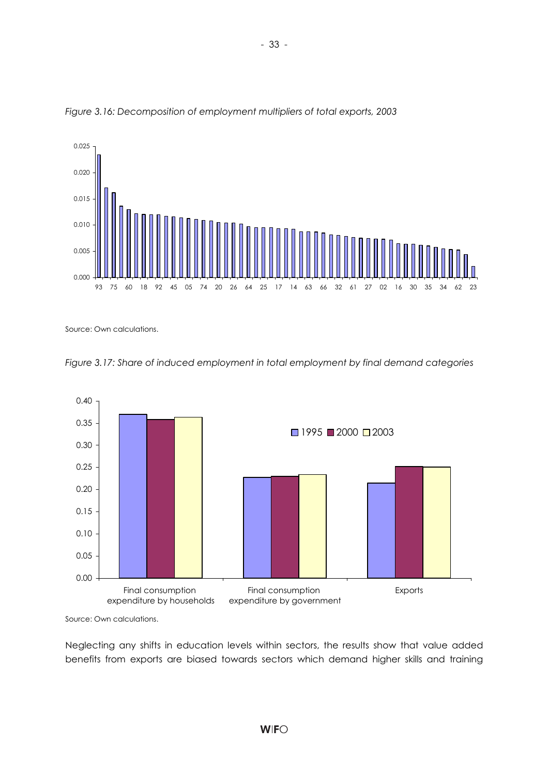



Source: Own calculations.





Source: Own calculations.

Neglecting any shifts in education levels within sectors, the results show that value added benefits from exports are biased towards sectors which demand higher skills and training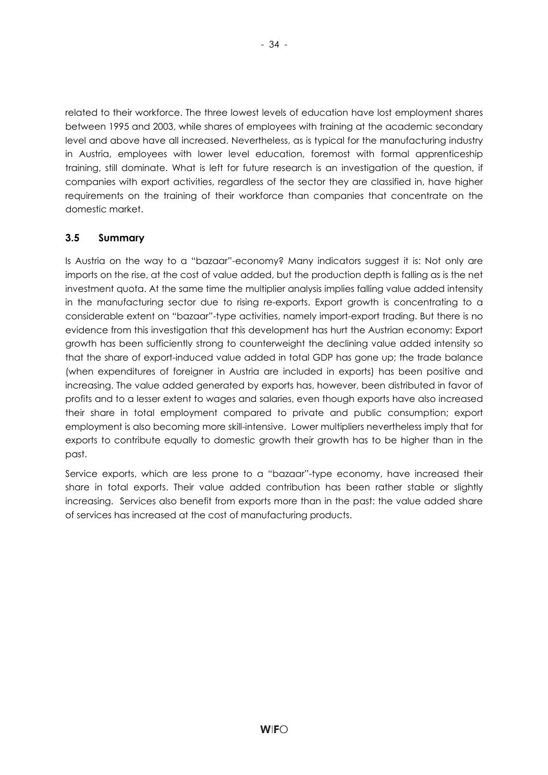related to their workforce. The three lowest levels of education have lost employment shares between 1995 and 2003, while shares of employees with training at the academic secondary level and above have all increased. Nevertheless, as is typical for the manufacturing industry in Austria, employees with lower level education, foremost with formal apprenticeship training, still dominate. What is left for future research is an investigation of the question, if companies with export activities, regardless of the sector they are classified in, have higher requirements on the training of their workforce than companies that concentrate on the domestic market.

## **3.5 Summary**

Is Austria on the way to a "bazaar"-economy? Many indicators suggest it is: Not only are imports on the rise, at the cost of value added, but the production depth is falling as is the net investment quota. At the same time the multiplier analysis implies falling value added intensity in the manufacturing sector due to rising re-exports. Export growth is concentrating to a considerable extent on "bazaar"-type activities, namely import-export trading. But there is no evidence from this investigation that this development has hurt the Austrian economy: Export growth has been sufficiently strong to counterweight the declining value added intensity so that the share of export-induced value added in total GDP has gone up; the trade balance (when expenditures of foreigner in Austria are included in exports) has been positive and increasing. The value added generated by exports has, however, been distributed in favor of profits and to a lesser extent to wages and salaries, even though exports have also increased their share in total employment compared to private and public consumption; export employment is also becoming more skill-intensive. Lower multipliers nevertheless imply that for exports to contribute equally to domestic growth their growth has to be higher than in the past.

Service exports, which are less prone to a "bazaar"-type economy, have increased their share in total exports. Their value added contribution has been rather stable or slightly increasing. Services also benefit from exports more than in the past: the value added share of services has increased at the cost of manufacturing products.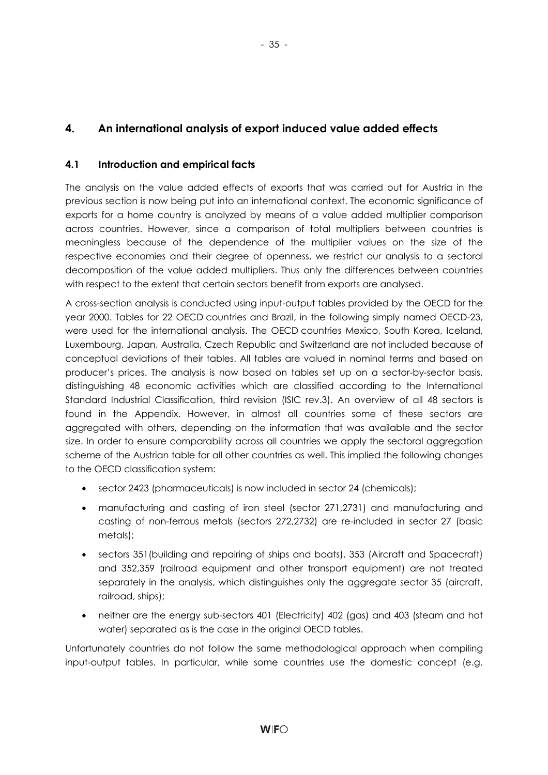- 35 -

# **4.1 Introduction and empirical facts**

The analysis on the value added effects of exports that was carried out for Austria in the previous section is now being put into an international context. The economic significance of exports for a home country is analyzed by means of a value added multiplier comparison across countries. However, since a comparison of total multipliers between countries is meaningless because of the dependence of the multiplier values on the size of the respective economies and their degree of openness, we restrict our analysis to a sectoral decomposition of the value added multipliers. Thus only the differences between countries with respect to the extent that certain sectors benefit from exports are analysed.

A cross-section analysis is conducted using input-output tables provided by the OECD for the year 2000. Tables for 22 OECD countries and Brazil, in the following simply named OECD-23, were used for the international analysis. The OECD countries Mexico, South Korea, Iceland, Luxembourg, Japan, Australia, Czech Republic and Switzerland are not included because of conceptual deviations of their tables. All tables are valued in nominal terms and based on producer's prices. The analysis is now based on tables set up on a sector-by-sector basis, distinguishing 48 economic activities which are classified according to the International Standard Industrial Classification, third revision (ISIC rev.3). An overview of all 48 sectors is found in the Appendix. However, in almost all countries some of these sectors are aggregated with others, depending on the information that was available and the sector size. In order to ensure comparability across all countries we apply the sectoral aggregation scheme of the Austrian table for all other countries as well. This implied the following changes to the OECD classification system:

- sector 2423 (pharmaceuticals) is now included in sector 24 (chemicals);
- manufacturing and casting of iron steel (sector 271,2731) and manufacturing and casting of non-ferrous metals (sectors 272,2732) are re-included in sector 27 (basic metals);
- sectors 351(building and repairing of ships and boats), 353 (Aircraft and Spacecraft) and 352,359 (railroad equipment and other transport equipment) are not treated separately in the analysis, which distinguishes only the aggregate sector 35 (aircraft, railroad, ships);
- neither are the energy sub-sectors 401 (Electricity) 402 (gas) and 403 (steam and hot water) separated as is the case in the original OECD tables.

Unfortunately countries do not follow the same methodological approach when compiling input-output tables. In particular, while some countries use the domestic concept (e.g.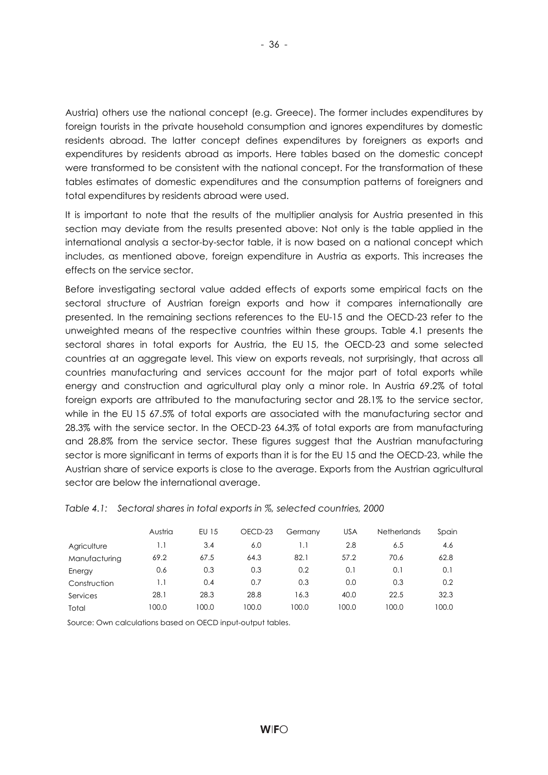Austria) others use the national concept (e.g. Greece). The former includes expenditures by foreign tourists in the private household consumption and ignores expenditures by domestic residents abroad. The latter concept defines expenditures by foreigners as exports and expenditures by residents abroad as imports. Here tables based on the domestic concept were transformed to be consistent with the national concept. For the transformation of these tables estimates of domestic expenditures and the consumption patterns of foreigners and total expenditures by residents abroad were used.

It is important to note that the results of the multiplier analysis for Austria presented in this section may deviate from the results presented above: Not only is the table applied in the international analysis a sector-by-sector table, it is now based on a national concept which includes, as mentioned above, foreign expenditure in Austria as exports. This increases the effects on the service sector.

Before investigating sectoral value added effects of exports some empirical facts on the sectoral structure of Austrian foreign exports and how it compares internationally are presented. In the remaining sections references to the EU-15 and the OECD-23 refer to the unweighted means of the respective countries within these groups. Table 4.1 presents the sectoral shares in total exports for Austria, the EU 15, the OECD-23 and some selected countries at an aggregate level. This view on exports reveals, not surprisingly, that across all countries manufacturing and services account for the major part of total exports while energy and construction and agricultural play only a minor role. In Austria 69.2% of total foreign exports are attributed to the manufacturing sector and 28.1% to the service sector, while in the EU 15 67.5% of total exports are associated with the manufacturing sector and 28.3% with the service sector. In the OECD-23 64.3% of total exports are from manufacturing and 28.8% from the service sector. These figures suggest that the Austrian manufacturing sector is more significant in terms of exports than it is for the EU 15 and the OECD-23, while the Austrian share of service exports is close to the average. Exports from the Austrian agricultural sector are below the international average.

|               | Austria | EU 15 | OECD-23 | Germany | <b>USA</b> | <b>Netherlands</b> | Spain |
|---------------|---------|-------|---------|---------|------------|--------------------|-------|
| Agriculture   | 1.1     | 3.4   | 6.0     |         | 2.8        | 6.5                | 4.6   |
| Manufacturing | 69.2    | 67.5  | 64.3    | 82.1    | 57.2       | 70.6               | 62.8  |
| Energy        | 0.6     | 0.3   | 0.3     | 0.2     | 0.1        | 0.1                | 0.1   |
| Construction  | 1.1     | 0.4   | 0.7     | 0.3     | 0.0        | 0.3                | 0.2   |
| Services      | 28.1    | 28.3  | 28.8    | 16.3    | 40.0       | 22.5               | 32.3  |
| Total         | 100.0   | 100.0 | 100.0   | 100.0   | 100.0      | 100.0              | 100.0 |

*Table 4.1: Sectoral shares in total exports in %, selected countries, 2000* 

Source: Own calculations based on OECD input-output tables.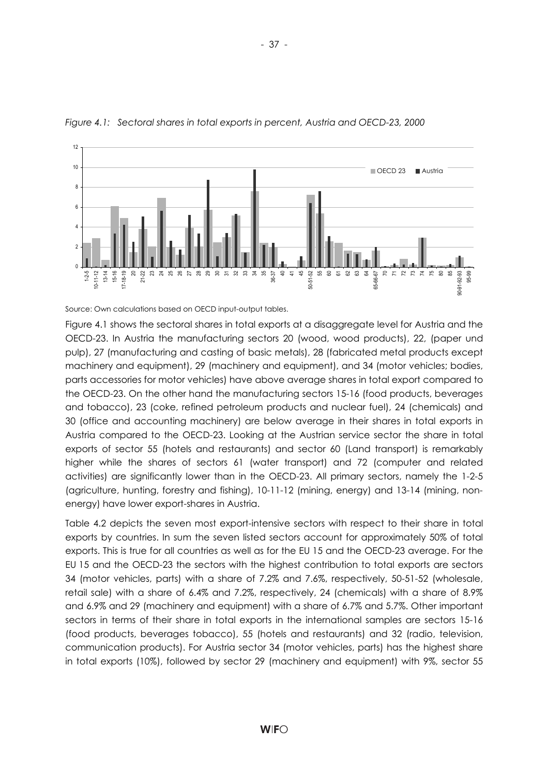

*Figure 4.1: Sectoral shares in total exports in percent, Austria and OECD-23, 2000* 

Source: Own calculations based on OECD input-output tables.

Figure 4.1 shows the sectoral shares in total exports at a disaggregate level for Austria and the OECD-23. In Austria the manufacturing sectors 20 (wood, wood products), 22, (paper und pulp), 27 (manufacturing and casting of basic metals), 28 (fabricated metal products except machinery and equipment), 29 (machinery and equipment), and 34 (motor vehicles; bodies, parts accessories for motor vehicles) have above average shares in total export compared to the OECD-23. On the other hand the manufacturing sectors 15-16 (food products, beverages and tobacco), 23 (coke, refined petroleum products and nuclear fuel), 24 (chemicals) and 30 (office and accounting machinery) are below average in their shares in total exports in Austria compared to the OECD-23. Looking at the Austrian service sector the share in total exports of sector 55 (hotels and restaurants) and sector 60 (Land transport) is remarkably higher while the shares of sectors 61 (water transport) and 72 (computer and related activities) are significantly lower than in the OECD-23. All primary sectors, namely the 1-2-5 (agriculture, hunting, forestry and fishing), 10-11-12 (mining, energy) and 13-14 (mining, nonenergy) have lower export-shares in Austria.

Table 4.2 depicts the seven most export-intensive sectors with respect to their share in total exports by countries. In sum the seven listed sectors account for approximately 50% of total exports. This is true for all countries as well as for the EU 15 and the OECD-23 average. For the EU 15 and the OECD-23 the sectors with the highest contribution to total exports are sectors 34 (motor vehicles, parts) with a share of 7.2% and 7.6%, respectively, 50-51-52 (wholesale, retail sale) with a share of 6.4% and 7.2%, respectively, 24 (chemicals) with a share of 8.9% and 6.9% and 29 (machinery and equipment) with a share of 6.7% and 5.7%. Other important sectors in terms of their share in total exports in the international samples are sectors 15-16 (food products, beverages tobacco), 55 (hotels and restaurants) and 32 (radio, television, communication products). For Austria sector 34 (motor vehicles, parts) has the highest share in total exports (10%), followed by sector 29 (machinery and equipment) with 9%, sector 55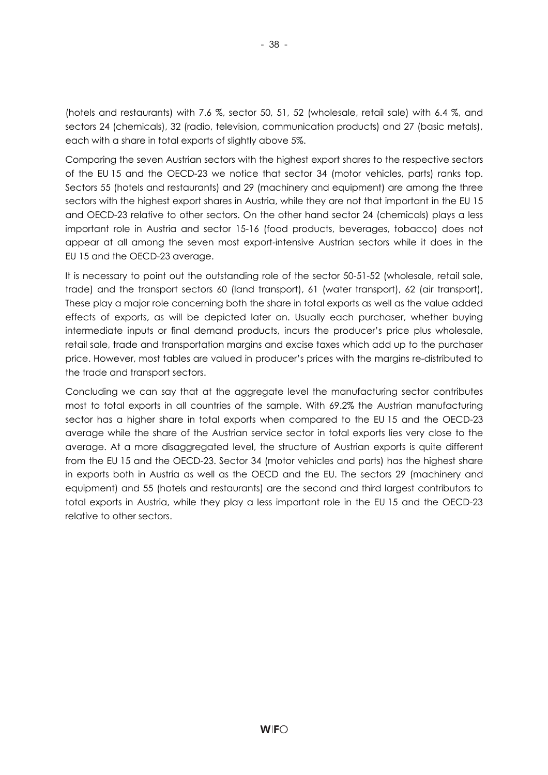(hotels and restaurants) with 7.6 %, sector 50, 51, 52 (wholesale, retail sale) with 6.4 %, and sectors 24 (chemicals), 32 (radio, television, communication products) and 27 (basic metals), each with a share in total exports of slightly above 5%.

- 38 -

Comparing the seven Austrian sectors with the highest export shares to the respective sectors of the EU 15 and the OECD-23 we notice that sector 34 (motor vehicles, parts) ranks top. Sectors 55 (hotels and restaurants) and 29 (machinery and equipment) are among the three sectors with the highest export shares in Austria, while they are not that important in the EU 15 and OECD-23 relative to other sectors. On the other hand sector 24 (chemicals) plays a less important role in Austria and sector 15-16 (food products, beverages, tobacco) does not appear at all among the seven most export-intensive Austrian sectors while it does in the EU 15 and the OECD-23 average.

It is necessary to point out the outstanding role of the sector 50-51-52 (wholesale, retail sale, trade) and the transport sectors 60 (land transport), 61 (water transport), 62 (air transport), These play a major role concerning both the share in total exports as well as the value added effects of exports, as will be depicted later on. Usually each purchaser, whether buying intermediate inputs or final demand products, incurs the producer's price plus wholesale, retail sale, trade and transportation margins and excise taxes which add up to the purchaser price. However, most tables are valued in producer's prices with the margins re-distributed to the trade and transport sectors.

Concluding we can say that at the aggregate level the manufacturing sector contributes most to total exports in all countries of the sample. With 69.2% the Austrian manufacturing sector has a higher share in total exports when compared to the EU 15 and the OECD-23 average while the share of the Austrian service sector in total exports lies very close to the average. At a more disaggregated level, the structure of Austrian exports is quite different from the EU 15 and the OECD-23. Sector 34 (motor vehicles and parts) has the highest share in exports both in Austria as well as the OECD and the EU. The sectors 29 (machinery and equipment) and 55 (hotels and restaurants) are the second and third largest contributors to total exports in Austria, while they play a less important role in the EU 15 and the OECD-23 relative to other sectors.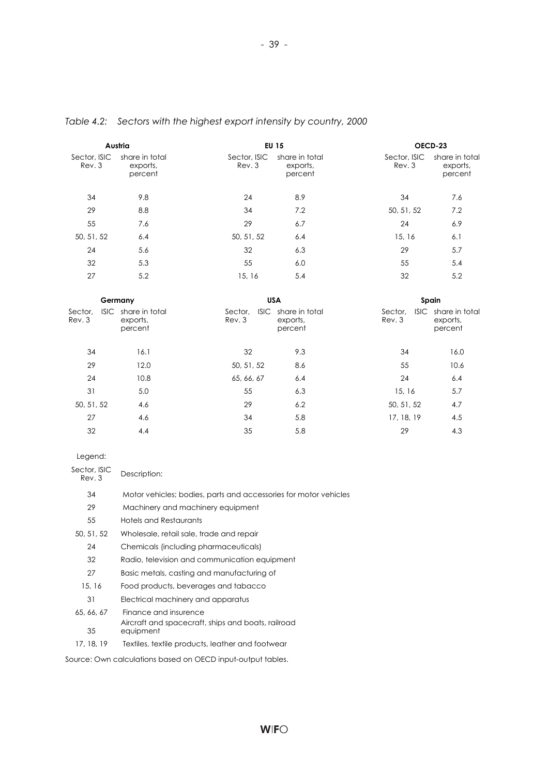|                        | Austria                                    | <b>EU 15</b>           |                                            | OECD-23               |                                            |
|------------------------|--------------------------------------------|------------------------|--------------------------------------------|-----------------------|--------------------------------------------|
| Sector, ISIC<br>Rev. 3 | share in total<br>exports,<br>percent      | Sector, ISIC<br>Rev. 3 | share in total<br>exports,<br>percent      | Sector, ISIC<br>Rev.3 | share in total<br>exports,<br>percent      |
| 34                     | 9.8                                        | 24                     | 8.9                                        | 34                    | 7.6                                        |
| 29                     | 8.8                                        | 34                     | 7.2                                        | 50, 51, 52            | 7.2                                        |
| 55                     | 7.6                                        | 29                     | 6.7                                        | 24                    | 6.9                                        |
| 50, 51, 52             | 6.4                                        | 50, 51, 52             | 6.4                                        | 15, 16                | 6.1                                        |
| 24                     | 5.6                                        | 32                     | 6.3                                        | 29                    | 5.7                                        |
| 32                     | 5.3                                        | 55                     | 6.0                                        | 55                    | 5.4                                        |
| 27                     | 5.2                                        | 15, 16                 | 5.4                                        | 32                    | 5.2                                        |
|                        | Germany                                    |                        | <b>USA</b>                                 |                       | Spain                                      |
| Sector.<br>Rev.3       | ISIC share in total<br>exports,<br>percent | Sector.<br>Rev. 3      | ISIC share in total<br>exports,<br>percent | Sector,<br>Rev.3      | ISIC share in total<br>exports,<br>percent |
| 34                     | 16.1                                       | 32                     | 9.3                                        | 34                    | 16.0                                       |
| 29                     | 12.0                                       | 50, 51, 52             | 8.6                                        | 55                    | 10.6                                       |
| 24                     | 10.8                                       | 65, 66, 67             | 6.4                                        | 24                    | 6.4                                        |
| 31                     | 5.0                                        | 55                     | 6.3                                        | 15, 16                | 5.7                                        |
| 50, 51, 52             | 4.6                                        | 29                     | 6.2                                        | 50, 51, 52            | 4.7                                        |
| 27                     | 4.6                                        | 34                     | 5.8                                        | 17, 18, 19            | 4.5                                        |
| 32                     | 4.4                                        | 35                     | 5.8                                        | 29                    | 4.3                                        |

## *Table 4.2: Sectors with the highest export intensity by country, 2000*

| egend. |
|--------|
|--------|

| Sector, ISIC<br>Rev. 3 | Description:                                                     |
|------------------------|------------------------------------------------------------------|
| 34                     | Motor vehicles; bodies, parts and accessories for motor vehicles |
| 29                     | Machinery and machinery equipment                                |
| 55                     | Hotels and Restaurants                                           |
| 50, 51, 52             | Wholesale, retail sale, trade and repair                         |
| 24                     | Chemicals (including pharmaceuticals)                            |
| 32                     | Radio, television and communication equipment                    |
| 27                     | Basic metals, casting and manufacturing of                       |
| 15, 16                 | Food products, beverages and tabacco                             |
| 31                     | Electrical machinery and apparatus                               |
| 65, 66, 67             | Finance and insurence                                            |
| 35                     | Aircraft and spacecraft, ships and boats, railroad<br>equipment  |
| 17, 18, 19             | Textiles, textile products, leather and footwear                 |

Source: Own calculations based on OECD input-output tables.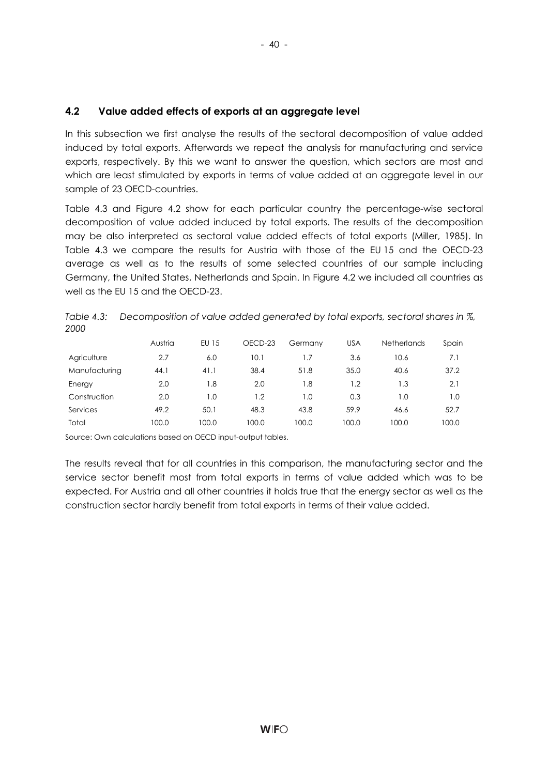## **4.2 Value added effects of exports at an aggregate level**

In this subsection we first analyse the results of the sectoral decomposition of value added induced by total exports. Afterwards we repeat the analysis for manufacturing and service exports, respectively. By this we want to answer the question, which sectors are most and which are least stimulated by exports in terms of value added at an aggregate level in our sample of 23 OECD-countries.

Table 4.3 and Figure 4.2 show for each particular country the percentage-wise sectoral decomposition of value added induced by total exports. The results of the decomposition may be also interpreted as sectoral value added effects of total exports (Miller, 1985). In Table 4.3 we compare the results for Austria with those of the EU 15 and the OECD-23 average as well as to the results of some selected countries of our sample including Germany, the United States, Netherlands and Spain. In Figure 4.2 we included all countries as well as the EU 15 and the OECD-23.

*Table 4.3: Decomposition of value added generated by total exports, sectoral shares in %, 2000* 

|               | Austria | EU 15 | OECD-23 | Germany | <b>USA</b> | <b>Netherlands</b> | Spain |
|---------------|---------|-------|---------|---------|------------|--------------------|-------|
| Agriculture   | 2.7     | 6.0   | 10.1    | 1.7     | 3.6        | 10.6               | 7.1   |
| Manufacturing | 44.1    | 41.1  | 38.4    | 51.8    | 35.0       | 40.6               | 37.2  |
| Energy        | 2.0     | 1.8   | 2.0     | 1.8     | 1.2        | 1.3                | 2.1   |
| Construction  | 2.0     | 1.0   | 1.2     | l .O    | 0.3        | I .O               | 1.0   |
| Services      | 49.2    | 50.1  | 48.3    | 43.8    | 59.9       | 46.6               | 52.7  |
| Total         | 100.0   | 100.0 | 100.0   | 100.0   | 100.0      | 100.0              | 100.0 |

Source: Own calculations based on OECD input-output tables.

The results reveal that for all countries in this comparison, the manufacturing sector and the service sector benefit most from total exports in terms of value added which was to be expected. For Austria and all other countries it holds true that the energy sector as well as the construction sector hardly benefit from total exports in terms of their value added.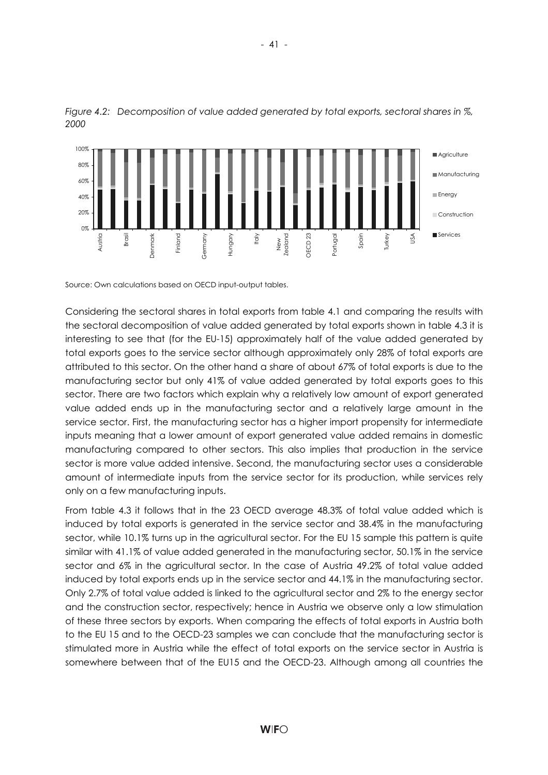

*Figure 4.2: Decomposition of value added generated by total exports, sectoral shares in %, 2000* 

Source: Own calculations based on OECD input-output tables.

Considering the sectoral shares in total exports from table 4.1 and comparing the results with the sectoral decomposition of value added generated by total exports shown in table 4.3 it is interesting to see that (for the EU-15) approximately half of the value added generated by total exports goes to the service sector although approximately only 28% of total exports are attributed to this sector. On the other hand a share of about 67% of total exports is due to the manufacturing sector but only 41% of value added generated by total exports goes to this sector. There are two factors which explain why a relatively low amount of export generated value added ends up in the manufacturing sector and a relatively large amount in the service sector. First, the manufacturing sector has a higher import propensity for intermediate inputs meaning that a lower amount of export generated value added remains in domestic manufacturing compared to other sectors. This also implies that production in the service sector is more value added intensive. Second, the manufacturing sector uses a considerable amount of intermediate inputs from the service sector for its production, while services rely only on a few manufacturing inputs.

From table 4.3 it follows that in the 23 OECD average 48.3% of total value added which is induced by total exports is generated in the service sector and 38.4% in the manufacturing sector, while 10.1% turns up in the agricultural sector. For the EU 15 sample this pattern is quite similar with 41.1% of value added generated in the manufacturing sector, 50.1% in the service sector and 6% in the agricultural sector. In the case of Austria 49.2% of total value added induced by total exports ends up in the service sector and 44.1% in the manufacturing sector. Only 2.7% of total value added is linked to the agricultural sector and 2% to the energy sector and the construction sector, respectively; hence in Austria we observe only a low stimulation of these three sectors by exports. When comparing the effects of total exports in Austria both to the EU 15 and to the OECD-23 samples we can conclude that the manufacturing sector is stimulated more in Austria while the effect of total exports on the service sector in Austria is somewhere between that of the EU15 and the OECD-23. Although among all countries the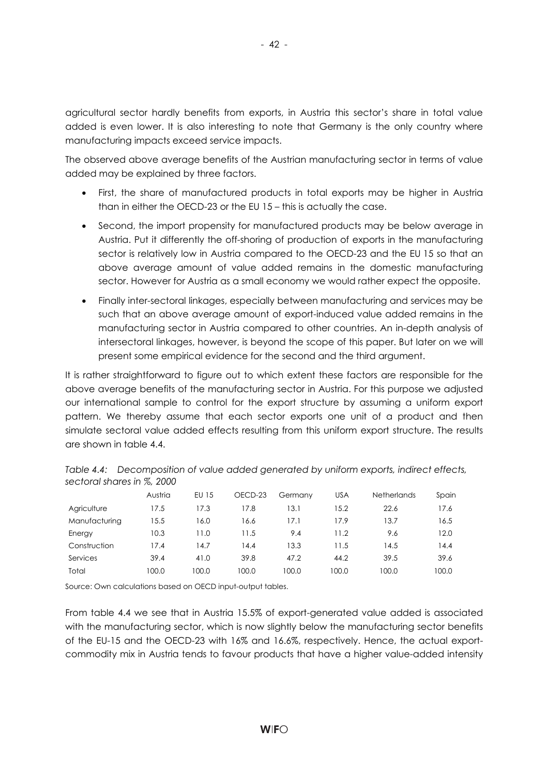agricultural sector hardly benefits from exports, in Austria this sector's share in total value added is even lower. It is also interesting to note that Germany is the only country where manufacturing impacts exceed service impacts.

The observed above average benefits of the Austrian manufacturing sector in terms of value added may be explained by three factors.

- First, the share of manufactured products in total exports may be higher in Austria than in either the OECD-23 or the EU 15 – this is actually the case.
- Second, the import propensity for manufactured products may be below average in Austria. Put it differently the off-shoring of production of exports in the manufacturing sector is relatively low in Austria compared to the OECD-23 and the EU 15 so that an above average amount of value added remains in the domestic manufacturing sector. However for Austria as a small economy we would rather expect the opposite.
- Finally inter-sectoral linkages, especially between manufacturing and services may be such that an above average amount of export-induced value added remains in the manufacturing sector in Austria compared to other countries. An in-depth analysis of intersectoral linkages, however, is beyond the scope of this paper. But later on we will present some empirical evidence for the second and the third argument.

It is rather straightforward to figure out to which extent these factors are responsible for the above average benefits of the manufacturing sector in Austria. For this purpose we adjusted our international sample to control for the export structure by assuming a uniform export pattern. We thereby assume that each sector exports one unit of a product and then simulate sectoral value added effects resulting from this uniform export structure. The results are shown in table 4.4.

|               | Austria | EU 15 | OECD-23 | Germany | <b>USA</b> | <b>Netherlands</b> | Spain |
|---------------|---------|-------|---------|---------|------------|--------------------|-------|
| Agriculture   | 17.5    | 17.3  | 17.8    | 13.1    | 15.2       | 22.6               | 17.6  |
| Manufacturing | 15.5    | 16.0  | 16.6    | 17.1    | 17.9       | 13.7               | 16.5  |
| Energy        | 10.3    | 11.0  | 11.5    | 9.4     | 11.2       | 9.6                | 12.0  |
| Construction  | 17.4    | 14.7  | 14.4    | 13.3    | 11.5       | 14.5               | 14.4  |
| Services      | 39.4    | 41.0  | 39.8    | 47.2    | 44.2       | 39.5               | 39.6  |
| Total         | 100.0   | 100.0 | 100.0   | 100.0   | 100.0      | 100.0              | 100.0 |

*Table 4.4: Decomposition of value added generated by uniform exports, indirect effects, sectoral shares in %, 2000* 

Source: Own calculations based on OECD input-output tables.

From table 4.4 we see that in Austria 15.5% of export-generated value added is associated with the manufacturing sector, which is now slightly below the manufacturing sector benefits of the EU-15 and the OECD-23 with 16% and 16.6%, respectively. Hence, the actual exportcommodity mix in Austria tends to favour products that have a higher value-added intensity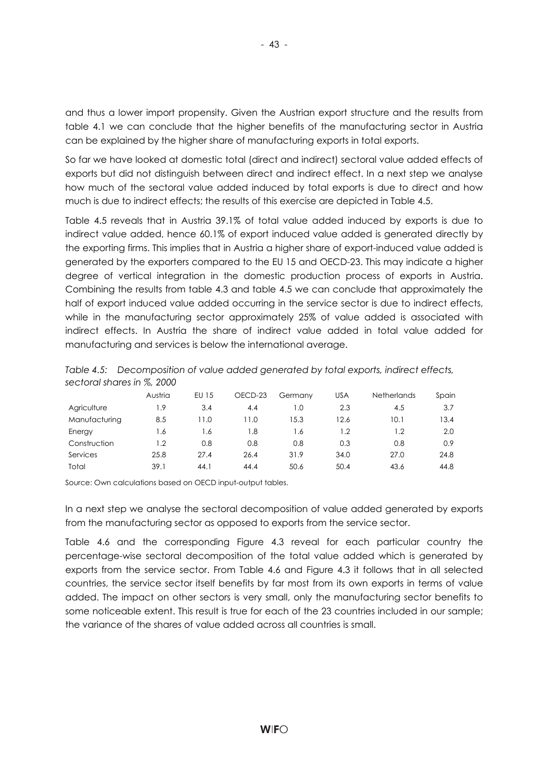and thus a lower import propensity. Given the Austrian export structure and the results from table 4.1 we can conclude that the higher benefits of the manufacturing sector in Austria can be explained by the higher share of manufacturing exports in total exports.

So far we have looked at domestic total (direct and indirect) sectoral value added effects of exports but did not distinguish between direct and indirect effect. In a next step we analyse how much of the sectoral value added induced by total exports is due to direct and how much is due to indirect effects; the results of this exercise are depicted in Table 4.5.

Table 4.5 reveals that in Austria 39.1% of total value added induced by exports is due to indirect value added, hence 60.1% of export induced value added is generated directly by the exporting firms. This implies that in Austria a higher share of export-induced value added is generated by the exporters compared to the EU 15 and OECD-23. This may indicate a higher degree of vertical integration in the domestic production process of exports in Austria. Combining the results from table 4.3 and table 4.5 we can conclude that approximately the half of export induced value added occurring in the service sector is due to indirect effects, while in the manufacturing sector approximately 25% of value added is associated with indirect effects. In Austria the share of indirect value added in total value added for manufacturing and services is below the international average.

| sectoral shares in %, 2000 |         |             |                    |      |            |                    |       |
|----------------------------|---------|-------------|--------------------|------|------------|--------------------|-------|
|                            | Austria | EU 15       | OECD-23<br>Germany |      | <b>USA</b> | <b>Netherlands</b> | Spain |
| Agriculture                | 1.9     | 3.4         | 4.4                | 1.0  | 2.3        | 4.5                | 3.7   |
| Manufacturing              | 8.5     | $\vert$ 1.0 | 11.0               | 15.3 | 12.6       | 10.1               | 13.4  |
| Energy                     | 1.6     | 1.6         | 1.8                | 1.6  | 1.2        | 1.2                | 2.0   |
| Construction               | 1.2     | 0.8         | 0.8                | 0.8  | 0.3        | 0.8                | 0.9   |
| Services                   | 25.8    | 27.4        | 26.4               | 31.9 | 34.0       | 27.0               | 24.8  |
| Total                      | 39.1    | 44.1        | 44.4               | 50.6 | 50.4       | 43.6               | 44.8  |

*Table 4.5: Decomposition of value added generated by total exports, indirect effects, sectoral shares in %, 2000* 

Source: Own calculations based on OECD input-output tables.

In a next step we analyse the sectoral decomposition of value added generated by exports from the manufacturing sector as opposed to exports from the service sector.

Table 4.6 and the corresponding Figure 4.3 reveal for each particular country the percentage-wise sectoral decomposition of the total value added which is generated by exports from the service sector. From Table 4.6 and Figure 4.3 it follows that in all selected countries, the service sector itself benefits by far most from its own exports in terms of value added. The impact on other sectors is very small, only the manufacturing sector benefits to some noticeable extent. This result is true for each of the 23 countries included in our sample; the variance of the shares of value added across all countries is small.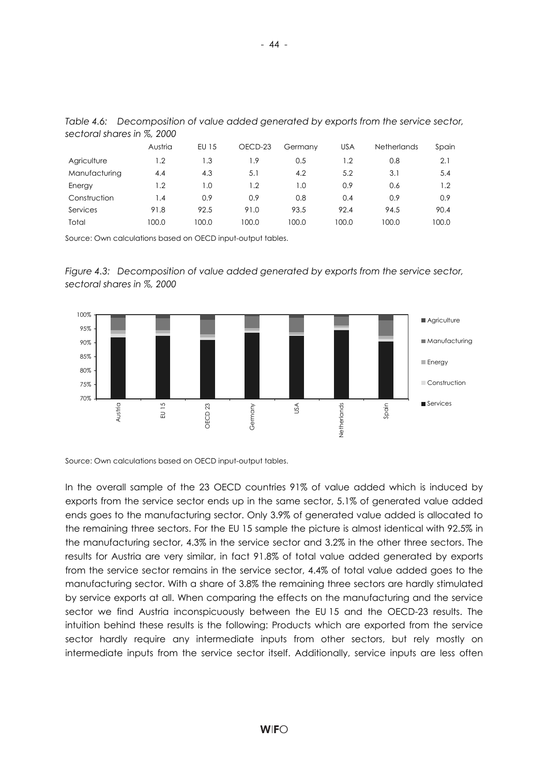|               | Austria          | EU 15 | OECD-23 | Germany | <b>USA</b> | <b>Netherlands</b> | Spain |  |
|---------------|------------------|-------|---------|---------|------------|--------------------|-------|--|
| Agriculture   | 1.2              | 1.3   | 1.9     | 0.5     | 1.2        | 0.8                | 2.1   |  |
| Manufacturing | 4.4              | 4.3   | 5.1     | 4.2     | 5.2        | 3.1                | 5.4   |  |
| Energy        | $\overline{1.2}$ | 1.0   | 1.2     | 1.0     | 0.9        | 0.6                | 1.2   |  |
| Construction  | 1.4              | 0.9   | 0.9     | 0.8     | 0.4        | 0.9                | 0.9   |  |
| Services      | 91.8             | 92.5  | 91.0    | 93.5    | 92.4       | 94.5               | 90.4  |  |
| Total         | 100.0            | 100.0 | 100.0   | 100.0   | 100.0      | 100.0              | 100.0 |  |

*Table 4.6: Decomposition of value added generated by exports from the service sector, sectoral shares in %, 2000* 

Source: Own calculations based on OECD input-output tables.





Source: Own calculations based on OECD input-output tables.

In the overall sample of the 23 OECD countries 91% of value added which is induced by exports from the service sector ends up in the same sector, 5.1% of generated value added ends goes to the manufacturing sector. Only 3.9% of generated value added is allocated to the remaining three sectors. For the EU 15 sample the picture is almost identical with 92.5% in the manufacturing sector, 4.3% in the service sector and 3.2% in the other three sectors. The results for Austria are very similar, in fact 91.8% of total value added generated by exports from the service sector remains in the service sector, 4.4% of total value added goes to the manufacturing sector. With a share of 3.8% the remaining three sectors are hardly stimulated by service exports at all. When comparing the effects on the manufacturing and the service sector we find Austria inconspicuously between the EU 15 and the OECD-23 results. The intuition behind these results is the following: Products which are exported from the service sector hardly require any intermediate inputs from other sectors, but rely mostly on intermediate inputs from the service sector itself. Additionally, service inputs are less often

- 44 -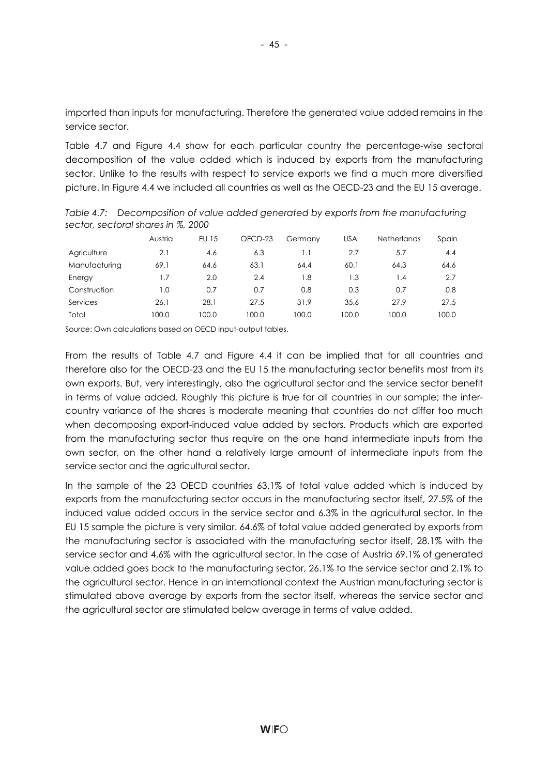imported than inputs for manufacturing. Therefore the generated value added remains in the service sector.

Table 4.7 and Figure 4.4 show for each particular country the percentage-wise sectoral decomposition of the value added which is induced by exports from the manufacturing sector. Unlike to the results with respect to service exports we find a much more diversified picture. In Figure 4.4 we included all countries as well as the OECD-23 and the EU 15 average.

Austria EU 15 OECD-23 Germany USA Netherlands Spain Agriculture 2.1 4.6 6.3 1.1 2.7 5.7 4.4 Manufacturing 69.1 64.6 63.1 64.4 60.1 64.3 64.6 Energy 1.7 2.0 2.4 1.8 1.3 1.4 2.7 Construction 1.0 0.7 0.7 0.8 0.3 0.7 0.8 Services 26.1 28.1 27.5 31.9 35.6 27.9 27.5

Total 100.0 100.0 100.0 100.0 100.0 100.0 100.0

*Table 4.7: Decomposition of value added generated by exports from the manufacturing sector, sectoral shares in %, 2000* 

Source: Own calculations based on OECD input-output tables.

From the results of Table 4.7 and Figure 4.4 it can be implied that for all countries and therefore also for the OECD-23 and the EU 15 the manufacturing sector benefits most from its own exports. But, very interestingly, also the agricultural sector and the service sector benefit in terms of value added. Roughly this picture is true for all countries in our sample; the intercountry variance of the shares is moderate meaning that countries do not differ too much when decomposing export-induced value added by sectors. Products which are exported from the manufacturing sector thus require on the one hand intermediate inputs from the own sector, on the other hand a relatively large amount of intermediate inputs from the service sector and the agricultural sector.

In the sample of the 23 OECD countries 63.1% of total value added which is induced by exports from the manufacturing sector occurs in the manufacturing sector itself, 27.5% of the induced value added occurs in the service sector and 6.3% in the agricultural sector. In the EU 15 sample the picture is very similar. 64.6% of total value added generated by exports from the manufacturing sector is associated with the manufacturing sector itself, 28.1% with the service sector and 4.6% with the agricultural sector. In the case of Austria 69.1% of generated value added goes back to the manufacturing sector, 26.1% to the service sector and 2.1% to the agricultural sector. Hence in an international context the Austrian manufacturing sector is stimulated above average by exports from the sector itself, whereas the service sector and the agricultural sector are stimulated below average in terms of value added.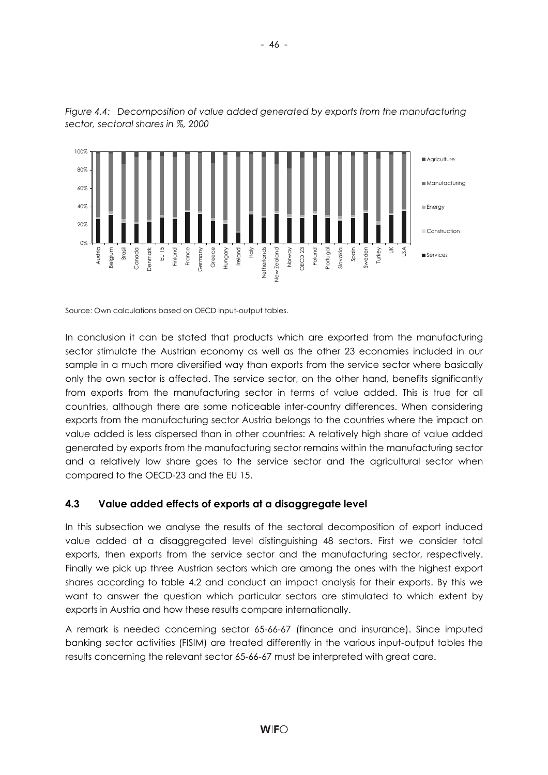



Source: Own calculations based on OECD input-output tables.

In conclusion it can be stated that products which are exported from the manufacturing sector stimulate the Austrian economy as well as the other 23 economies included in our sample in a much more diversified way than exports from the service sector where basically only the own sector is affected. The service sector, on the other hand, benefits significantly from exports from the manufacturing sector in terms of value added. This is true for all countries, although there are some noticeable inter-country differences. When considering exports from the manufacturing sector Austria belongs to the countries where the impact on value added is less dispersed than in other countries: A relatively high share of value added generated by exports from the manufacturing sector remains within the manufacturing sector and a relatively low share goes to the service sector and the agricultural sector when compared to the OECD-23 and the EU 15.

## **4.3 Value added effects of exports at a disaggregate level**

In this subsection we analyse the results of the sectoral decomposition of export induced value added at a disaggregated level distinguishing 48 sectors. First we consider total exports, then exports from the service sector and the manufacturing sector, respectively. Finally we pick up three Austrian sectors which are among the ones with the highest export shares according to table 4.2 and conduct an impact analysis for their exports. By this we want to answer the question which particular sectors are stimulated to which extent by exports in Austria and how these results compare internationally.

A remark is needed concerning sector 65-66-67 (finance and insurance). Since imputed banking sector activities (FISIM) are treated differently in the various input-output tables the results concerning the relevant sector 65-66-67 must be interpreted with great care.

- 46 -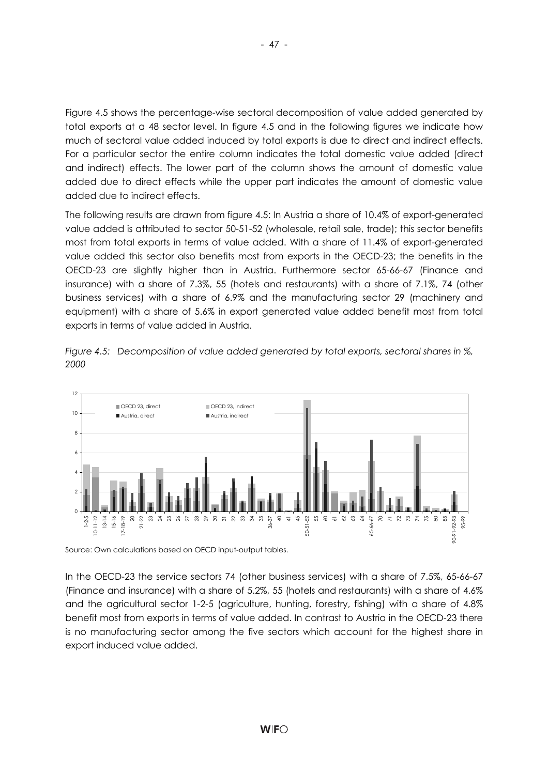Figure 4.5 shows the percentage-wise sectoral decomposition of value added generated by total exports at a 48 sector level. In figure 4.5 and in the following figures we indicate how much of sectoral value added induced by total exports is due to direct and indirect effects. For a particular sector the entire column indicates the total domestic value added (direct and indirect) effects. The lower part of the column shows the amount of domestic value added due to direct effects while the upper part indicates the amount of domestic value added due to indirect effects.

The following results are drawn from figure 4.5: In Austria a share of 10.4% of export-generated value added is attributed to sector 50-51-52 (wholesale, retail sale, trade); this sector benefits most from total exports in terms of value added. With a share of 11.4% of export-generated value added this sector also benefits most from exports in the OECD-23; the benefits in the OECD-23 are slightly higher than in Austria. Furthermore sector 65-66-67 (Finance and insurance) with a share of 7.3%, 55 (hotels and restaurants) with a share of 7.1%, 74 (other business services) with a share of 6.9% and the manufacturing sector 29 (machinery and equipment) with a share of 5.6% in export generated value added benefit most from total exports in terms of value added in Austria.



*Figure 4.5: Decomposition of value added generated by total exports, sectoral shares in %, 2000* 

Source: Own calculations based on OECD input-output tables.

In the OECD-23 the service sectors 74 (other business services) with a share of 7.5%, 65-66-67 (Finance and insurance) with a share of 5.2%, 55 (hotels and restaurants) with a share of 4.6% and the agricultural sector 1-2-5 (agriculture, hunting, forestry, fishing) with a share of 4.8% benefit most from exports in terms of value added. In contrast to Austria in the OECD-23 there is no manufacturing sector among the five sectors which account for the highest share in export induced value added.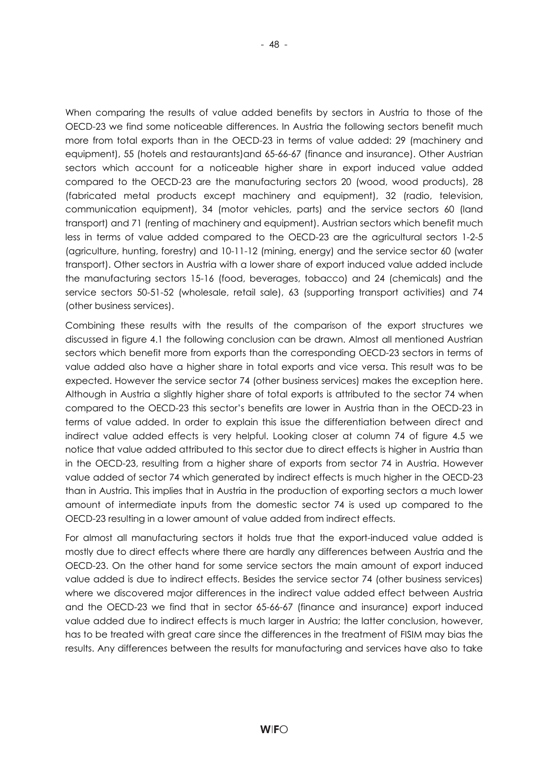When comparing the results of value added benefits by sectors in Austria to those of the OECD-23 we find some noticeable differences. In Austria the following sectors benefit much more from total exports than in the OECD-23 in terms of value added: 29 (machinery and equipment), 55 (hotels and restaurants)and 65-66-67 (finance and insurance). Other Austrian sectors which account for a noticeable higher share in export induced value added compared to the OECD-23 are the manufacturing sectors 20 (wood, wood products), 28 (fabricated metal products except machinery and equipment), 32 (radio, television, communication equipment), 34 (motor vehicles, parts) and the service sectors 60 (land transport) and 71 (renting of machinery and equipment). Austrian sectors which benefit much less in terms of value added compared to the OECD-23 are the agricultural sectors 1-2-5 (agriculture, hunting, forestry) and 10-11-12 (mining, energy) and the service sector 60 (water transport). Other sectors in Austria with a lower share of export induced value added include the manufacturing sectors 15-16 (food, beverages, tobacco) and 24 (chemicals) and the service sectors 50-51-52 (wholesale, retail sale), 63 (supporting transport activities) and 74 (other business services).

Combining these results with the results of the comparison of the export structures we discussed in figure 4.1 the following conclusion can be drawn. Almost all mentioned Austrian sectors which benefit more from exports than the corresponding OECD-23 sectors in terms of value added also have a higher share in total exports and vice versa. This result was to be expected. However the service sector 74 (other business services) makes the exception here. Although in Austria a slightly higher share of total exports is attributed to the sector 74 when compared to the OECD-23 this sector's benefits are lower in Austria than in the OECD-23 in terms of value added. In order to explain this issue the differentiation between direct and indirect value added effects is very helpful. Looking closer at column 74 of figure 4.5 we notice that value added attributed to this sector due to direct effects is higher in Austria than in the OECD-23, resulting from a higher share of exports from sector 74 in Austria. However value added of sector 74 which generated by indirect effects is much higher in the OECD-23 than in Austria. This implies that in Austria in the production of exporting sectors a much lower amount of intermediate inputs from the domestic sector 74 is used up compared to the OECD-23 resulting in a lower amount of value added from indirect effects.

For almost all manufacturing sectors it holds true that the export-induced value added is mostly due to direct effects where there are hardly any differences between Austria and the OECD-23. On the other hand for some service sectors the main amount of export induced value added is due to indirect effects. Besides the service sector 74 (other business services) where we discovered major differences in the indirect value added effect between Austria and the OECD-23 we find that in sector 65-66-67 (finance and insurance) export induced value added due to indirect effects is much larger in Austria; the latter conclusion, however, has to be treated with great care since the differences in the treatment of FISIM may bias the results. Any differences between the results for manufacturing and services have also to take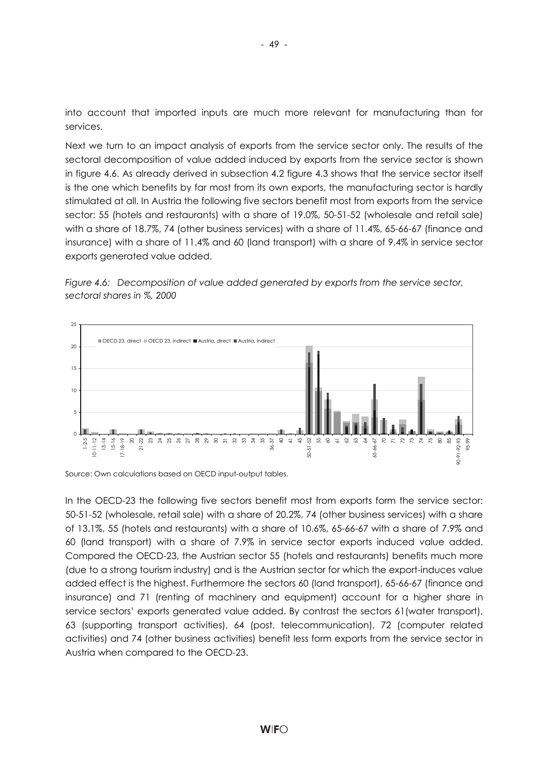into account that imported inputs are much more relevant for manufacturing than for services.

Next we turn to an impact analysis of exports from the service sector only. The results of the sectoral decomposition of value added induced by exports from the service sector is shown in figure 4.6. As already derived in subsection 4.2 figure 4.3 shows that the service sector itself is the one which benefits by far most from its own exports, the manufacturing sector is hardly stimulated at all. In Austria the following five sectors benefit most from exports from the service sector: 55 (hotels and restaurants) with a share of 19.0%, 50-51-52 (wholesale and retail sale) with a share of 18.7%, 74 (other business services) with a share of 11.4%, 65-66-67 (finance and insurance) with a share of 11.4% and 60 (land transport) with a share of 9.4% in service sector exports generated value added.





Source: Own calculations based on OECD input-output tables.

In the OECD-23 the following five sectors benefit most from exports form the service sector: 50-51-52 (wholesale, retail sale) with a share of 20.2%, 74 (other business services) with a share of 13.1%, 55 (hotels and restaurants) with a share of 10.6%, 65-66-67 with a share of 7.9% and 60 (land transport) with a share of 7.9% in service sector exports induced value added. Compared the OECD-23, the Austrian sector 55 (hotels and restaurants) benefits much more (due to a strong tourism industry) and is the Austrian sector for which the export-induces value added effect is the highest. Furthermore the sectors 60 (land transport), 65-66-67 (finance and insurance) and 71 (renting of machinery and equipment) account for a higher share in service sectors' exports generated value added. By contrast the sectors 61(water transport), 63 (supporting transport activities), 64 (post, telecommunication), 72 (computer related activities) and 74 (other business activities) benefit less form exports from the service sector in Austria when compared to the OECD-23.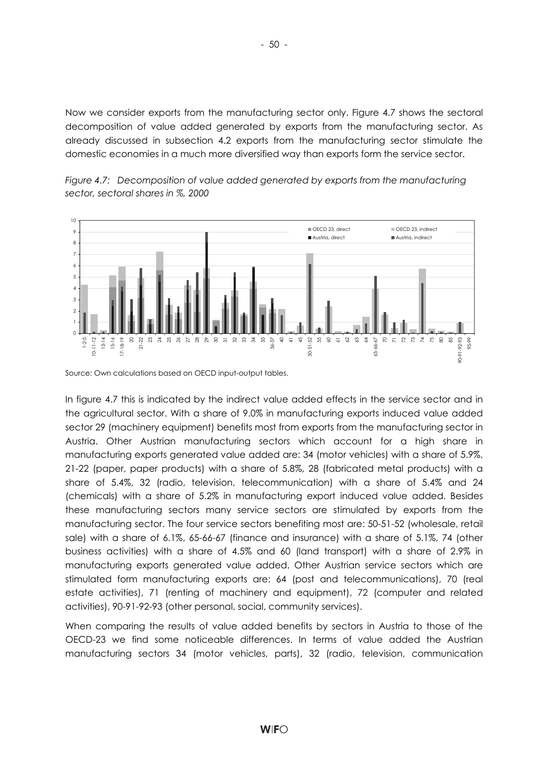Now we consider exports from the manufacturing sector only. Figure 4.7 shows the sectoral decomposition of value added generated by exports from the manufacturing sector. As already discussed in subsection 4.2 exports from the manufacturing sector stimulate the domestic economies in a much more diversified way than exports form the service sector.

*Figure 4.7: Decomposition of value added generated by exports from the manufacturing sector, sectoral shares in %, 2000* 



Source: Own calculations based on OECD input-output tables.

In figure 4.7 this is indicated by the indirect value added effects in the service sector and in the agricultural sector. With a share of 9.0% in manufacturing exports induced value added sector 29 (machinery equipment) benefits most from exports from the manufacturing sector in Austria. Other Austrian manufacturing sectors which account for a high share in manufacturing exports generated value added are: 34 (motor vehicles) with a share of 5.9%, 21-22 (paper, paper products) with a share of 5.8%, 28 (fabricated metal products) with a share of 5.4%, 32 (radio, television, telecommunication) with a share of 5.4% and 24 (chemicals) with a share of 5.2% in manufacturing export induced value added. Besides these manufacturing sectors many service sectors are stimulated by exports from the manufacturing sector. The four service sectors benefiting most are: 50-51-52 (wholesale, retail sale) with a share of 6.1%, 65-66-67 (finance and insurance) with a share of 5.1%, 74 (other business activities) with a share of 4.5% and 60 (land transport) with a share of 2.9% in manufacturing exports generated value added. Other Austrian service sectors which are stimulated form manufacturing exports are: 64 (post and telecommunications), 70 (real estate activities), 71 (renting of machinery and equipment), 72 (computer and related activities), 90-91-92-93 (other personal, social, community services).

When comparing the results of value added benefits by sectors in Austria to those of the OECD-23 we find some noticeable differences. In terms of value added the Austrian manufacturing sectors 34 (motor vehicles, parts), 32 (radio, television, communication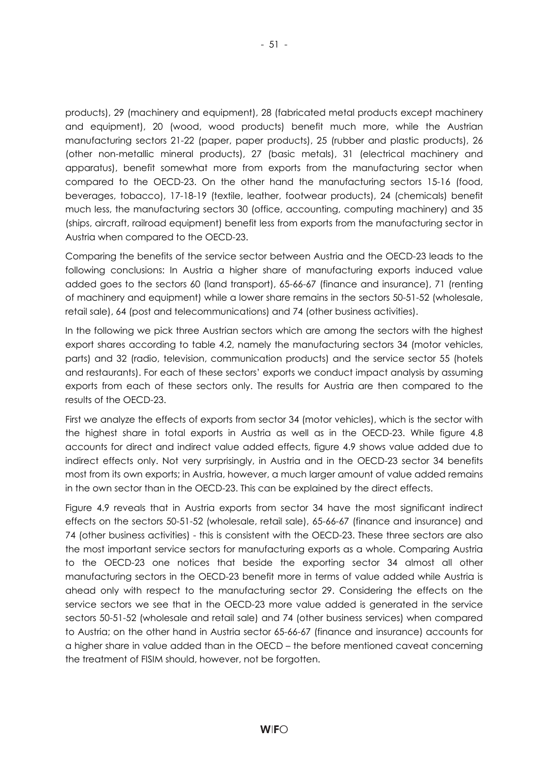products), 29 (machinery and equipment), 28 (fabricated metal products except machinery and equipment), 20 (wood, wood products) benefit much more, while the Austrian manufacturing sectors 21-22 (paper, paper products), 25 (rubber and plastic products), 26 (other non-metallic mineral products), 27 (basic metals), 31 (electrical machinery and apparatus), benefit somewhat more from exports from the manufacturing sector when compared to the OECD-23. On the other hand the manufacturing sectors 15-16 (food, beverages, tobacco), 17-18-19 (textile, leather, footwear products), 24 (chemicals) benefit much less, the manufacturing sectors 30 (office, accounting, computing machinery) and 35 (ships, aircraft, railroad equipment) benefit less from exports from the manufacturing sector in Austria when compared to the OECD-23.

Comparing the benefits of the service sector between Austria and the OECD-23 leads to the following conclusions: In Austria a higher share of manufacturing exports induced value added goes to the sectors 60 (land transport), 65-66-67 (finance and insurance), 71 (renting of machinery and equipment) while a lower share remains in the sectors 50-51-52 (wholesale, retail sale), 64 (post and telecommunications) and 74 (other business activities).

In the following we pick three Austrian sectors which are among the sectors with the highest export shares according to table 4.2, namely the manufacturing sectors 34 (motor vehicles, parts) and 32 (radio, television, communication products) and the service sector 55 (hotels and restaurants). For each of these sectors' exports we conduct impact analysis by assuming exports from each of these sectors only. The results for Austria are then compared to the results of the OECD-23.

First we analyze the effects of exports from sector 34 (motor vehicles), which is the sector with the highest share in total exports in Austria as well as in the OECD-23. While figure 4.8 accounts for direct and indirect value added effects, figure 4.9 shows value added due to indirect effects only. Not very surprisingly, in Austria and in the OECD-23 sector 34 benefits most from its own exports; in Austria, however, a much larger amount of value added remains in the own sector than in the OECD-23. This can be explained by the direct effects.

Figure 4.9 reveals that in Austria exports from sector 34 have the most significant indirect effects on the sectors 50-51-52 (wholesale, retail sale), 65-66-67 (finance and insurance) and 74 (other business activities) - this is consistent with the OECD-23. These three sectors are also the most important service sectors for manufacturing exports as a whole. Comparing Austria to the OECD-23 one notices that beside the exporting sector 34 almost all other manufacturing sectors in the OECD-23 benefit more in terms of value added while Austria is ahead only with respect to the manufacturing sector 29. Considering the effects on the service sectors we see that in the OECD-23 more value added is generated in the service sectors 50-51-52 (wholesale and retail sale) and 74 (other business services) when compared to Austria; on the other hand in Austria sector 65-66-67 (finance and insurance) accounts for a higher share in value added than in the OECD – the before mentioned caveat concerning the treatment of FISIM should, however, not be forgotten.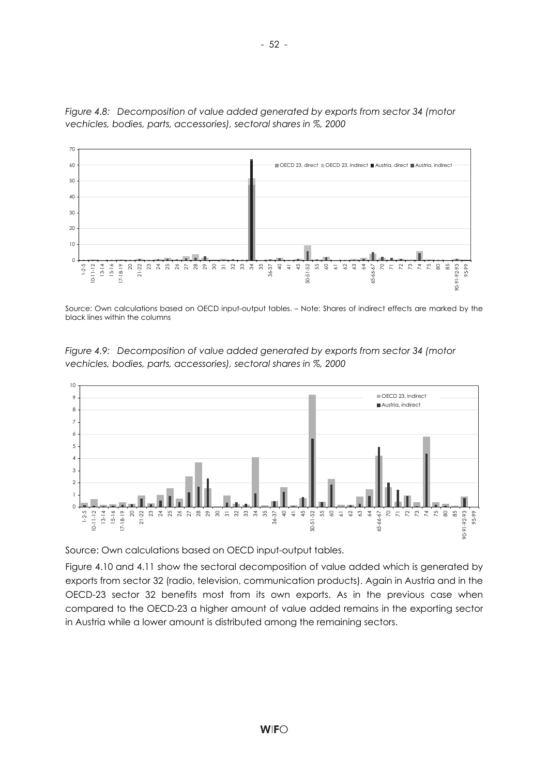

*Figure 4.8: Decomposition of value added generated by exports from sector 34 (motor vechicles, bodies, parts, accessories), sectoral shares in %, 2000* 

Source: Own calculations based on OECD input-output tables. – Note: Shares of indirect effects are marked by the black lines within the columns

*Figure 4.9: Decomposition of value added generated by exports from sector 34 (motor vechicles, bodies, parts, accessories), sectoral shares in %, 2000* 



Source: Own calculations based on OECD input-output tables.

Figure 4.10 and 4.11 show the sectoral decomposition of value added which is generated by exports from sector 32 (radio, television, communication products). Again in Austria and in the OECD-23 sector 32 benefits most from its own exports. As in the previous case when compared to the OECD-23 a higher amount of value added remains in the exporting sector in Austria while a lower amount is distributed among the remaining sectors.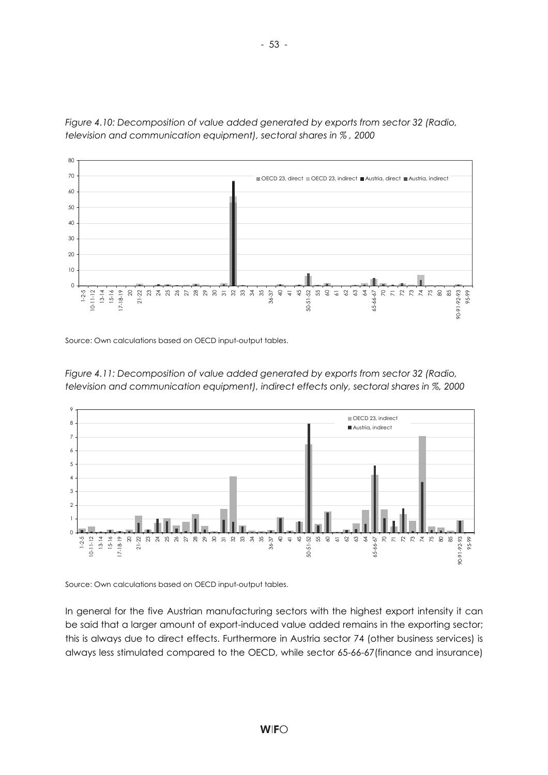

*Figure 4.10: Decomposition of value added generated by exports from sector 32 (Radio, television and communication equipment), sectoral shares in % , 2000* 

Source: Own calculations based on OECD input-output tables.





Source: Own calculations based on OECD input-output tables.

In general for the five Austrian manufacturing sectors with the highest export intensity it can be said that a larger amount of export-induced value added remains in the exporting sector; this is always due to direct effects. Furthermore in Austria sector 74 (other business services) is always less stimulated compared to the OECD, while sector 65-66-67(finance and insurance)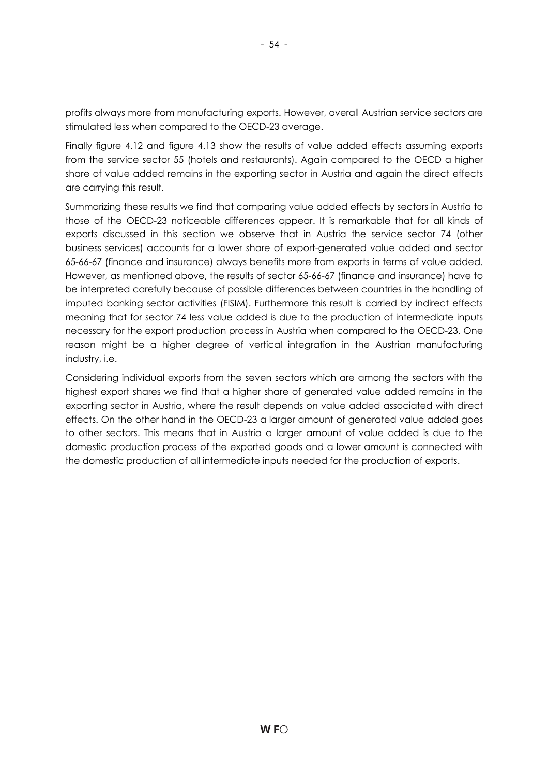profits always more from manufacturing exports. However, overall Austrian service sectors are stimulated less when compared to the OECD-23 average.

- 54 -

Finally figure 4.12 and figure 4.13 show the results of value added effects assuming exports from the service sector 55 (hotels and restaurants). Again compared to the OECD a higher share of value added remains in the exporting sector in Austria and again the direct effects are carrying this result.

Summarizing these results we find that comparing value added effects by sectors in Austria to those of the OECD-23 noticeable differences appear. It is remarkable that for all kinds of exports discussed in this section we observe that in Austria the service sector 74 (other business services) accounts for a lower share of export-generated value added and sector 65-66-67 (finance and insurance) always benefits more from exports in terms of value added. However, as mentioned above, the results of sector 65-66-67 (finance and insurance) have to be interpreted carefully because of possible differences between countries in the handling of imputed banking sector activities (FISIM). Furthermore this result is carried by indirect effects meaning that for sector 74 less value added is due to the production of intermediate inputs necessary for the export production process in Austria when compared to the OECD-23. One reason might be a higher degree of vertical integration in the Austrian manufacturing industry, i.e.

Considering individual exports from the seven sectors which are among the sectors with the highest export shares we find that a higher share of generated value added remains in the exporting sector in Austria, where the result depends on value added associated with direct effects. On the other hand in the OECD-23 a larger amount of generated value added goes to other sectors. This means that in Austria a larger amount of value added is due to the domestic production process of the exported goods and a lower amount is connected with the domestic production of all intermediate inputs needed for the production of exports.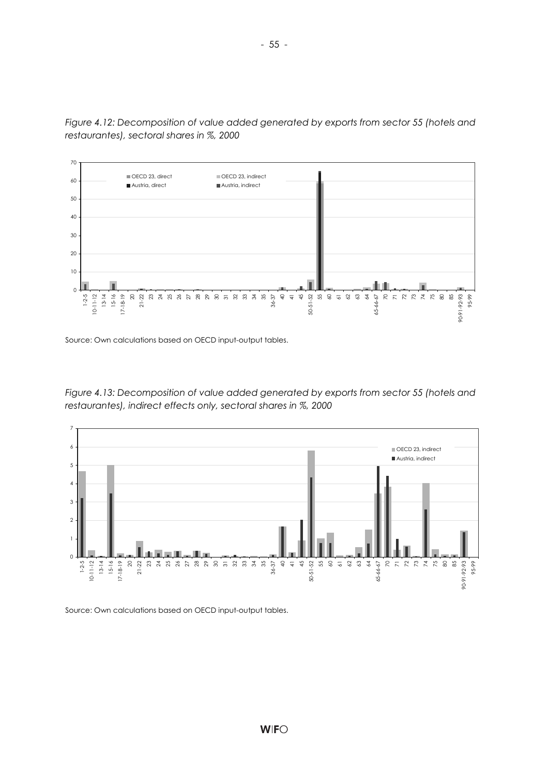

*Figure 4.12: Decomposition of value added generated by exports from sector 55 (hotels and restaurantes), sectoral shares in %, 2000* 

Source: Own calculations based on OECD input-output tables.

*Figure 4.13: Decomposition of value added generated by exports from sector 55 (hotels and restaurantes), indirect effects only, sectoral shares in %, 2000* 



Source: Own calculations based on OECD input-output tables.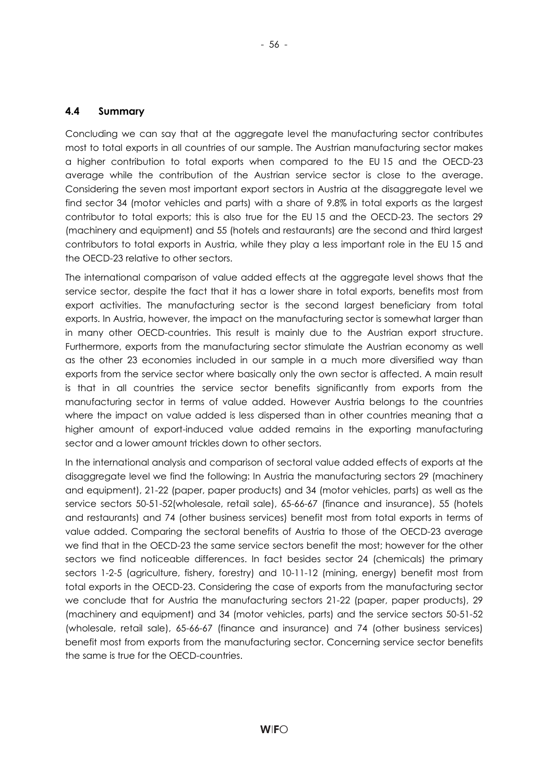### **4.4 Summary**

Concluding we can say that at the aggregate level the manufacturing sector contributes most to total exports in all countries of our sample. The Austrian manufacturing sector makes a higher contribution to total exports when compared to the EU 15 and the OECD-23 average while the contribution of the Austrian service sector is close to the average. Considering the seven most important export sectors in Austria at the disaggregate level we find sector 34 (motor vehicles and parts) with a share of 9.8% in total exports as the largest contributor to total exports; this is also true for the EU 15 and the OECD-23. The sectors 29 (machinery and equipment) and 55 (hotels and restaurants) are the second and third largest contributors to total exports in Austria, while they play a less important role in the EU 15 and the OECD-23 relative to other sectors.

The international comparison of value added effects at the aggregate level shows that the service sector, despite the fact that it has a lower share in total exports, benefits most from export activities. The manufacturing sector is the second largest beneficiary from total exports. In Austria, however, the impact on the manufacturing sector is somewhat larger than in many other OECD-countries. This result is mainly due to the Austrian export structure. Furthermore, exports from the manufacturing sector stimulate the Austrian economy as well as the other 23 economies included in our sample in a much more diversified way than exports from the service sector where basically only the own sector is affected. A main result is that in all countries the service sector benefits significantly from exports from the manufacturing sector in terms of value added. However Austria belongs to the countries where the impact on value added is less dispersed than in other countries meaning that a higher amount of export-induced value added remains in the exporting manufacturing sector and a lower amount trickles down to other sectors.

In the international analysis and comparison of sectoral value added effects of exports at the disaggregate level we find the following: In Austria the manufacturing sectors 29 (machinery and equipment), 21-22 (paper, paper products) and 34 (motor vehicles, parts) as well as the service sectors 50-51-52(wholesale, retail sale), 65-66-67 (finance and insurance), 55 (hotels and restaurants) and 74 (other business services) benefit most from total exports in terms of value added. Comparing the sectoral benefits of Austria to those of the OECD-23 average we find that in the OECD-23 the same service sectors benefit the most; however for the other sectors we find noticeable differences. In fact besides sector 24 (chemicals) the primary sectors 1-2-5 (agriculture, fishery, forestry) and 10-11-12 (mining, energy) benefit most from total exports in the OECD-23. Considering the case of exports from the manufacturing sector we conclude that for Austria the manufacturing sectors 21-22 (paper, paper products), 29 (machinery and equipment) and 34 (motor vehicles, parts) and the service sectors 50-51-52 (wholesale, retail sale), 65-66-67 (finance and insurance) and 74 (other business services) benefit most from exports from the manufacturing sector. Concerning service sector benefits the same is true for the OECD-countries.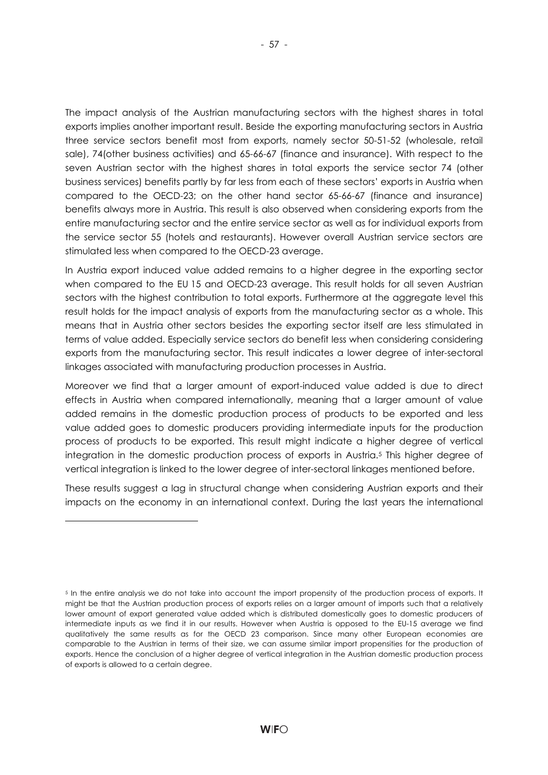The impact analysis of the Austrian manufacturing sectors with the highest shares in total exports implies another important result. Beside the exporting manufacturing sectors in Austria three service sectors benefit most from exports, namely sector 50-51-52 (wholesale, retail sale), 74(other business activities) and 65-66-67 (finance and insurance). With respect to the seven Austrian sector with the highest shares in total exports the service sector 74 (other business services) benefits partly by far less from each of these sectors' exports in Austria when

compared to the OECD-23; on the other hand sector 65-66-67 (finance and insurance) benefits always more in Austria. This result is also observed when considering exports from the entire manufacturing sector and the entire service sector as well as for individual exports from the service sector 55 (hotels and restaurants). However overall Austrian service sectors are stimulated less when compared to the OECD-23 average.

In Austria export induced value added remains to a higher degree in the exporting sector when compared to the EU 15 and OECD-23 average. This result holds for all seven Austrian sectors with the highest contribution to total exports. Furthermore at the aggregate level this result holds for the impact analysis of exports from the manufacturing sector as a whole. This means that in Austria other sectors besides the exporting sector itself are less stimulated in terms of value added. Especially service sectors do benefit less when considering considering exports from the manufacturing sector. This result indicates a lower degree of inter-sectoral linkages associated with manufacturing production processes in Austria.

Moreover we find that a larger amount of export-induced value added is due to direct effects in Austria when compared internationally, meaning that a larger amount of value added remains in the domestic production process of products to be exported and less value added goes to domestic producers providing intermediate inputs for the production process of products to be exported. This result might indicate a higher degree of vertical integration in the domestic production process of exports in Austria.5 This higher degree of vertical integration is linked to the lower degree of inter-sectoral linkages mentioned before.

These results suggest a lag in structural change when considering Austrian exports and their impacts on the economy in an international context. During the last years the international

l

<sup>5</sup> In the entire analysis we do not take into account the import propensity of the production process of exports. It might be that the Austrian production process of exports relies on a larger amount of imports such that a relatively lower amount of export generated value added which is distributed domestically goes to domestic producers of intermediate inputs as we find it in our results. However when Austria is opposed to the EU-15 average we find qualitatively the same results as for the OECD 23 comparison. Since many other European economies are comparable to the Austrian in terms of their size, we can assume similar import propensities for the production of exports. Hence the conclusion of a higher degree of vertical integration in the Austrian domestic production process of exports is allowed to a certain degree.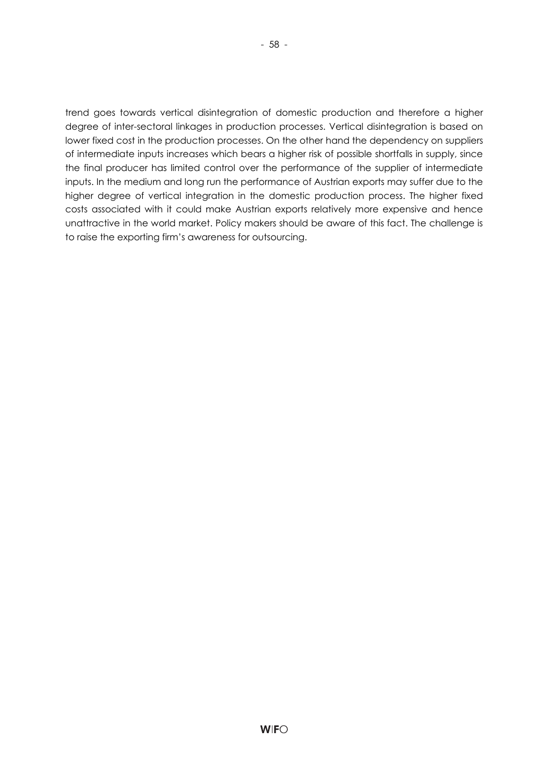trend goes towards vertical disintegration of domestic production and therefore a higher degree of inter-sectoral linkages in production processes. Vertical disintegration is based on lower fixed cost in the production processes. On the other hand the dependency on suppliers of intermediate inputs increases which bears a higher risk of possible shortfalls in supply, since the final producer has limited control over the performance of the supplier of intermediate inputs. In the medium and long run the performance of Austrian exports may suffer due to the higher degree of vertical integration in the domestic production process. The higher fixed costs associated with it could make Austrian exports relatively more expensive and hence unattractive in the world market. Policy makers should be aware of this fact. The challenge is to raise the exporting firm's awareness for outsourcing.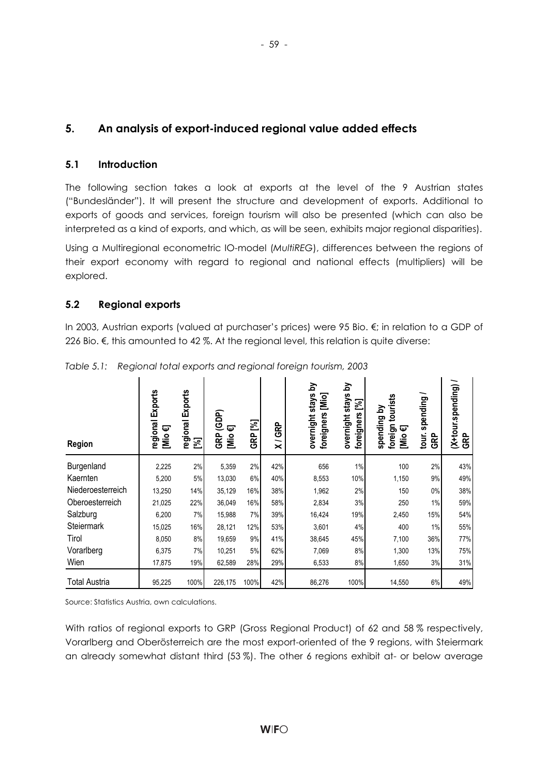# **5. An analysis of export-induced regional value added effects**

## **5.1 Introduction**

The following section takes a look at exports at the level of the 9 Austrian states ("Bundesländer"). It will present the structure and development of exports. Additional to exports of goods and services, foreign tourism will also be presented (which can also be interpreted as a kind of exports, and which, as will be seen, exhibits major regional disparities).

Using a Multiregional econometric IO-model (*MultiREG*), differences between the regions of their export economy with regard to regional and national effects (multipliers) will be explored.

## **5.2 Regional exports**

In 2003, Austrian exports (valued at purchaser's prices) were 95 Bio. €; in relation to a GDP of 226 Bio.  $€$ , this amounted to 42 %. At the regional level, this relation is quite diverse:

| Region            | regional Exports<br>ᢑ<br>$\sum_{i=1}^{n}$ | regional Exports<br>$\mathbb{Z}$ | (GDP)<br>Φ<br>GRP<br><u>iMi</u> | ြိ<br>GRP | GRP<br>$\overline{\mathbf{x}}$ | á<br>overnight stays<br>$[\text{Mio}]$<br>foreigners | <u>হ</u><br>stays<br>図<br>foreigners<br>overnight | tourists<br><u>ব</u><br>spending<br>foreign<br>☞<br>[Mio | spending/<br>tour.<br>GRP | (X+tour.spending)<br><b>GRP</b> |
|-------------------|-------------------------------------------|----------------------------------|---------------------------------|-----------|--------------------------------|------------------------------------------------------|---------------------------------------------------|----------------------------------------------------------|---------------------------|---------------------------------|
| Burgenland        | 2,225                                     | 2%                               | 5,359                           | 2%        | 42%                            | 656                                                  | 1%                                                | 100                                                      | 2%                        | 43%                             |
| Kaernten          | 5,200                                     | 5%                               | 13,030                          | 6%        | 40%                            | 8,553                                                | 10%                                               | 1,150                                                    | 9%                        | 49%                             |
| Niederoesterreich | 13,250                                    | 14%                              | 35,129                          | 16%       | 38%                            | 1,962                                                | 2%                                                | 150                                                      | $0\%$                     | 38%                             |
| Oberoesterreich   | 21,025                                    | 22%                              | 36,049                          | 16%       | 58%                            | 2,834                                                | 3%                                                | 250                                                      | 1%                        | 59%                             |
| Salzburg          | 6,200                                     | 7%                               | 15,988                          | 7%        | 39%                            | 16,424                                               | 19%                                               | 2,450                                                    | 15%                       | 54%                             |
| Steiermark        | 15,025                                    | 16%                              | 28,121                          | 12%       | 53%                            | 3,601                                                | 4%                                                | 400                                                      | 1%                        | 55%                             |
| Tirol             | 8,050                                     | 8%                               | 19,659                          | 9%        | 41%                            | 38,645                                               | 45%                                               | 7,100                                                    | 36%                       | 77%                             |
| Vorarlberg        | 6,375                                     | 7%                               | 10,251                          | 5%        | 62%                            | 7,069                                                | 8%                                                | 1,300                                                    | 13%                       | 75%                             |
| Wien              | 17,875                                    | 19%                              | 62,589                          | 28%       | 29%                            | 6,533                                                | 8%                                                | 1,650                                                    | 3%                        | 31%                             |
| Total Austria     | 95,225                                    | 100%                             | 226,175                         | 100%      | 42%                            | 86,276                                               | 100%                                              | 14,550                                                   | 6%                        | 49%                             |

*Table 5.1: Regional total exports and regional foreign tourism, 2003* 

Source: Statistics Austria, own calculations.

With ratios of regional exports to GRP (Gross Regional Product) of 62 and 58 % respectively, Vorarlberg and Oberösterreich are the most export-oriented of the 9 regions, with Steiermark an already somewhat distant third (53 %). The other 6 regions exhibit at- or below average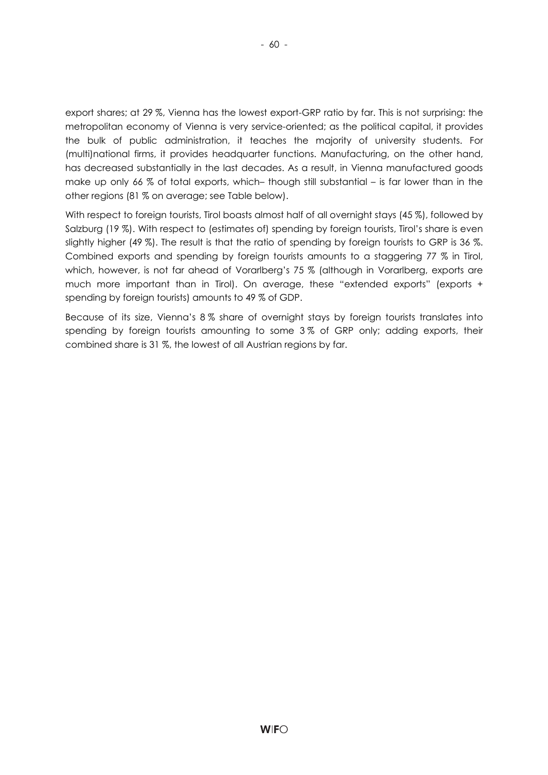export shares; at 29 %, Vienna has the lowest export-GRP ratio by far. This is not surprising: the metropolitan economy of Vienna is very service-oriented; as the political capital, it provides the bulk of public administration, it teaches the majority of university students. For (multi)national firms, it provides headquarter functions. Manufacturing, on the other hand, has decreased substantially in the last decades. As a result, in Vienna manufactured goods make up only 66 % of total exports, which– though still substantial – is far lower than in the other regions (81 % on average; see Table below).

With respect to foreign tourists, Tirol boasts almost half of all overnight stays (45 %), followed by Salzburg (19 %). With respect to (estimates of) spending by foreign tourists, Tirol's share is even slightly higher (49 %). The result is that the ratio of spending by foreign tourists to GRP is 36 %. Combined exports and spending by foreign tourists amounts to a staggering 77 % in Tirol, which, however, is not far ahead of Vorarlberg's 75 % (although in Vorarlberg, exports are much more important than in Tirol). On average, these "extended exports" (exports + spending by foreign tourists) amounts to 49 % of GDP.

Because of its size, Vienna's 8 % share of overnight stays by foreign tourists translates into spending by foreign tourists amounting to some 3 % of GRP only; adding exports, their combined share is 31 %, the lowest of all Austrian regions by far.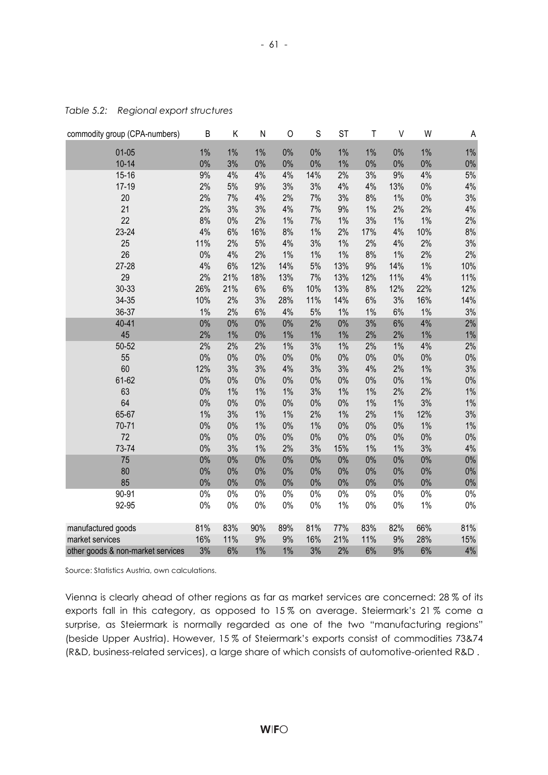| commodity group (CPA-numbers)     | B     | Κ     | N     | 0     | $\mathsf S$ | <b>ST</b> | $\mathsf T$ | $\vee$ | W     | Α     |
|-----------------------------------|-------|-------|-------|-------|-------------|-----------|-------------|--------|-------|-------|
| $01-05$                           | $1\%$ | $1\%$ | $1\%$ | 0%    | 0%          | $1\%$     | $1\%$       | $0\%$  | $1\%$ | $1\%$ |
| $10 - 14$                         | 0%    | 3%    | $0\%$ | 0%    | 0%          | $1\%$     | 0%          | $0\%$  | 0%    | $0\%$ |
| $15 - 16$                         | 9%    | 4%    | 4%    | 4%    | 14%         | 2%        | 3%          | 9%     | 4%    | $5%$  |
| $17 - 19$                         | 2%    | 5%    | 9%    | 3%    | 3%          | 4%        | 4%          | 13%    | $0\%$ | $4\%$ |
| 20                                | 2%    | 7%    | 4%    | 2%    | 7%          | 3%        | 8%          | $1\%$  | $0\%$ | 3%    |
| 21                                | 2%    | 3%    | 3%    | 4%    | 7%          | 9%        | $1\%$       | 2%     | 2%    | 4%    |
| 22                                | 8%    | $0\%$ | 2%    | $1\%$ | 7%          | $1\%$     | 3%          | $1\%$  | $1\%$ | 2%    |
| 23-24                             | 4%    | 6%    | 16%   | 8%    | $1\%$       | 2%        | 17%         | 4%     | 10%   | $8%$  |
| 25                                | 11%   | 2%    | 5%    | 4%    | 3%          | $1\%$     | 2%          | 4%     | 2%    | 3%    |
| 26                                | $0\%$ | 4%    | 2%    | $1\%$ | $1\%$       | $1\%$     | 8%          | $1\%$  | 2%    | 2%    |
| $27 - 28$                         | 4%    | $6\%$ | 12%   | 14%   | 5%          | 13%       | 9%          | 14%    | $1\%$ | 10%   |
| 29                                | 2%    | 21%   | 18%   | 13%   | 7%          | 13%       | 12%         | 11%    | 4%    | 11%   |
| 30-33                             | 26%   | 21%   | $6\%$ | $6\%$ | 10%         | 13%       | 8%          | 12%    | 22%   | 12%   |
| 34-35                             | 10%   | 2%    | 3%    | 28%   | 11%         | 14%       | $6\%$       | 3%     | 16%   | 14%   |
| 36-37                             | $1\%$ | 2%    | 6%    | 4%    | 5%          | $1\%$     | $1\%$       | 6%     | $1\%$ | 3%    |
| $40 - 41$                         | $0\%$ | $0\%$ | $0\%$ | $0\%$ | 2%          | $0\%$     | 3%          | 6%     | 4%    | 2%    |
| 45                                | 2%    | $1\%$ | $0\%$ | $1\%$ | $1\%$       | $1\%$     | 2%          | 2%     | 1%    | $1\%$ |
| 50-52                             | 2%    | 2%    | 2%    | $1\%$ | 3%          | $1\%$     | 2%          | $1\%$  | 4%    | 2%    |
| 55                                | $0\%$ | $0\%$ | $0\%$ | $0\%$ | $0\%$       | $0\%$     | $0\%$       | $0\%$  | $0\%$ | $0\%$ |
| 60                                | 12%   | 3%    | 3%    | 4%    | 3%          | 3%        | 4%          | 2%     | 1%    | 3%    |
| 61-62                             | $0\%$ | $0\%$ | $0\%$ | $0\%$ | $0\%$       | $0\%$     | $0\%$       | $0\%$  | 1%    | $0\%$ |
| 63                                | $0\%$ | $1\%$ | 1%    | $1\%$ | 3%          | $1\%$     | $1\%$       | 2%     | 2%    | $1\%$ |
| 64                                | $0\%$ | $0\%$ | $0\%$ | $0\%$ | $0\%$       | $0\%$     | $1\%$       | $1\%$  | 3%    | $1\%$ |
| 65-67                             | $1\%$ | 3%    | $1\%$ | $1\%$ | 2%          | $1\%$     | 2%          | $1\%$  | 12%   | 3%    |
| $70 - 71$                         | $0\%$ | $0\%$ | $1\%$ | $0\%$ | $1\%$       | $0\%$     | $0\%$       | $0\%$  | $1\%$ | $1\%$ |
| 72                                | $0\%$ | $0\%$ | $0\%$ | $0\%$ | $0\%$       | $0\%$     | $0\%$       | $0\%$  | 0%    | $0\%$ |
| 73-74                             | 0%    | 3%    | $1\%$ | 2%    | 3%          | 15%       | $1\%$       | $1\%$  | 3%    | 4%    |
| 75                                | $0\%$ | $0\%$ | 0%    | 0%    | 0%          | $0\%$     | $0\%$       | $0\%$  | 0%    | $0\%$ |
| 80                                | $0\%$ | 0%    | 0%    | 0%    | 0%          | $0\%$     | $0\%$       | $0\%$  | 0%    | $0\%$ |
| 85                                | 0%    | 0%    | 0%    | 0%    | 0%          | $0\%$     | $0\%$       | $0\%$  | 0%    | $0\%$ |
| $90 - 91$                         | $0\%$ | $0\%$ | $0\%$ | $0\%$ | $0\%$       | $0\%$     | $0\%$       | $0\%$  | $0\%$ | $0\%$ |
| 92-95                             | $0\%$ | $0\%$ | $0\%$ | $0\%$ | $0\%$       | $1\%$     | $0\%$       | $0\%$  | $1\%$ | $0\%$ |
| manufactured goods                | 81%   | 83%   | 90%   | 89%   | 81%         | 77%       | 83%         | 82%    | 66%   | 81%   |
| market services                   | 16%   | 11%   | 9%    | 9%    | 16%         | 21%       | 11%         | 9%     | 28%   | 15%   |
| other goods & non-market services | 3%    | 6%    | $1\%$ | 1%    | 3%          | 2%        | 6%          | 9%     | 6%    | 4%    |

*Table 5.2: Regional export structures* 

Source: Statistics Austria, own calculations.

Vienna is clearly ahead of other regions as far as market services are concerned: 28 % of its exports fall in this category, as opposed to 15 % on average. Steiermark's 21 % come a surprise, as Steiermark is normally regarded as one of the two "manufacturing regions" (beside Upper Austria). However, 15 % of Steiermark's exports consist of commodities 73&74 (R&D, business-related services), a large share of which consists of automotive-oriented R&D .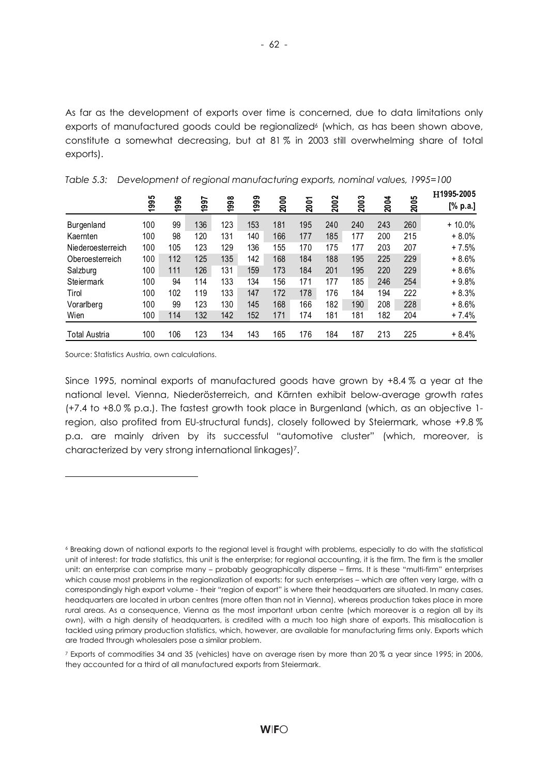As far as the development of exports over time is concerned, due to data limitations only exports of manufactured goods could be regionalized<sup>6</sup> (which, as has been shown above, constitute a somewhat decreasing, but at 81 % in 2003 still overwhelming share of total exports).

|                      | မာ<br>199 | 1996 | 997 | 1998 | 1999 | 2000 | <b>2001</b> | 2002 | 2003 | <b>2004</b> | 2005 | H1995-2005<br>[% p.a.] |
|----------------------|-----------|------|-----|------|------|------|-------------|------|------|-------------|------|------------------------|
|                      |           |      | ÷   |      |      |      |             |      |      |             |      |                        |
| Burgenland           | 100       | 99   | 136 | 123  | 153  | 181  | 195         | 240  | 240  | 243         | 260  | $+10.0\%$              |
| Kaernten             | 100       | 98   | 120 | 131  | 140  | 166  | 177         | 185  | 177  | 200         | 215  | $+8.0%$                |
| Niederoesterreich    | 100       | 105  | 123 | 129  | 136  | 155  | 170         | 175  | 177  | 203         | 207  | $+7.5%$                |
| Oberoesterreich      | 100       | 112  | 125 | 135  | 142  | 168  | 184         | 188  | 195  | 225         | 229  | $+8.6%$                |
| Salzburg             | 100       | 111  | 126 | 131  | 159  | 173  | 184         | 201  | 195  | 220         | 229  | $+8.6%$                |
| Steiermark           | 100       | 94   | 114 | 133  | 134  | 156  | 171         | 177  | 185  | 246         | 254  | $+9.8%$                |
| Tirol                | 100       | 102  | 119 | 133  | 147  | 172  | 178         | 176  | 184  | 194         | 222  | $+8.3%$                |
| Vorarlberg           | 100       | 99   | 123 | 130  | 145  | 168  | 166         | 182  | 190  | 208         | 228  | $+8.6%$                |
| Wien                 | 100       | 114  | 132 | 142  | 152  | 171  | 174         | 181  | 181  | 182         | 204  | $+7.4%$                |
| <b>Total Austria</b> | 100       | 106  | 123 | 134  | 143  | 165  | 176         | 184  | 187  | 213         | 225  | $+8.4%$                |

*Table 5.3: Development of regional manufacturing exports, nominal values, 1995=100* 

Source: Statistics Austria, own calculations.

l

Since 1995, nominal exports of manufactured goods have grown by +8.4 % a year at the national level. Vienna, Niederösterreich, and Kärnten exhibit below-average growth rates (+7.4 to +8.0 % p.a.). The fastest growth took place in Burgenland (which, as an objective 1 region, also profited from EU-structural funds), closely followed by Steiermark, whose +9.8 % p.a. are mainly driven by its successful "automotive cluster" (which, moreover, is characterized by very strong international linkages)7.

<sup>6</sup> Breaking down of national exports to the regional level is fraught with problems, especially to do with the statistical unit of interest: for trade statistics, this unit is the enterprise; for regional accounting, it is the firm. The firm is the smaller unit: an enterprise can comprise many – probably geographically disperse – firms. It is these "multi-firm" enterprises which cause most problems in the regionalization of exports: for such enterprises – which are often very large, with a correspondingly high export volume - their "region of export" is where their headquarters are situated. In many cases, headquarters are located in urban centres (more often than not in Vienna), whereas production takes place in more rural areas. As a consequence, Vienna as the most important urban centre (which moreover is a region all by its own), with a high density of headquarters, is credited with a much too high share of exports. This misallocation is tackled using primary production statistics, which, however, are available for manufacturing firms only. Exports which are traded through wholesalers pose a similar problem.

<sup>7</sup> Exports of commodities 34 and 35 (vehicles) have on average risen by more than 20 % a year since 1995; in 2006, they accounted for a third of all manufactured exports from Steiermark.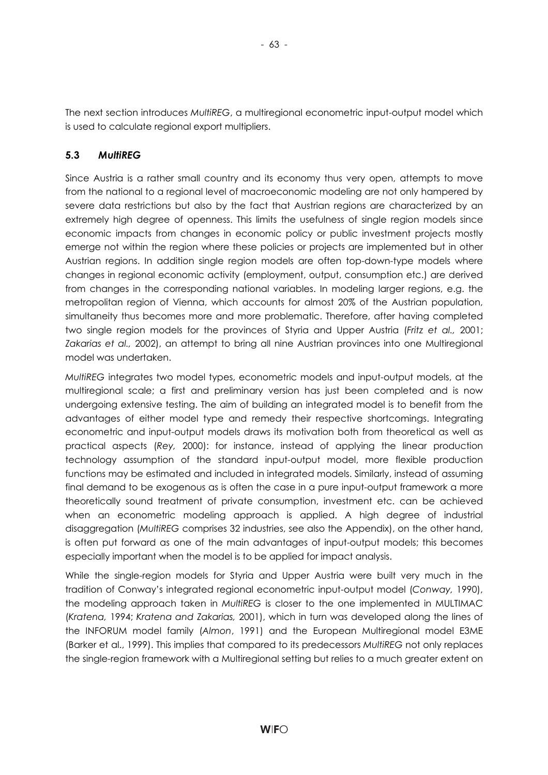The next section introduces *MultiREG*, a multiregional econometric input-output model which is used to calculate regional export multipliers.

- 63 -

## **5.3** *MultiREG*

Since Austria is a rather small country and its economy thus very open, attempts to move from the national to a regional level of macroeconomic modeling are not only hampered by severe data restrictions but also by the fact that Austrian regions are characterized by an extremely high degree of openness. This limits the usefulness of single region models since economic impacts from changes in economic policy or public investment projects mostly emerge not within the region where these policies or projects are implemented but in other Austrian regions. In addition single region models are often top-down-type models where changes in regional economic activity (employment, output, consumption etc.) are derived from changes in the corresponding national variables. In modeling larger regions, e.g. the metropolitan region of Vienna, which accounts for almost 20% of the Austrian population, simultaneity thus becomes more and more problematic. Therefore, after having completed two single region models for the provinces of Styria and Upper Austria (*Fritz et al.,* 2001; *Zakarias et al.,* 2002), an attempt to bring all nine Austrian provinces into one Multiregional model was undertaken.

*MultiREG* integrates two model types, econometric models and input-output models, at the multiregional scale; a first and preliminary version has just been completed and is now undergoing extensive testing. The aim of building an integrated model is to benefit from the advantages of either model type and remedy their respective shortcomings. Integrating econometric and input-output models draws its motivation both from theoretical as well as practical aspects (*Rey,* 2000): for instance, instead of applying the linear production technology assumption of the standard input-output model, more flexible production functions may be estimated and included in integrated models. Similarly, instead of assuming final demand to be exogenous as is often the case in a pure input-output framework a more theoretically sound treatment of private consumption, investment etc. can be achieved when an econometric modeling approach is applied. A high degree of industrial disaggregation (*MultiREG* comprises 32 industries, see also the Appendix), on the other hand, is often put forward as one of the main advantages of input-output models; this becomes especially important when the model is to be applied for impact analysis.

While the single-region models for Styria and Upper Austria were built very much in the tradition of Conway's integrated regional econometric input-output model (*Conway,* 1990), the modeling approach taken in *MultiREG* is closer to the one implemented in MULTIMAC (*Kratena,* 1994; *Kratena and Zakarias,* 2001), which in turn was developed along the lines of the INFORUM model family (*Almon*, 1991) and the European Multiregional model E3ME (Barker et al., 1999). This implies that compared to its predecessors *MultiREG* not only replaces the single-region framework with a Multiregional setting but relies to a much greater extent on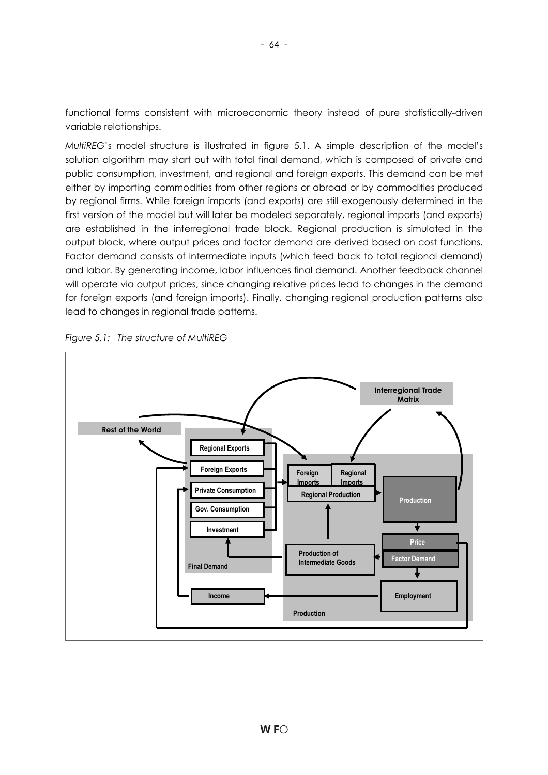functional forms consistent with microeconomic theory instead of pure statistically-driven variable relationships.

*MultiREG*'s model structure is illustrated in figure 5.1. A simple description of the model's solution algorithm may start out with total final demand, which is composed of private and public consumption, investment, and regional and foreign exports. This demand can be met either by importing commodities from other regions or abroad or by commodities produced by regional firms. While foreign imports (and exports) are still exogenously determined in the first version of the model but will later be modeled separately, regional imports (and exports) are established in the interregional trade block. Regional production is simulated in the output block, where output prices and factor demand are derived based on cost functions. Factor demand consists of intermediate inputs (which feed back to total regional demand) and labor. By generating income, labor influences final demand. Another feedback channel will operate via output prices, since changing relative prices lead to changes in the demand for foreign exports (and foreign imports). Finally, changing regional production patterns also lead to changes in regional trade patterns.



*Figure 5.1: The structure of MultiREG*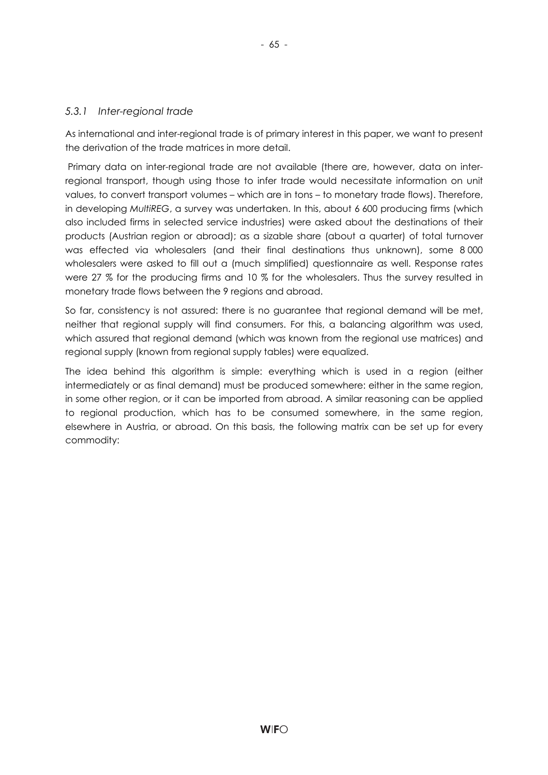### *5.3.1 Inter-regional trade*

As international and inter-regional trade is of primary interest in this paper, we want to present the derivation of the trade matrices in more detail.

 Primary data on inter-regional trade are not available (there are, however, data on interregional transport, though using those to infer trade would necessitate information on unit values, to convert transport volumes – which are in tons – to monetary trade flows). Therefore, in developing *MultiREG*, a survey was undertaken. In this, about 6 600 producing firms (which also included firms in selected service industries) were asked about the destinations of their products (Austrian region or abroad); as a sizable share (about a quarter) of total turnover was effected via wholesalers (and their final destinations thus unknown), some 8 000 wholesalers were asked to fill out a (much simplified) questionnaire as well. Response rates were 27 % for the producing firms and 10 % for the wholesalers. Thus the survey resulted in monetary trade flows between the 9 regions and abroad.

So far, consistency is not assured: there is no guarantee that regional demand will be met, neither that regional supply will find consumers. For this, a balancing algorithm was used, which assured that regional demand (which was known from the regional use matrices) and regional supply (known from regional supply tables) were equalized.

The idea behind this algorithm is simple: everything which is used in a region (either intermediately or as final demand) must be produced somewhere: either in the same region, in some other region, or it can be imported from abroad. A similar reasoning can be applied to regional production, which has to be consumed somewhere, in the same region, elsewhere in Austria, or abroad. On this basis, the following matrix can be set up for every commodity: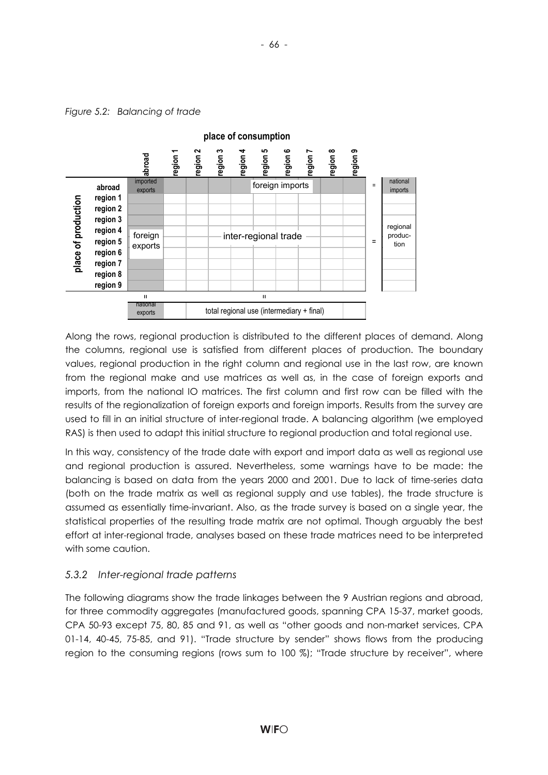

Along the rows, regional production is distributed to the different places of demand. Along the columns, regional use is satisfied from different places of production. The boundary values, regional production in the right column and regional use in the last row, are known from the regional make and use matrices as well as, in the case of foreign exports and imports, from the national IO matrices. The first column and first row can be filled with the results of the regionalization of foreign exports and foreign imports. Results from the survey are used to fill in an initial structure of inter-regional trade. A balancing algorithm (we employed RAS) is then used to adapt this initial structure to regional production and total regional use.

In this way, consistency of the trade date with export and import data as well as regional use and regional production is assured. Nevertheless, some warnings have to be made: the balancing is based on data from the years 2000 and 2001. Due to lack of time-series data (both on the trade matrix as well as regional supply and use tables), the trade structure is assumed as essentially time-invariant. Also, as the trade survey is based on a single year, the statistical properties of the resulting trade matrix are not optimal. Though arguably the best effort at inter-regional trade, analyses based on these trade matrices need to be interpreted with some caution.

# *5.3.2 Inter-regional trade patterns*

The following diagrams show the trade linkages between the 9 Austrian regions and abroad, for three commodity aggregates (manufactured goods, spanning CPA 15-37, market goods, CPA 50-93 except 75, 80, 85 and 91, as well as "other goods and non-market services, CPA 01-14, 40-45, 75-85, and 91). "Trade structure by sender" shows flows from the producing region to the consuming regions (rows sum to 100 %); "Trade structure by receiver", where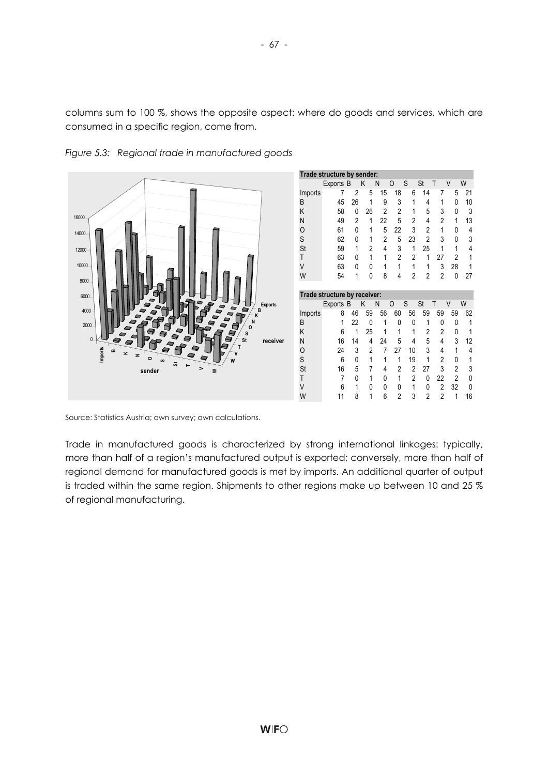columns sum to 100 %, shows the opposite aspect: where do goods and services, which are consumed in a specific region, come from.



*Figure 5.3: Regional trade in manufactured goods* 

Source: Statistics Austria; own survey; own calculations.

Trade in manufactured goods is characterized by strong international linkages: typically, more than half of a region's manufactured output is exported; conversely, more than half of regional demand for manufactured goods is met by imports. An additional quarter of output is traded within the same region. Shipments to other regions make up between 10 and 25 % of regional manufacturing.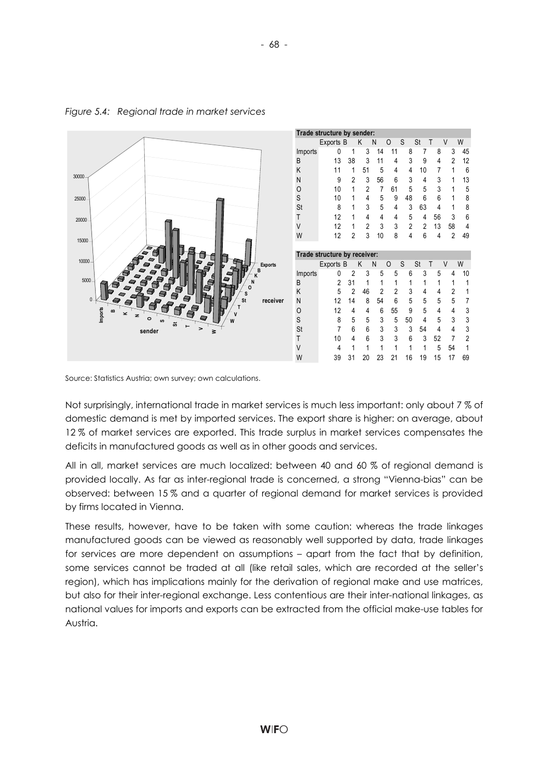

*Figure 5.4: Regional trade in market services* 

Source: Statistics Austria; own survey; own calculations.

Not surprisingly, international trade in market services is much less important: only about 7 % of domestic demand is met by imported services. The export share is higher: on average, about 12 % of market services are exported. This trade surplus in market services compensates the deficits in manufactured goods as well as in other goods and services.

All in all, market services are much localized: between 40 and 60 % of regional demand is provided locally. As far as inter-regional trade is concerned, a strong "Vienna-bias" can be observed: between 15 % and a quarter of regional demand for market services is provided by firms located in Vienna.

These results, however, have to be taken with some caution: whereas the trade linkages manufactured goods can be viewed as reasonably well supported by data, trade linkages for services are more dependent on assumptions – apart from the fact that by definition, some services cannot be traded at all (like retail sales, which are recorded at the seller's region), which has implications mainly for the derivation of regional make and use matrices, but also for their inter-regional exchange. Less contentious are their inter-national linkages, as national values for imports and exports can be extracted from the official make-use tables for Austria.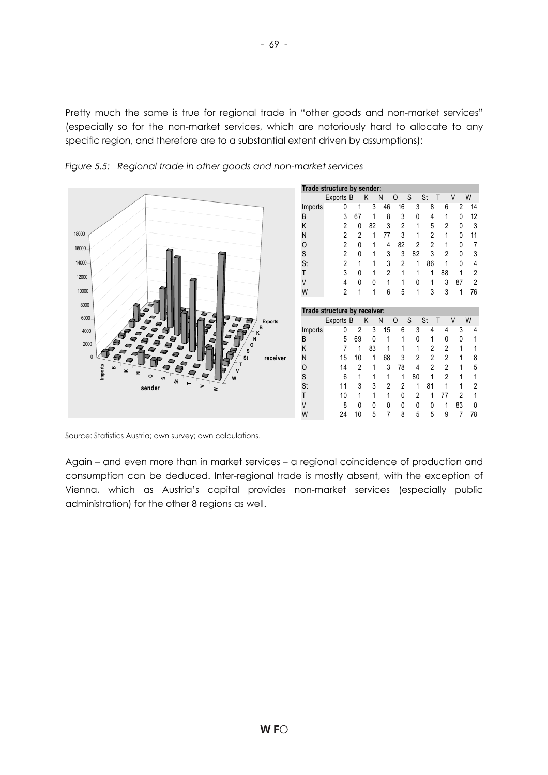Pretty much the same is true for regional trade in "other goods and non-market services" (especially so for the non-market services, which are notoriously hard to allocate to any specific region, and therefore are to a substantial extent driven by assumptions):



*Figure 5.5: Regional trade in other goods and non-market services* 

Source: Statistics Austria; own survey; own calculations.

Again – and even more than in market services – a regional coincidence of production and consumption can be deduced. Inter-regional trade is mostly absent, with the exception of Vienna, which as Austria's capital provides non-market services (especially public administration) for the other 8 regions as well.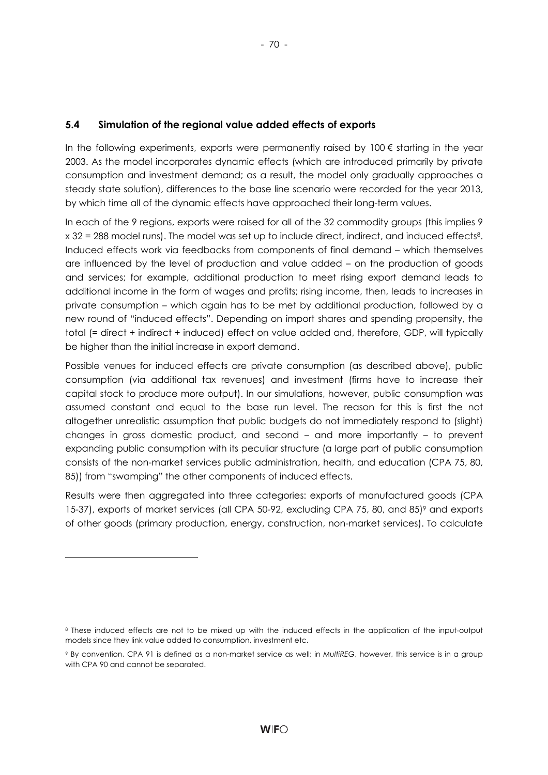## **5.4 Simulation of the regional value added effects of exports**

In the following experiments, exports were permanently raised by  $100 \epsilon$  starting in the year 2003. As the model incorporates dynamic effects (which are introduced primarily by private consumption and investment demand; as a result, the model only gradually approaches a steady state solution), differences to the base line scenario were recorded for the year 2013, by which time all of the dynamic effects have approached their long-term values.

In each of the 9 regions, exports were raised for all of the 32 commodity groups (this implies 9 x 32 = 288 model runs). The model was set up to include direct, indirect, and induced effects8. Induced effects work via feedbacks from components of final demand – which themselves are influenced by the level of production and value added – on the production of goods and services; for example, additional production to meet rising export demand leads to additional income in the form of wages and profits; rising income, then, leads to increases in private consumption – which again has to be met by additional production, followed by a new round of "induced effects". Depending on import shares and spending propensity, the total (= direct + indirect + induced) effect on value added and, therefore, GDP, will typically be higher than the initial increase in export demand.

Possible venues for induced effects are private consumption (as described above), public consumption (via additional tax revenues) and investment (firms have to increase their capital stock to produce more output). In our simulations, however, public consumption was assumed constant and equal to the base run level. The reason for this is first the not altogether unrealistic assumption that public budgets do not immediately respond to (slight) changes in gross domestic product, and second – and more importantly – to prevent expanding public consumption with its peculiar structure (a large part of public consumption consists of the non-market services public administration, health, and education (CPA 75, 80, 85)) from "swamping" the other components of induced effects.

Results were then aggregated into three categories: exports of manufactured goods (CPA 15-37), exports of market services (all CPA 50-92, excluding CPA 75, 80, and 85)<sup>9</sup> and exports of other goods (primary production, energy, construction, non-market services). To calculate

l

<sup>8</sup> These induced effects are not to be mixed up with the induced effects in the application of the input-output models since they link value added to consumption, investment etc.

<sup>9</sup> By convention, CPA 91 is defined as a non-market service as well; in *MultiREG*, however, this service is in a group with CPA 90 and cannot be separated.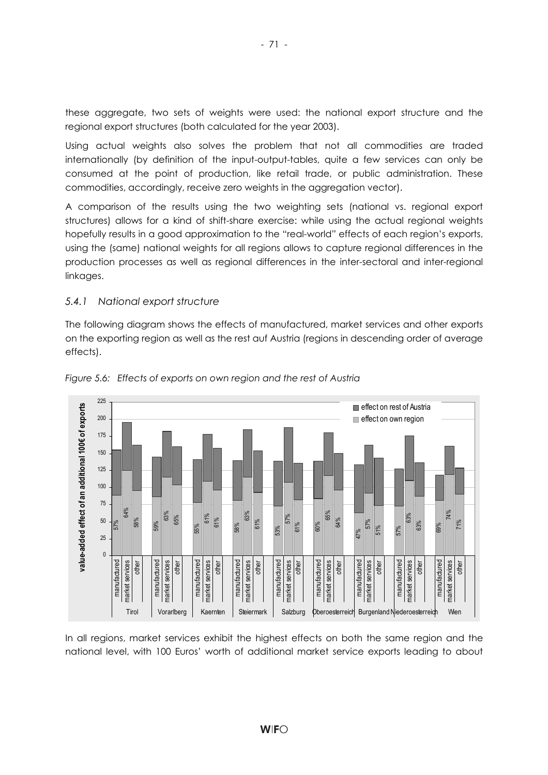these aggregate, two sets of weights were used: the national export structure and the regional export structures (both calculated for the year 2003).

Using actual weights also solves the problem that not all commodities are traded internationally (by definition of the input-output-tables, quite a few services can only be consumed at the point of production, like retail trade, or public administration. These commodities, accordingly, receive zero weights in the aggregation vector).

A comparison of the results using the two weighting sets (national vs. regional export structures) allows for a kind of shift-share exercise: while using the actual regional weights hopefully results in a good approximation to the "real-world" effects of each region's exports, using the (same) national weights for all regions allows to capture regional differences in the production processes as well as regional differences in the inter-sectoral and inter-regional linkages.

#### *5.4.1 National export structure*

The following diagram shows the effects of manufactured, market services and other exports on the exporting region as well as the rest auf Austria (regions in descending order of average effects).





In all regions, market services exhibit the highest effects on both the same region and the national level, with 100 Euros' worth of additional market service exports leading to about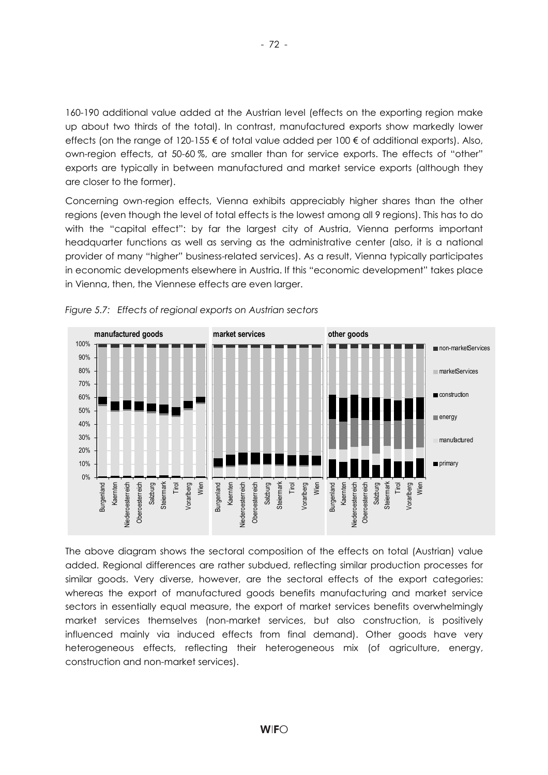160-190 additional value added at the Austrian level (effects on the exporting region make up about two thirds of the total). In contrast, manufactured exports show markedly lower effects (on the range of 120-155 € of total value added per 100 € of additional exports). Also, own-region effects, at 50-60 %, are smaller than for service exports. The effects of "other" exports are typically in between manufactured and market service exports (although they are closer to the former).

Concerning own-region effects, Vienna exhibits appreciably higher shares than the other regions (even though the level of total effects is the lowest among all 9 regions). This has to do with the "capital effect": by far the largest city of Austria, Vienna performs important headquarter functions as well as serving as the administrative center (also, it is a national provider of many "higher" business-related services). As a result, Vienna typically participates in economic developments elsewhere in Austria. If this "economic development" takes place in Vienna, then, the Viennese effects are even larger.





The above diagram shows the sectoral composition of the effects on total (Austrian) value added. Regional differences are rather subdued, reflecting similar production processes for similar goods. Very diverse, however, are the sectoral effects of the export categories: whereas the export of manufactured goods benefits manufacturing and market service sectors in essentially equal measure, the export of market services benefits overwhelmingly market services themselves (non-market services, but also construction, is positively influenced mainly via induced effects from final demand). Other goods have very heterogeneous effects, reflecting their heterogeneous mix (of agriculture, energy, construction and non-market services).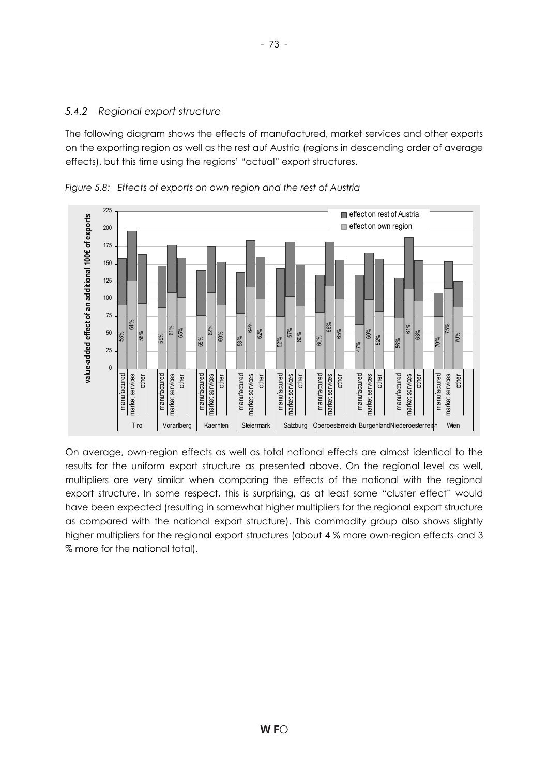## *5.4.2 Regional export structure*

The following diagram shows the effects of manufactured, market services and other exports on the exporting region as well as the rest auf Austria (regions in descending order of average effects), but this time using the regions' "actual" export structures.



*Figure 5.8: Effects of exports on own region and the rest of Austria* 

On average, own-region effects as well as total national effects are almost identical to the results for the uniform export structure as presented above. On the regional level as well, multipliers are very similar when comparing the effects of the national with the regional export structure. In some respect, this is surprising, as at least some "cluster effect" would have been expected (resulting in somewhat higher multipliers for the regional export structure as compared with the national export structure). This commodity group also shows slightly higher multipliers for the regional export structures (about 4 % more own-region effects and 3 % more for the national total).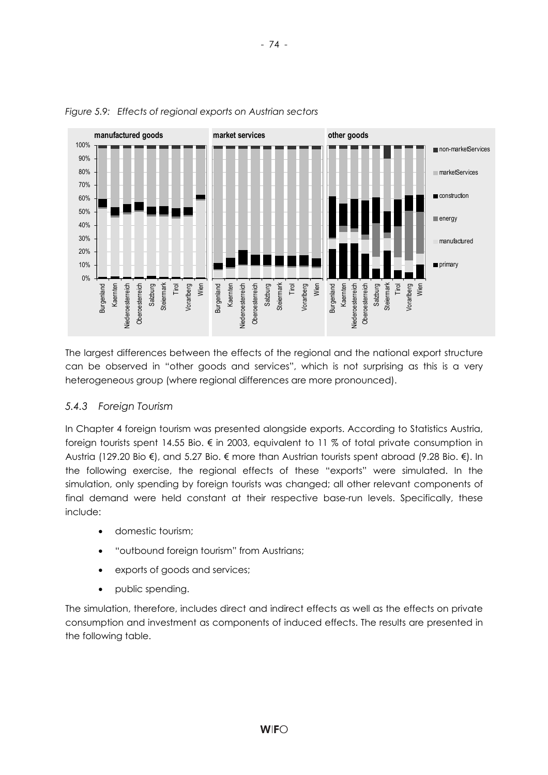

#### *Figure 5.9: Effects of regional exports on Austrian sectors*

The largest differences between the effects of the regional and the national export structure can be observed in "other goods and services", which is not surprising as this is a very heterogeneous group (where regional differences are more pronounced).

## *5.4.3 Foreign Tourism*

In Chapter 4 foreign tourism was presented alongside exports. According to Statistics Austria, foreign tourists spent 14.55 Bio. € in 2003, equivalent to 11 % of total private consumption in Austria (129.20 Bio €), and 5.27 Bio. € more than Austrian tourists spent abroad (9.28 Bio. €). In the following exercise, the regional effects of these "exports" were simulated. In the simulation, only spending by foreign tourists was changed; all other relevant components of final demand were held constant at their respective base-run levels. Specifically, these include:

- domestic tourism;
- "outbound foreign tourism" from Austrians;
- exports of goods and services;
- public spending.

The simulation, therefore, includes direct and indirect effects as well as the effects on private consumption and investment as components of induced effects. The results are presented in the following table.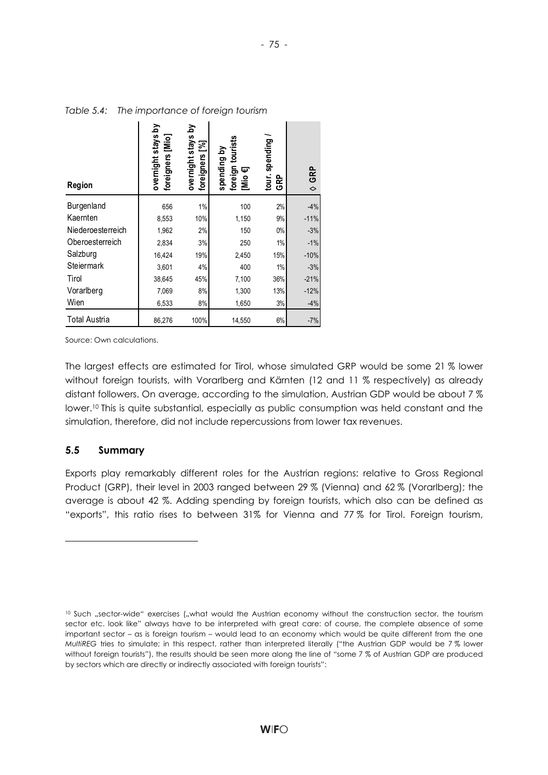**Contract Contract** 

| <b>Region</b>        | overnight stays by<br>foreigners [Mio] | overnight stays by<br>foreigners [%] | foreign tourists<br>spending by<br>Θ<br>[Mio | spending<br>tour.<br>GRP | <b>GRP</b><br>$\ddot{\diamond}$ |
|----------------------|----------------------------------------|--------------------------------------|----------------------------------------------|--------------------------|---------------------------------|
| Burgenland           | 656                                    | 1%                                   | 100                                          | 2%                       | $-4%$                           |
| Kaernten             | 8,553                                  | 10%                                  | 1,150                                        | 9%                       | $-11%$                          |
| Niederoesterreich    | 1,962                                  | 2%                                   | 150                                          | 0%                       | $-3%$                           |
| Oberoesterreich      | 2,834                                  | 3%                                   | 250                                          | 1%                       | $-1%$                           |
| Salzburg             | 16,424                                 | 19%                                  | 2,450                                        | 15%                      | $-10%$                          |
| Steiermark           | 3,601                                  | 4%                                   | 400                                          | 1%                       | $-3%$                           |
| Tirol                | 38,645                                 | 45%                                  | 7,100                                        | 36%                      | $-21%$                          |
| Vorarlberg           | 7,069                                  | 8%                                   | 1,300                                        | 13%                      | $-12%$                          |
| Wien                 | 6,533                                  | 8%                                   | 1,650                                        | 3%                       | $-4%$                           |
| <b>Total Austria</b> | 86,276                                 | 100%                                 | 14,550                                       | 6%                       | $-7%$                           |

 $\blacksquare$ 

 $\sim$ 

*Table 5.4: The importance of foreign tourism* 

 $\sim$ 

 $\mathbf{I}$ 

Source: Own calculations.

The largest effects are estimated for Tirol, whose simulated GRP would be some 21 % lower without foreign tourists, with Vorarlberg and Kärnten (12 and 11 % respectively) as already distant followers. On average, according to the simulation, Austrian GDP would be about 7 % lower.10 This is quite substantial, especially as public consumption was held constant and the simulation, therefore, did not include repercussions from lower tax revenues.

#### **5.5 Summary**

l

Exports play remarkably different roles for the Austrian regions: relative to Gross Regional Product (GRP), their level in 2003 ranged between 29 % (Vienna) and 62 % (Vorarlberg); the average is about 42 %. Adding spending by foreign tourists, which also can be defined as "exports", this ratio rises to between 31% for Vienna and 77 % for Tirol. Foreign tourism,

<sup>&</sup>lt;sup>10</sup> Such "sector-wide" exercises ("what would the Austrian economy without the construction sector, the tourism sector etc. look like" always have to be interpreted with great care: of course, the complete absence of some important sector – as is foreign tourism – would lead to an economy which would be quite different from the one *MultiREG* tries to simulate; in this respect, rather than interpreted literally ("the Austrian GDP would be 7% lower without foreign tourists"), the results should be seen more along the line of "some 7 % of Austrian GDP are produced by sectors which are directly or indirectly associated with foreign tourists":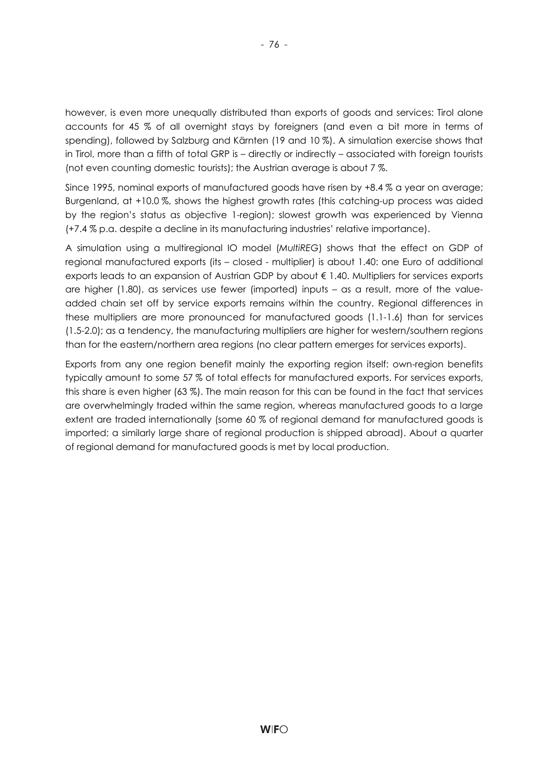however, is even more unequally distributed than exports of goods and services: Tirol alone accounts for 45 % of all overnight stays by foreigners (and even a bit more in terms of spending), followed by Salzburg and Kärnten (19 and 10 %). A simulation exercise shows that in Tirol, more than a fifth of total GRP is – directly or indirectly – associated with foreign tourists (not even counting domestic tourists); the Austrian average is about 7 %.

Since 1995, nominal exports of manufactured goods have risen by +8.4 % a year on average; Burgenland, at +10.0 %, shows the highest growth rates (this catching-up process was aided by the region's status as objective 1-region); slowest growth was experienced by Vienna (+7.4 % p.a. despite a decline in its manufacturing industries' relative importance).

A simulation using a multiregional IO model (*MultiREG*) shows that the effect on GDP of regional manufactured exports (its – closed - multiplier) is about 1.40: one Euro of additional exports leads to an expansion of Austrian GDP by about € 1.40. Multipliers for services exports are higher (1.80), as services use fewer (imported) inputs – as a result, more of the valueadded chain set off by service exports remains within the country. Regional differences in these multipliers are more pronounced for manufactured goods (1.1-1.6) than for services (1.5-2.0); as a tendency, the manufacturing multipliers are higher for western/southern regions than for the eastern/northern area regions (no clear pattern emerges for services exports).

Exports from any one region benefit mainly the exporting region itself: own-region benefits typically amount to some 57 % of total effects for manufactured exports. For services exports, this share is even higher (63 %). The main reason for this can be found in the fact that services are overwhelmingly traded within the same region, whereas manufactured goods to a large extent are traded internationally (some 60 % of regional demand for manufactured goods is imported; a similarly large share of regional production is shipped abroad). About a quarter of regional demand for manufactured goods is met by local production.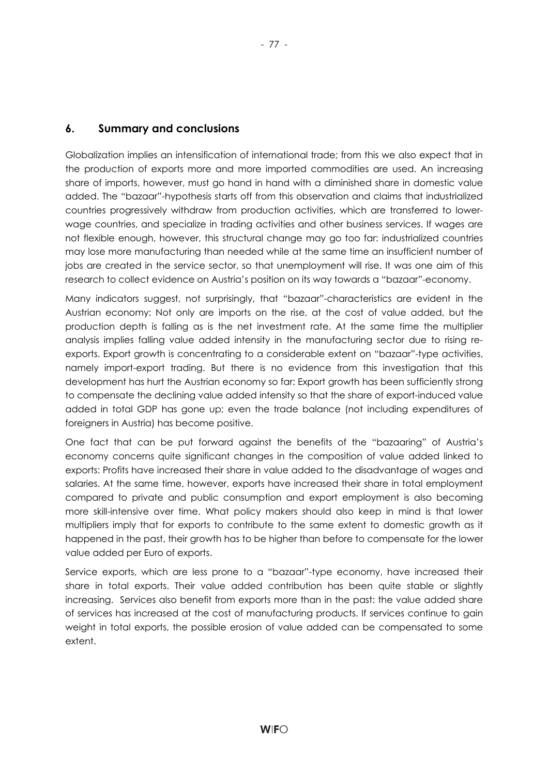## **6. Summary and conclusions**

Globalization implies an intensification of international trade; from this we also expect that in the production of exports more and more imported commodities are used. An increasing share of imports, however, must go hand in hand with a diminished share in domestic value added. The "bazaar"-hypothesis starts off from this observation and claims that industrialized countries progressively withdraw from production activities, which are transferred to lowerwage countries, and specialize in trading activities and other business services. If wages are not flexible enough, however, this structural change may go too far: industrialized countries may lose more manufacturing than needed while at the same time an insufficient number of jobs are created in the service sector, so that unemployment will rise. It was one aim of this research to collect evidence on Austria's position on its way towards a "bazaar"-economy.

Many indicators suggest, not surprisingly, that "bazaar"-characteristics are evident in the Austrian economy: Not only are imports on the rise, at the cost of value added, but the production depth is falling as is the net investment rate. At the same time the multiplier analysis implies falling value added intensity in the manufacturing sector due to rising reexports. Export growth is concentrating to a considerable extent on "bazaar"-type activities, namely import-export trading. But there is no evidence from this investigation that this development has hurt the Austrian economy so far: Export growth has been sufficiently strong to compensate the declining value added intensity so that the share of export-induced value added in total GDP has gone up; even the trade balance (not including expenditures of foreigners in Austria) has become positive.

One fact that can be put forward against the benefits of the "bazaaring" of Austria's economy concerns quite significant changes in the composition of value added linked to exports: Profits have increased their share in value added to the disadvantage of wages and salaries. At the same time, however, exports have increased their share in total employment compared to private and public consumption and export employment is also becoming more skill-intensive over time. What policy makers should also keep in mind is that lower multipliers imply that for exports to contribute to the same extent to domestic growth as it happened in the past, their growth has to be higher than before to compensate for the lower value added per Euro of exports.

Service exports, which are less prone to a "bazaar"-type economy, have increased their share in total exports. Their value added contribution has been quite stable or slightly increasing. Services also benefit from exports more than in the past: the value added share of services has increased at the cost of manufacturing products. If services continue to gain weight in total exports, the possible erosion of value added can be compensated to some extent.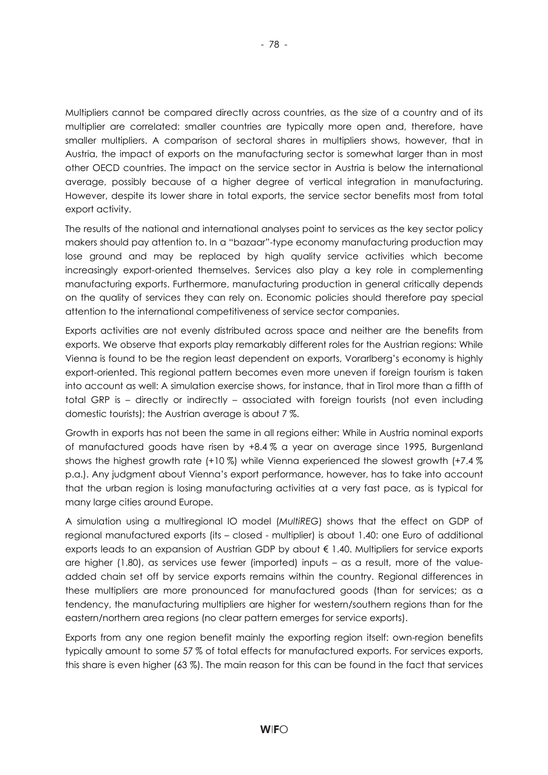Multipliers cannot be compared directly across countries, as the size of a country and of its multiplier are correlated: smaller countries are typically more open and, therefore, have smaller multipliers. A comparison of sectoral shares in multipliers shows, however, that in Austria, the impact of exports on the manufacturing sector is somewhat larger than in most other OECD countries. The impact on the service sector in Austria is below the international average, possibly because of a higher degree of vertical integration in manufacturing. However, despite its lower share in total exports, the service sector benefits most from total export activity.

The results of the national and international analyses point to services as the key sector policy makers should pay attention to. In a "bazaar"-type economy manufacturing production may lose ground and may be replaced by high quality service activities which become increasingly export-oriented themselves. Services also play a key role in complementing manufacturing exports. Furthermore, manufacturing production in general critically depends on the quality of services they can rely on. Economic policies should therefore pay special attention to the international competitiveness of service sector companies.

Exports activities are not evenly distributed across space and neither are the benefits from exports. We observe that exports play remarkably different roles for the Austrian regions: While Vienna is found to be the region least dependent on exports, Vorarlberg's economy is highly export-oriented. This regional pattern becomes even more uneven if foreign tourism is taken into account as well: A simulation exercise shows, for instance, that in Tirol more than a fifth of total GRP is – directly or indirectly – associated with foreign tourists (not even including domestic tourists); the Austrian average is about 7 %.

Growth in exports has not been the same in all regions either: While in Austria nominal exports of manufactured goods have risen by +8.4 % a year on average since 1995, Burgenland shows the highest growth rate (+10 %) while Vienna experienced the slowest growth (+7.4 % p.a.). Any judgment about Vienna's export performance, however, has to take into account that the urban region is losing manufacturing activities at a very fast pace, as is typical for many large cities around Europe.

A simulation using a multiregional IO model (*MultiREG*) shows that the effect on GDP of regional manufactured exports (its – closed - multiplier) is about 1.40: one Euro of additional exports leads to an expansion of Austrian GDP by about € 1.40. Multipliers for service exports are higher (1.80), as services use fewer (imported) inputs – as a result, more of the valueadded chain set off by service exports remains within the country. Regional differences in these multipliers are more pronounced for manufactured goods (than for services; as a tendency, the manufacturing multipliers are higher for western/southern regions than for the eastern/northern area regions (no clear pattern emerges for service exports).

Exports from any one region benefit mainly the exporting region itself: own-region benefits typically amount to some 57 % of total effects for manufactured exports. For services exports, this share is even higher (63 %). The main reason for this can be found in the fact that services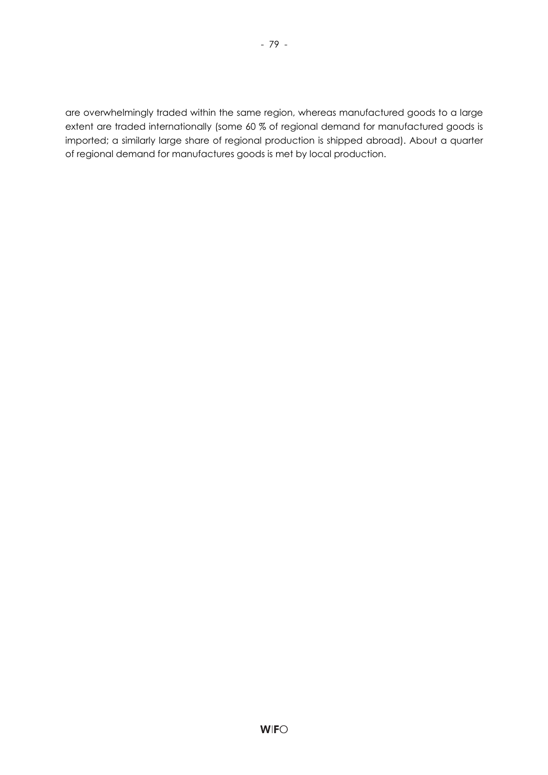are overwhelmingly traded within the same region, whereas manufactured goods to a large extent are traded internationally (some 60 % of regional demand for manufactured goods is imported; a similarly large share of regional production is shipped abroad). About a quarter of regional demand for manufactures goods is met by local production.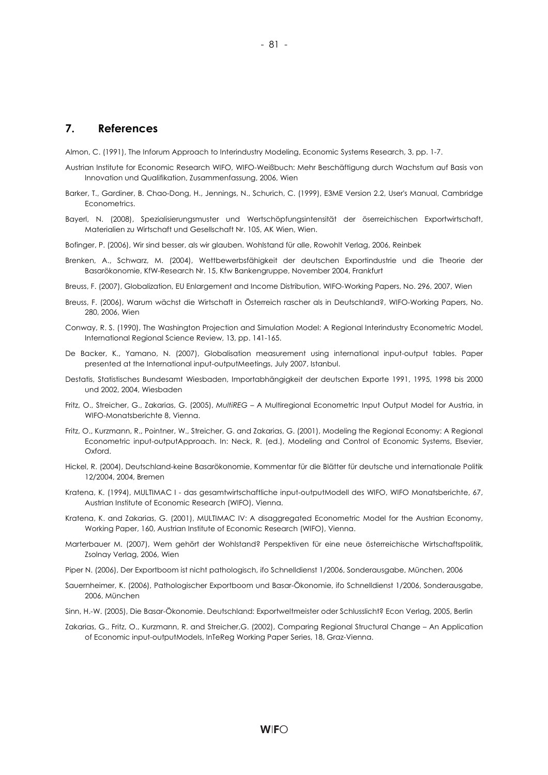#### **7. References**

Almon, C. (1991), The Inforum Approach to Interindustry Modeling, Economic Systems Research, 3, pp. 1-7.

- Austrian Institute for Economic Research WIFO, WIFO-Weißbuch: Mehr Beschäftigung durch Wachstum auf Basis von Innovation und Qualifikation, Zusammenfassung, 2006, Wien
- Barker, T., Gardiner, B. Chao-Dong, H., Jennings, N., Schurich, C. (1999), E3ME Version 2.2, User's Manual, Cambridge Econometrics.
- Bayerl, N. (2008), Spezialisierungsmuster und Wertschöpfungsintensität der öserreichischen Exportwirtschaft, Materialien zu Wirtschaft und Gesellschaft Nr. 105, AK Wien, Wien.
- Bofinger, P. (2006), Wir sind besser, als wir glauben. Wohlstand für alle, Rowohlt Verlag, 2006, Reinbek
- Brenken, A., Schwarz, M. (2004), Wettbewerbsfähigkeit der deutschen Exportindustrie und die Theorie der Basarökonomie, KfW-Research Nr. 15, Kfw Bankengruppe, November 2004, Frankfurt
- Breuss, F. (2007), Globalization, EU Enlargement and Income Distribution, WIFO-Working Papers, No. 296, 2007, Wien
- Breuss, F. (2006), Warum wächst die Wirtschaft in Österreich rascher als in Deutschland?, WIFO-Working Papers, No. 280, 2006, Wien
- Conway, R. S. (1990), The Washington Projection and Simulation Model: A Regional Interindustry Econometric Model, International Regional Science Review, 13, pp. 141-165.
- De Backer, K., Yamano, N. (2007), Globalisation measurement using international input-output tables. Paper presented at the International input-outputMeetings, July 2007, Istanbul.
- Destatis, Statistisches Bundesamt Wiesbaden, Importabhängigkeit der deutschen Exporte 1991, 1995, 1998 bis 2000 und 2002, 2004, Wiesbaden
- Fritz, O., Streicher, G., Zakarias, G. (2005), *MultiREG* A Multiregional Econometric Input Output Model for Austria, in WIFO-Monatsberichte 8, Vienna.
- Fritz, O., Kurzmann, R., Pointner, W., Streicher, G. and Zakarias, G. (2001), Modeling the Regional Economy: A Regional Econometric input-outputApproach. In: Neck, R. (ed.), Modeling and Control of Economic Systems, Elsevier, Oxford.
- Hickel, R. (2004), Deutschland-keine Basarökonomie, Kommentar für die Blätter für deutsche und internationale Politik 12/2004, 2004, Bremen
- Kratena, K. (1994), MULTIMAC I das gesamtwirtschaftliche input-outputModell des WIFO, WIFO Monatsberichte, 67, Austrian Institute of Economic Research (WIFO), Vienna.
- Kratena, K. and Zakarias, G. (2001), MULTIMAC IV: A disaggregated Econometric Model for the Austrian Economy, Working Paper, 160, Austrian Institute of Economic Research (WIFO), Vienna.
- Marterbauer M. (2007), Wem gehört der Wohlstand? Perspektiven für eine neue österreichische Wirtschaftspolitik, Zsolnay Verlag, 2006, Wien
- Piper N. (2006), Der Exportboom ist nicht pathologisch, ifo Schnelldienst 1/2006, Sonderausgabe, München, 2006
- Sauernheimer, K. (2006), Pathologischer Exportboom und Basar-Ökonomie, ifo Schnelldienst 1/2006, Sonderausgabe, 2006, München
- Sinn, H.-W. (2005), Die Basar-Ökonomie. Deutschland: Exportweltmeister oder Schlusslicht? Econ Verlag, 2005, Berlin
- Zakarias, G., Fritz, O., Kurzmann, R. and Streicher,G. (2002), Comparing Regional Structural Change An Application of Economic input-outputModels, InTeReg Working Paper Series, 18, Graz-Vienna.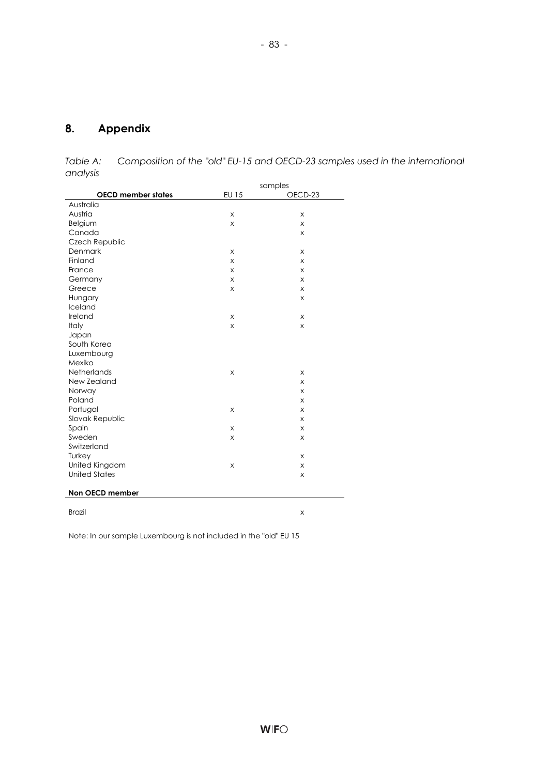# **8. Appendix**

*Table A: Composition of the "old" EU-15 and OECD-23 samples used in the international analysis* 

- 83 -

|                           | samples        |         |  |
|---------------------------|----------------|---------|--|
| <b>OECD member states</b> | <b>EU 15</b>   | OECD-23 |  |
| Australia                 |                |         |  |
| Austria                   | X              | X       |  |
| Belgium                   | X              | X       |  |
| Canada                    |                | X       |  |
| Czech Republic            |                |         |  |
| Denmark                   | X              | X       |  |
| Finland                   | X              | X       |  |
| France                    | X              | X       |  |
| Germany                   | X              | X       |  |
| Greece                    | X              | X       |  |
| Hungary                   |                | X       |  |
| Iceland                   |                |         |  |
| Ireland                   | X              | X       |  |
| Italy                     | X              | X       |  |
| Japan                     |                |         |  |
| South Korea               |                |         |  |
| Luxembourg                |                |         |  |
| Mexiko                    |                |         |  |
| Netherlands               | $\times$       | X       |  |
| New Zealand               |                | X       |  |
| Norway                    |                | X       |  |
| Poland                    |                | X       |  |
| Portugal                  | X              | X       |  |
| Slovak Republic           |                | X       |  |
| Spain                     | X              | X       |  |
| Sweden                    | X              | X       |  |
| Switzerland               |                |         |  |
| Turkey                    |                | X       |  |
| United Kingdom            | $\pmb{\times}$ | X       |  |
| <b>United States</b>      |                | X       |  |
| Non OECD member           |                |         |  |
| <b>Brazil</b>             |                | X       |  |

Note: In our sample Luxembourg is not included in the "old" EU 15